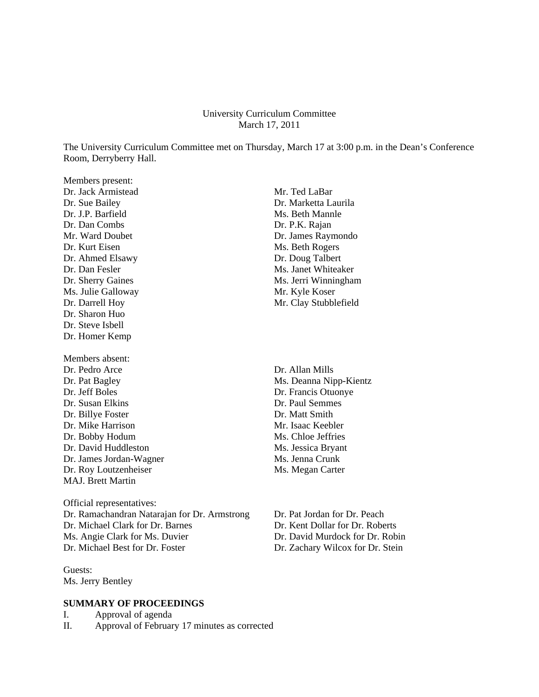#### University Curriculum Committee March 17, 2011

The University Curriculum Committee met on Thursday, March 17 at 3:00 p.m. in the Dean's Conference Room, Derryberry Hall.

Members present: Dr. Jack Armistead Mr. Ted LaBar Dr. Sue Bailey Dr. Marketta Laurila Dr. J.P. Barfield Ms. Beth Mannle Dr. Dan Combs Dr. P.K. Rajan Mr. Ward Doubet Dr. James Raymondo Dr. Kurt Eisen Ms. Beth Rogers Dr. Ahmed Elsawy Dr. Doug Talbert Dr. Dan Fesler Ms. Janet Whiteaker Ms. Julie Galloway Mr. Kyle Koser Dr. Sharon Huo Dr. Steve Isbell Dr. Homer Kemp Members absent: Dr. Pedro Arce Dr. Allan Mills Dr. Jeff Boles Dr. Francis Otuonye Dr. Susan Elkins Dr. Paul Semmes Dr. Billye Foster Dr. Matt Smith

Dr. Mike Harrison Mr. Isaac Keebler Dr. Bobby Hodum Ms. Chloe Jeffries Dr. David Huddleston Ms. Jessica Bryant Dr. James Jordan-Wagner Ms. Jenna Crunk Dr. Roy Loutzenheiser Ms. Megan Carter MAJ. Brett Martin

Official representatives: Dr. Ramachandran Natarajan for Dr. Armstrong Dr. Pat Jordan for Dr. Peach Dr. Michael Clark for Dr. Barnes Dr. Kent Dollar for Dr. Roberts Ms. Angie Clark for Ms. Duvier Dr. David Murdock for Dr. Robin Dr. Michael Best for Dr. Foster Dr. Zachary Wilcox for Dr. Stein

Guests: Ms. Jerry Bentley

## **SUMMARY OF PROCEEDINGS**

I. Approval of agenda

II. Approval of February 17 minutes as corrected

- Dr. Sherry Gaines Ms. Jerri Winningham Dr. Darrell Hoy Mr. Clay Stubblefield
- Dr. Pat Bagley Ms. Deanna Nipp-Kientz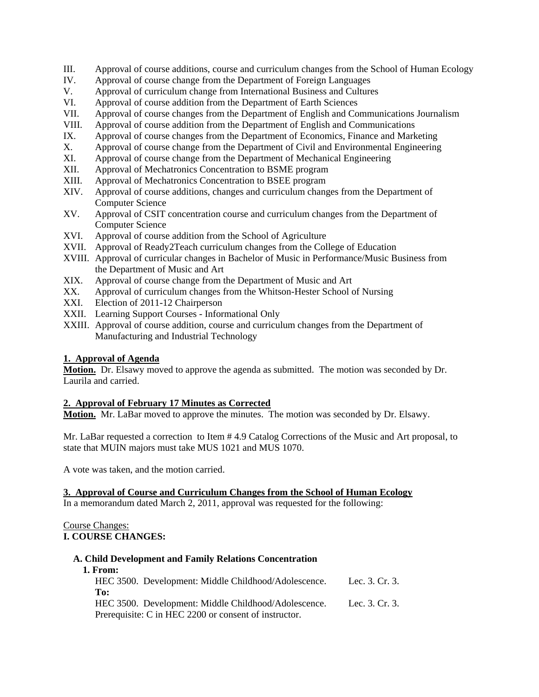- III. Approval of course additions, course and curriculum changes from the School of Human Ecology
- IV. Approval of course change from the Department of Foreign Languages
- V. Approval of curriculum change from International Business and Cultures
- VI. Approval of course addition from the Department of Earth Sciences
- VII. Approval of course changes from the Department of English and Communications Journalism
- VIII. Approval of course addition from the Department of English and Communications
- IX. Approval of course changes from the Department of Economics, Finance and Marketing
- X. Approval of course change from the Department of Civil and Environmental Engineering
- XI. Approval of course change from the Department of Mechanical Engineering
- XII. Approval of Mechatronics Concentration to BSME program
- XIII. Approval of Mechatronics Concentration to BSEE program
- XIV. Approval of course additions, changes and curriculum changes from the Department of Computer Science
- XV. Approval of CSIT concentration course and curriculum changes from the Department of Computer Science
- XVI. Approval of course addition from the School of Agriculture
- XVII. Approval of Ready2Teach curriculum changes from the College of Education
- XVIII. Approval of curricular changes in Bachelor of Music in Performance/Music Business from the Department of Music and Art
- XIX. Approval of course change from the Department of Music and Art
- XX. Approval of curriculum changes from the Whitson-Hester School of Nursing
- XXI. Election of 2011-12 Chairperson
- XXII. Learning Support Courses Informational Only
- XXIII. Approval of course addition, course and curriculum changes from the Department of Manufacturing and Industrial Technology

## **1. Approval of Agenda**

**Motion.** Dr. Elsawy moved to approve the agenda as submitted. The motion was seconded by Dr. Laurila and carried.

## **2. Approval of February 17 Minutes as Corrected**

**Motion.** Mr. LaBar moved to approve the minutes. The motion was seconded by Dr. Elsawy.

Mr. LaBar requested a correction to Item # 4.9 Catalog Corrections of the Music and Art proposal, to state that MUIN majors must take MUS 1021 and MUS 1070.

A vote was taken, and the motion carried.

## **3. Approval of Course and Curriculum Changes from the School of Human Ecology**

In a memorandum dated March 2, 2011, approval was requested for the following:

#### Course Changes: **I. COURSE CHANGES:**

## **A. Child Development and Family Relations Concentration**

| 1. From:                                              |                |
|-------------------------------------------------------|----------------|
| HEC 3500. Development: Middle Childhood/Adolescence.  | Lec. 3. Cr. 3. |
| To:                                                   |                |
| HEC 3500. Development: Middle Childhood/Adolescence.  | Lec. 3. Cr. 3. |
| Prerequisite: C in HEC 2200 or consent of instructor. |                |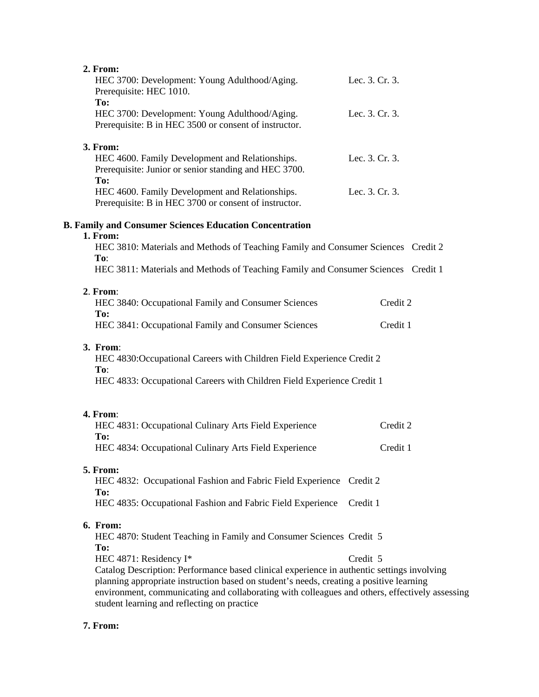| 2. From:                                                                                       |                |
|------------------------------------------------------------------------------------------------|----------------|
| HEC 3700: Development: Young Adulthood/Aging.                                                  | Lec. 3. Cr. 3. |
| Prerequisite: HEC 1010.                                                                        |                |
| To:                                                                                            |                |
| HEC 3700: Development: Young Adulthood/Aging.                                                  | Lec. 3. Cr. 3. |
| Prerequisite: B in HEC 3500 or consent of instructor.                                          |                |
|                                                                                                |                |
| 3. From:                                                                                       |                |
| HEC 4600. Family Development and Relationships.                                                | Lec. 3. Cr. 3. |
| Prerequisite: Junior or senior standing and HEC 3700.                                          |                |
| To:                                                                                            |                |
| HEC 4600. Family Development and Relationships.                                                | Lec. 3. Cr. 3. |
| Prerequisite: B in HEC 3700 or consent of instructor.                                          |                |
| <b>B. Family and Consumer Sciences Education Concentration</b>                                 |                |
| 1. From:                                                                                       |                |
| HEC 3810: Materials and Methods of Teaching Family and Consumer Sciences Credit 2              |                |
| To:                                                                                            |                |
| HEC 3811: Materials and Methods of Teaching Family and Consumer Sciences Credit 1              |                |
|                                                                                                |                |
| 2. From:                                                                                       |                |
| HEC 3840: Occupational Family and Consumer Sciences                                            | Credit 2       |
| To:                                                                                            |                |
| HEC 3841: Occupational Family and Consumer Sciences                                            | Credit 1       |
| 3. From:                                                                                       |                |
| HEC 4830: Occupational Careers with Children Field Experience Credit 2                         |                |
| To:                                                                                            |                |
| HEC 4833: Occupational Careers with Children Field Experience Credit 1                         |                |
|                                                                                                |                |
| 4. From:                                                                                       |                |
| HEC 4831: Occupational Culinary Arts Field Experience                                          | Credit 2       |
| To:                                                                                            |                |
| HEC 4834: Occupational Culinary Arts Field Experience                                          | Credit 1       |
|                                                                                                |                |
| 5. From:                                                                                       |                |
| HEC 4832: Occupational Fashion and Fabric Field Experience Credit 2                            |                |
| To:                                                                                            |                |
| HEC 4835: Occupational Fashion and Fabric Field Experience                                     | Credit 1       |
| 6. From:                                                                                       |                |
|                                                                                                |                |
| HEC 4870: Student Teaching in Family and Consumer Sciences Credit 5                            |                |
| To:                                                                                            |                |
| HEC 4871: Residency I*                                                                         | Credit 5       |
| Catalog Description: Performance based clinical experience in authentic settings involving     |                |
| planning appropriate instruction based on student's needs, creating a positive learning        |                |
| environment, communicating and collaborating with colleagues and others, effectively assessing |                |
| student learning and reflecting on practice                                                    |                |

## **7. From:**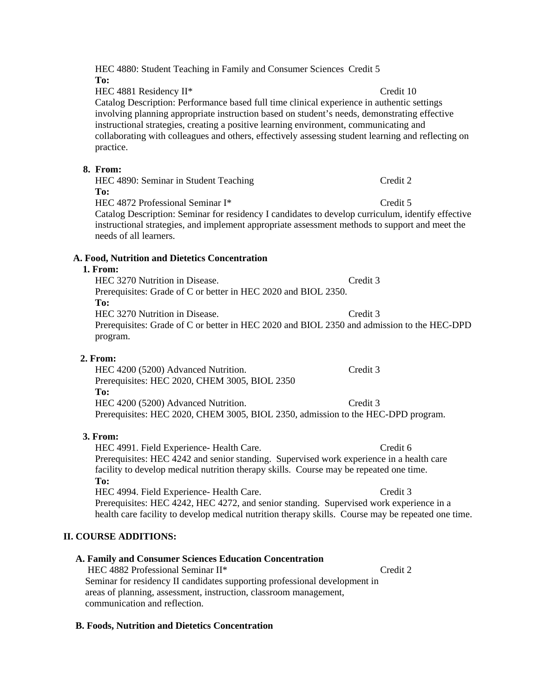HEC 4880: Student Teaching in Family and Consumer Sciences Credit 5 **To:**

HEC 4881 Residency II\* Credit 10 Catalog Description: Performance based full time clinical experience in authentic settings involving planning appropriate instruction based on student's needs, demonstrating effective instructional strategies, creating a positive learning environment, communicating and collaborating with colleagues and others, effectively assessing student learning and reflecting on practice.

#### **8. From:**

HEC 4890: Seminar in Student Teaching Credit 2 **To:** HEC 4872 Professional Seminar I\* Credit 5 Catalog Description: Seminar for residency I candidates to develop curriculum, identify effective instructional strategies, and implement appropriate assessment methods to support and meet the needs of all learners.

#### **A. Food, Nutrition and Dietetics Concentration**

#### **1. From:**

HEC 3270 Nutrition in Disease. Credit 3 Prerequisites: Grade of C or better in HEC 2020 and BIOL 2350. **To:**  HEC 3270 Nutrition in Disease. Credit 3 Prerequisites: Grade of C or better in HEC 2020 and BIOL 2350 and admission to the HEC-DPD program.

## **2. From:**

HEC 4200 (5200) Advanced Nutrition. Credit 3 Prerequisites: HEC 2020, CHEM 3005, BIOL 2350 **To:**  HEC 4200 (5200) Advanced Nutrition. Credit 3 Prerequisites: HEC 2020, CHEM 3005, BIOL 2350, admission to the HEC-DPD program.

## **3. From:**

HEC 4991. Field Experience- Health Care. Credit 6 Prerequisites: HEC 4242 and senior standing. Supervised work experience in a health care facility to develop medical nutrition therapy skills. Course may be repeated one time. **To:**  HEC 4994. Field Experience- Health Care. Credit 3

Prerequisites: HEC 4242, HEC 4272, and senior standing. Supervised work experience in a health care facility to develop medical nutrition therapy skills. Course may be repeated one time.

## **II. COURSE ADDITIONS:**

## **A. Family and Consumer Sciences Education Concentration**

HEC 4882 Professional Seminar II\* Credit 2 Seminar for residency II candidates supporting professional development in areas of planning, assessment, instruction, classroom management, communication and reflection.

#### **B. Foods, Nutrition and Dietetics Concentration**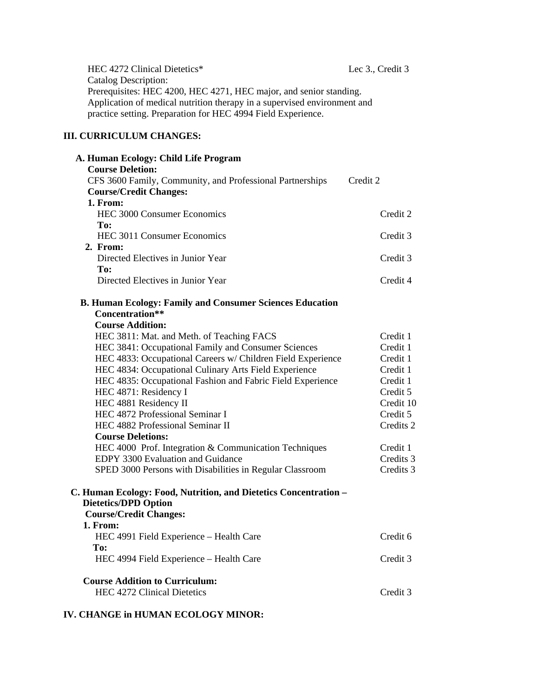HEC 4272 Clinical Dietetics\* Lec 3., Credit 3 Catalog Description: Prerequisites: HEC 4200, HEC 4271, HEC major, and senior standing. Application of medical nutrition therapy in a supervised environment and practice setting. Preparation for HEC 4994 Field Experience.

## **III. CURRICULUM CHANGES:**

| A. Human Ecology: Child Life Program                             |           |
|------------------------------------------------------------------|-----------|
| <b>Course Deletion:</b>                                          |           |
| CFS 3600 Family, Community, and Professional Partnerships        | Credit 2  |
| <b>Course/Credit Changes:</b>                                    |           |
| 1. From:                                                         |           |
| HEC 3000 Consumer Economics                                      | Credit 2  |
| To:                                                              |           |
| HEC 3011 Consumer Economics                                      | Credit 3  |
| 2. From:                                                         |           |
| Directed Electives in Junior Year                                | Credit 3  |
| To:                                                              |           |
| Directed Electives in Junior Year                                | Credit 4  |
| <b>B. Human Ecology: Family and Consumer Sciences Education</b>  |           |
| Concentration**                                                  |           |
| <b>Course Addition:</b>                                          |           |
| HEC 3811: Mat. and Meth. of Teaching FACS                        | Credit 1  |
| HEC 3841: Occupational Family and Consumer Sciences              | Credit 1  |
| HEC 4833: Occupational Careers w/ Children Field Experience      | Credit 1  |
| HEC 4834: Occupational Culinary Arts Field Experience            | Credit 1  |
| HEC 4835: Occupational Fashion and Fabric Field Experience       | Credit 1  |
| HEC 4871: Residency I                                            | Credit 5  |
| HEC 4881 Residency II                                            | Credit 10 |
| HEC 4872 Professional Seminar I                                  | Credit 5  |
| HEC 4882 Professional Seminar II                                 | Credits 2 |
| <b>Course Deletions:</b>                                         |           |
| HEC 4000 Prof. Integration & Communication Techniques            | Credit 1  |
| EDPY 3300 Evaluation and Guidance                                | Credits 3 |
| SPED 3000 Persons with Disabilities in Regular Classroom         | Credits 3 |
| C. Human Ecology: Food, Nutrition, and Dietetics Concentration - |           |
| <b>Dietetics/DPD Option</b>                                      |           |
| <b>Course/Credit Changes:</b>                                    |           |
| 1. From:                                                         |           |
| HEC 4991 Field Experience - Health Care                          | Credit 6  |
| To:                                                              |           |
| HEC 4994 Field Experience - Health Care                          | Credit 3  |
| <b>Course Addition to Curriculum:</b>                            |           |
| <b>HEC 4272 Clinical Dietetics</b>                               | Credit 3  |
|                                                                  |           |

## **IV. CHANGE in HUMAN ECOLOGY MINOR:**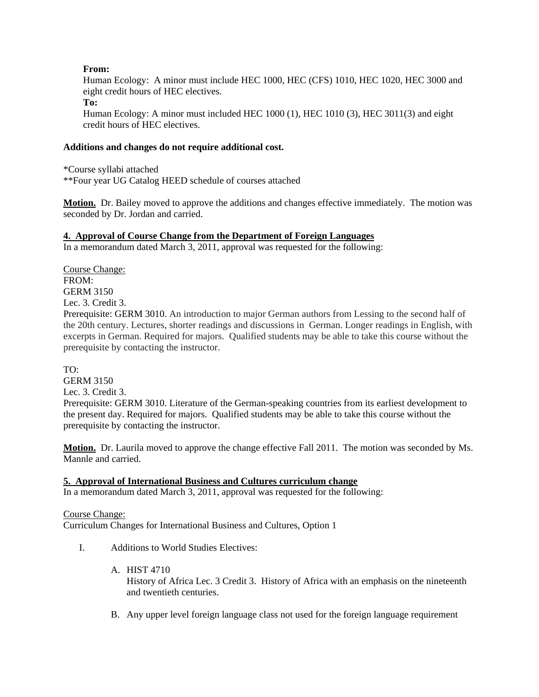## **From:**

Human Ecology: A minor must include HEC 1000, HEC (CFS) 1010, HEC 1020, HEC 3000 and eight credit hours of HEC electives.

#### **To:**

Human Ecology: A minor must included HEC 1000 (1), HEC 1010 (3), HEC 3011(3) and eight credit hours of HEC electives.

## **Additions and changes do not require additional cost.**

\*Course syllabi attached \*\*Four year UG Catalog HEED schedule of courses attached

**Motion.** Dr. Bailey moved to approve the additions and changes effective immediately. The motion was seconded by Dr. Jordan and carried.

## **4. Approval of Course Change from the Department of Foreign Languages**

In a memorandum dated March 3, 2011, approval was requested for the following:

Course Change: FROM: GERM 3150 Lec. 3. Credit 3. Prerequisite: GERM 3010. An introduction to major German authors from Lessing to the second half of the 20th century. Lectures, shorter readings and discussions in German. Longer readings in English, with excerpts in German. Required for majors. Qualified students may be able to take this course without the prerequisite by contacting the instructor.

TO:

GERM 3150

Lec. 3. Credit 3.

Prerequisite: GERM 3010. Literature of the German-speaking countries from its earliest development to the present day. Required for majors. Qualified students may be able to take this course without the prerequisite by contacting the instructor.

**Motion.** Dr. Laurila moved to approve the change effective Fall 2011. The motion was seconded by Ms. Mannle and carried.

## **5. Approval of International Business and Cultures curriculum change**

In a memorandum dated March 3, 2011, approval was requested for the following:

## Course Change:

Curriculum Changes for International Business and Cultures, Option 1

I. Additions to World Studies Electives:

## A. HIST 4710

History of Africa Lec. 3 Credit 3. History of Africa with an emphasis on the nineteenth and twentieth centuries.

B. Any upper level foreign language class not used for the foreign language requirement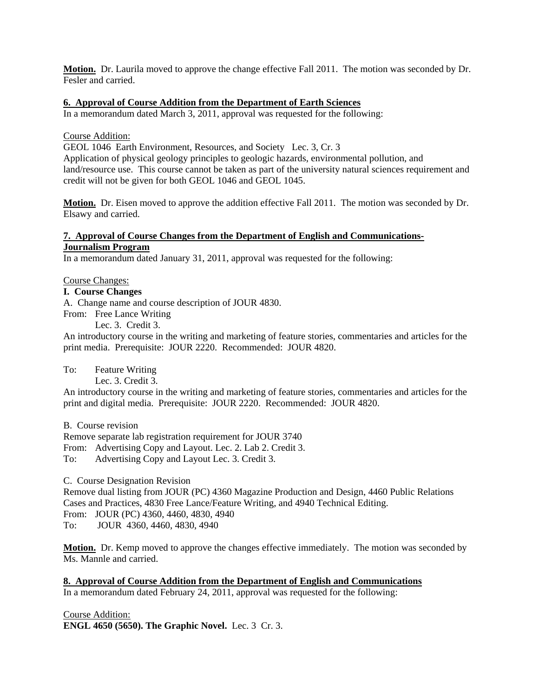**Motion.** Dr. Laurila moved to approve the change effective Fall 2011. The motion was seconded by Dr. Fesler and carried.

#### **6. Approval of Course Addition from the Department of Earth Sciences**

In a memorandum dated March 3, 2011, approval was requested for the following:

Course Addition:

GEOL 1046 Earth Environment, Resources, and Society Lec. 3, Cr. 3

Application of physical geology principles to geologic hazards, environmental pollution, and land/resource use. This course cannot be taken as part of the university natural sciences requirement and credit will not be given for both GEOL 1046 and GEOL 1045.

**Motion.** Dr. Eisen moved to approve the addition effective Fall 2011. The motion was seconded by Dr. Elsawy and carried.

## **7. Approval of Course Changes from the Department of English and Communications-Journalism Program**

In a memorandum dated January 31, 2011, approval was requested for the following:

Course Changes:

## **I. Course Changes**

A. Change name and course description of JOUR 4830.

From: Free Lance Writing

Lec. 3. Credit 3.

An introductory course in the writing and marketing of feature stories, commentaries and articles for the print media. Prerequisite: JOUR 2220. Recommended: JOUR 4820.

To: Feature Writing

Lec. 3. Credit 3.

An introductory course in the writing and marketing of feature stories, commentaries and articles for the print and digital media. Prerequisite: JOUR 2220. Recommended: JOUR 4820.

B. Course revision

Remove separate lab registration requirement for JOUR 3740 From: Advertising Copy and Layout. Lec. 2. Lab 2. Credit 3.

To: Advertising Copy and Layout Lec. 3. Credit 3.

C. Course Designation Revision

Remove dual listing from JOUR (PC) 4360 Magazine Production and Design, 4460 Public Relations Cases and Practices, 4830 Free Lance/Feature Writing, and 4940 Technical Editing. From: JOUR (PC) 4360, 4460, 4830, 4940 To: JOUR 4360, 4460, 4830, 4940

**Motion.** Dr. Kemp moved to approve the changes effective immediately. The motion was seconded by Ms. Mannle and carried.

**8. Approval of Course Addition from the Department of English and Communications** In a memorandum dated February 24, 2011, approval was requested for the following:

Course Addition: **ENGL 4650 (5650). The Graphic Novel.** Lec. 3 Cr. 3.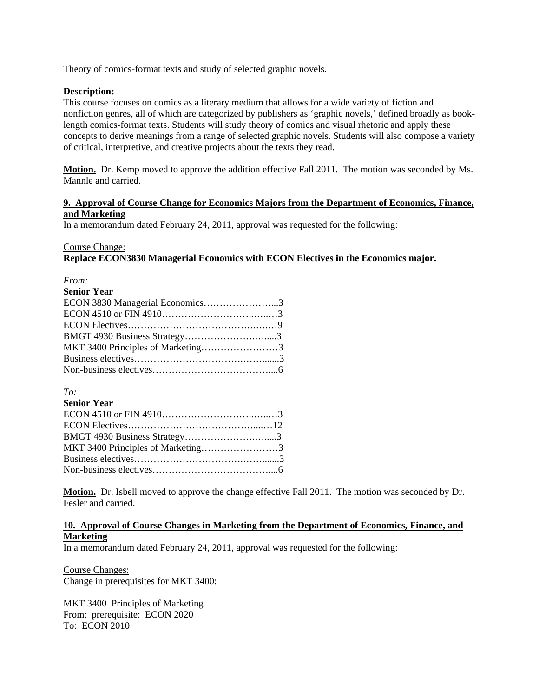Theory of comics-format texts and study of selected graphic novels.

#### **Description:**

This course focuses on comics as a literary medium that allows for a wide variety of fiction and nonfiction genres, all of which are categorized by publishers as 'graphic novels,' defined broadly as booklength comics-format texts. Students will study theory of comics and visual rhetoric and apply these concepts to derive meanings from a range of selected graphic novels. Students will also compose a variety of critical, interpretive, and creative projects about the texts they read.

**Motion.** Dr. Kemp moved to approve the addition effective Fall 2011. The motion was seconded by Ms. Mannle and carried.

## **9. Approval of Course Change for Economics Majors from the Department of Economics, Finance, and Marketing**

In a memorandum dated February 24, 2011, approval was requested for the following:

#### Course Change:

## **Replace ECON3830 Managerial Economics with ECON Electives in the Economics major.**

#### *From:*

| <b>Senior Year</b>                |  |
|-----------------------------------|--|
| ECON 3830 Managerial Economics3   |  |
|                                   |  |
|                                   |  |
| BMGT 4930 Business Strategy3      |  |
| MKT 3400 Principles of Marketing3 |  |
|                                   |  |
|                                   |  |

## *To:*

| <b>Senior Year</b>                |  |
|-----------------------------------|--|
|                                   |  |
|                                   |  |
| BMGT 4930 Business Strategy3      |  |
| MKT 3400 Principles of Marketing3 |  |
|                                   |  |
|                                   |  |

**Motion.** Dr. Isbell moved to approve the change effective Fall 2011. The motion was seconded by Dr. Fesler and carried.

## **10. Approval of Course Changes in Marketing from the Department of Economics, Finance, and Marketing**

In a memorandum dated February 24, 2011, approval was requested for the following:

Course Changes: Change in prerequisites for MKT 3400:

MKT 3400 Principles of Marketing From: prerequisite: ECON 2020 To: ECON 2010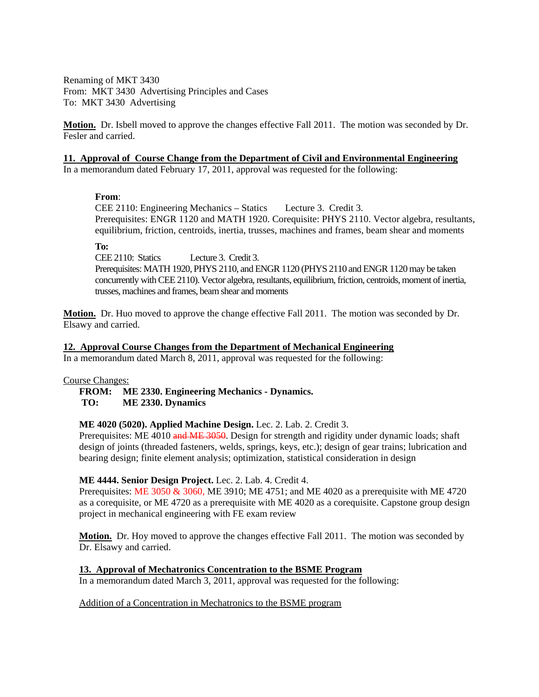Renaming of MKT 3430 From: MKT 3430 Advertising Principles and Cases To: MKT 3430 Advertising

**Motion.** Dr. Isbell moved to approve the changes effective Fall 2011. The motion was seconded by Dr. Fesler and carried.

#### **11. Approval of Course Change from the Department of Civil and Environmental Engineering**

In a memorandum dated February 17, 2011, approval was requested for the following:

#### **From**:

 CEE 2110: Engineering Mechanics – Statics Lecture 3. Credit 3. Prerequisites: ENGR 1120 and MATH 1920. Corequisite: PHYS 2110. Vector algebra, resultants, equilibrium, friction, centroids, inertia, trusses, machines and frames, beam shear and moments

**To: CEE 2110: Statics** Lecture 3. Credit 3.

Prerequisites: MATH 1920, PHYS 2110, and ENGR 1120 (PHYS 2110 and ENGR 1120 may be taken concurrently with CEE 2110). Vector algebra, resultants, equilibrium, friction, centroids, moment of inertia, trusses, machines and frames, beam shear and moments

**Motion.** Dr. Huo moved to approve the change effective Fall 2011. The motion was seconded by Dr. Elsawy and carried.

#### **12. Approval Course Changes from the Department of Mechanical Engineering**

In a memorandum dated March 8, 2011, approval was requested for the following:

Course Changes:

## **FROM: ME 2330. Engineering Mechanics - Dynamics.**

**TO: ME 2330. Dynamics**

#### **ME 4020 (5020). Applied Machine Design.** Lec. 2. Lab. 2. Credit 3.

Prerequisites: ME 4010 and ME 3050. Design for strength and rigidity under dynamic loads; shaft design of joints (threaded fasteners, welds, springs, keys, etc.); design of gear trains; lubrication and bearing design; finite element analysis; optimization, statistical consideration in design

## **ME 4444. Senior Design Project.** Lec. 2. Lab. 4. Credit 4.

Prerequisites: ME 3050 & 3060, ME 3910; ME 4751; and ME 4020 as a prerequisite with ME 4720 as a corequisite, or ME 4720 as a prerequisite with ME 4020 as a corequisite. Capstone group design project in mechanical engineering with FE exam review

**Motion.** Dr. Hoy moved to approve the changes effective Fall 2011. The motion was seconded by Dr. Elsawy and carried.

## **13. Approval of Mechatronics Concentration to the BSME Program**

In a memorandum dated March 3, 2011, approval was requested for the following:

Addition of a Concentration in Mechatronics to the BSME program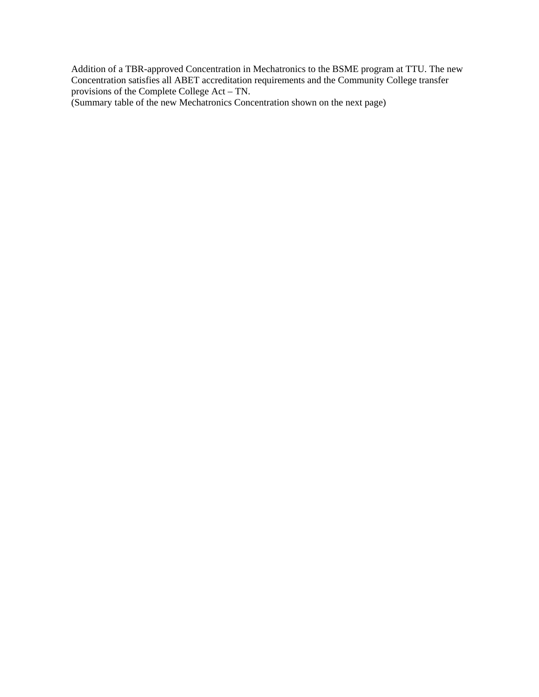Addition of a TBR-approved Concentration in Mechatronics to the BSME program at TTU. The new Concentration satisfies all ABET accreditation requirements and the Community College transfer provisions of the Complete College Act – TN.

(Summary table of the new Mechatronics Concentration shown on the next page)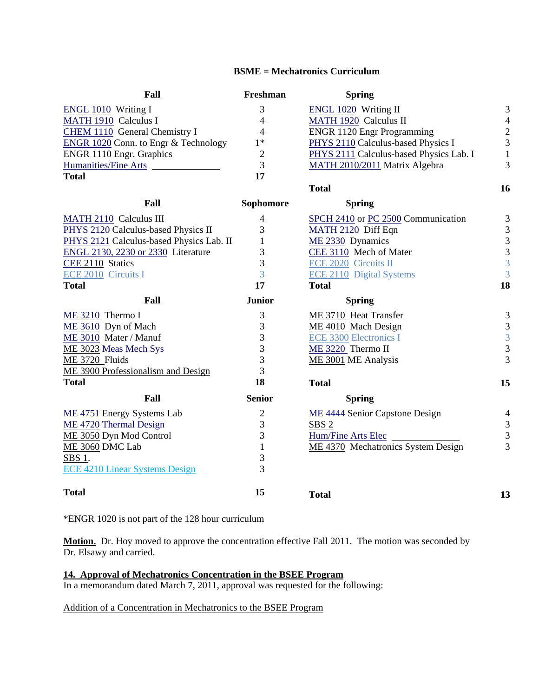#### **BSME = Mechatronics Curriculum**

| Fall                                     | Freshman                 | <b>Spring</b>                           |                                            |
|------------------------------------------|--------------------------|-----------------------------------------|--------------------------------------------|
| <b>ENGL 1010</b> Writing I               | 3                        | <b>ENGL 1020</b> Writing II             | $\mathfrak 3$                              |
| MATH 1910 Calculus I                     | $\overline{4}$           | MATH 1920 Calculus II                   | $\overline{4}$                             |
| CHEM 1110 General Chemistry I            | $\overline{4}$           | <b>ENGR 1120 Engr Programming</b>       | $\overline{c}$                             |
| ENGR 1020 Conn. to Engr & Technology     | $1*$                     | PHYS 2110 Calculus-based Physics I      | $\overline{3}$                             |
| ENGR 1110 Engr. Graphics                 | $\overline{2}$           | PHYS 2111 Calculus-based Physics Lab. I | $\mathbf 1$                                |
| <b>Humanities/Fine Arts</b>              | 3                        | MATH 2010/2011 Matrix Algebra           | $\overline{3}$                             |
| <b>Total</b>                             | 17                       |                                         |                                            |
|                                          |                          | <b>Total</b>                            | 16                                         |
| Fall                                     | Sophomore                | <b>Spring</b>                           |                                            |
| MATH 2110 Calculus III                   | $\overline{\mathcal{L}}$ | SPCH 2410 or PC 2500 Communication      | $\mathfrak{Z}$                             |
| PHYS 2120 Calculus-based Physics II      | 3                        | MATH 2120 Diff Eqn                      | $\sqrt{3}$                                 |
| PHYS 2121 Calculus-based Physics Lab. II | $\mathbf{1}$             | ME 2330 Dynamics                        |                                            |
| ENGL 2130, 2230 or 2330 Literature       | 3                        | CEE 3110 Mech of Mater                  | $\begin{array}{c} 3 \\ 3 \\ 3 \end{array}$ |
| CEE 2110 Statics                         | 3                        | ECE 2020 Circuits II                    |                                            |
| ECE 2010 Circuits I                      | 3                        | <b>ECE 2110 Digital Systems</b>         | $\overline{3}$                             |
| <b>Total</b>                             | 17                       | <b>Total</b>                            | 18                                         |
|                                          |                          |                                         |                                            |
| Fall                                     | <b>Junior</b>            | <b>Spring</b>                           |                                            |
| ME 3210 Thermo I                         | 3                        | ME 3710 Heat Transfer                   |                                            |
| ME 3610 Dyn of Mach                      | 3                        | ME 4010 Mach Design                     | $\mathfrak{Z}$                             |
| ME 3010 Mater / Manuf                    | 3                        | <b>ECE 3300 Electronics I</b>           |                                            |
| ME 3023 Meas Mech Sys                    | $\overline{3}$           | ME 3220 Thermo II                       | $\begin{array}{c} 3 \\ 3 \\ 3 \end{array}$ |
| ME 3720 Fluids                           | 3                        | ME 3001 ME Analysis                     | $\overline{3}$                             |
| ME 3900 Professionalism and Design       | 3                        |                                         |                                            |
| <b>Total</b>                             | 18                       | <b>Total</b>                            | 15                                         |
| Fall                                     | <b>Senior</b>            | <b>Spring</b>                           |                                            |
| ME 4751 Energy Systems Lab               | $\mathbf{2}$             | ME 4444 Senior Capstone Design          | $\overline{4}$                             |
| ME 4720 Thermal Design                   | 3                        | SBS <sub>2</sub>                        | $\ensuremath{\mathfrak{Z}}$                |
| ME 3050 Dyn Mod Control                  | 3                        | <b>Hum/Fine Arts Elec</b>               | $\mathfrak{Z}$                             |
| ME 3060 DMC Lab                          | $\mathbf{1}$             | ME 4370 Mechatronics System Design      | 3                                          |
| SBS 1.                                   | 3                        |                                         |                                            |
| <b>ECE 4210 Linear Systems Design</b>    | 3                        |                                         |                                            |

\*ENGR 1020 is not part of the 128 hour curriculum

**Motion.** Dr. Hoy moved to approve the concentration effective Fall 2011. The motion was seconded by Dr. Elsawy and carried.

## **14. Approval of Mechatronics Concentration in the BSEE Program**

In a memorandum dated March 7, 2011, approval was requested for the following:

## Addition of a Concentration in Mechatronics to the BSEE Program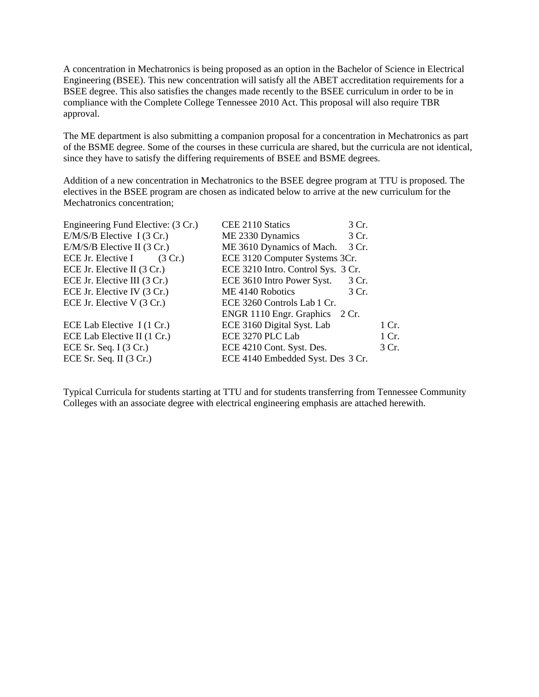A concentration in Mechatronics is being proposed as an option in the Bachelor of Science in Electrical Engineering (BSEE). This new concentration will satisfy all the ABET accreditation requirements for a BSEE degree. This also satisfies the changes made recently to the BSEE curriculum in order to be in compliance with the Complete College Tennessee 2010 Act. This proposal will also require TBR approval.

The ME department is also submitting a companion proposal for a concentration in Mechatronics as part of the BSME degree. Some of the courses in these curricula are shared, but the curricula are not identical, since they have to satisfy the differing requirements of BSEE and BSME degrees.

Addition of a new concentration in Mechatronics to the BSEE degree program at TTU is proposed. The electives in the BSEE program are chosen as indicated below to arrive at the new curriculum for the Mechatronics concentration;

| Engineering Fund Elective: (3 Cr.)     | CEE 2110 Statics<br>3 Cr.           |       |
|----------------------------------------|-------------------------------------|-------|
| $E/M/S/B$ Elective I (3 Cr.)           | ME 2330 Dynamics<br>3 Cr.           |       |
| $E/M/S/B$ Elective II (3 Cr.)          | ME 3610 Dynamics of Mach.<br>3 Cr.  |       |
| ECE Jr. Elective I $(3 Cr.)$           | ECE 3120 Computer Systems 3Cr.      |       |
| ECE Jr. Elective II $(3 Cr.)$          | ECE 3210 Intro. Control Sys. 3 Cr.  |       |
| ECE Jr. Elective III $(3 \text{ Cr.})$ | ECE 3610 Intro Power Syst.<br>3 Cr. |       |
| ECE Jr. Elective IV (3 Cr.)            | ME 4140 Robotics<br>3 Cr.           |       |
| ECE Jr. Elective V (3 Cr.)             | ECE 3260 Controls Lab 1 Cr.         |       |
|                                        | ENGR 1110 Engr. Graphics 2 Cr.      |       |
| ECE Lab Elective $I(1 Cr.)$            | ECE 3160 Digital Syst. Lab          | 1 Cr. |
| ECE Lab Elective II (1 Cr.)            | ECE 3270 PLC Lab                    | 1 Cr. |
| ECE Sr. Seq. $I$ (3 Cr.)               | ECE 4210 Cont. Syst. Des.           | 3 Cr. |
| ECE Sr. Seq. II (3 Cr.)                | ECE 4140 Embedded Syst. Des 3 Cr.   |       |
|                                        |                                     |       |

Typical Curricula for students starting at TTU and for students transferring from Tennessee Community Colleges with an associate degree with electrical engineering emphasis are attached herewith.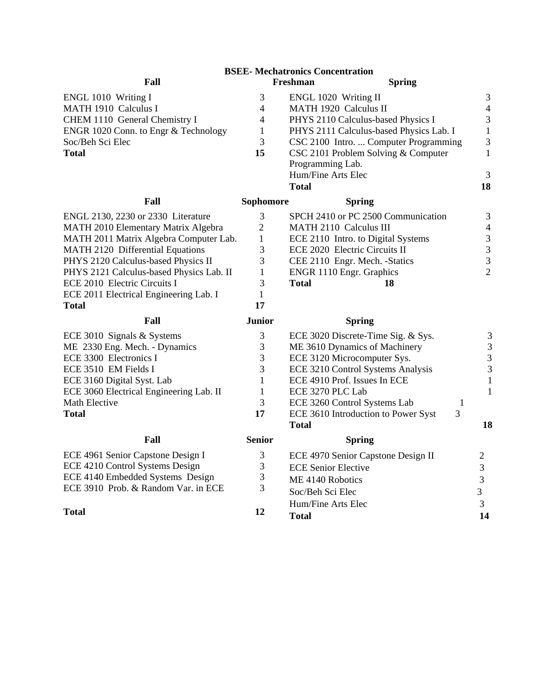|                                          |                | <b>BSEE-</b> Mechatronics Concentration |                                         |   |                             |
|------------------------------------------|----------------|-----------------------------------------|-----------------------------------------|---|-----------------------------|
| Fall                                     |                | Freshman                                | <b>Spring</b>                           |   |                             |
| ENGL 1010 Writing I                      | 3              | ENGL 1020 Writing II                    |                                         |   | 3                           |
| MATH 1910 Calculus I                     | 4              | MATH 1920 Calculus II                   |                                         |   | $\overline{4}$              |
| CHEM 1110 General Chemistry I            | $\overline{4}$ |                                         | PHYS 2110 Calculus-based Physics I      |   | 3                           |
| ENGR 1020 Conn. to Engr & Technology     | $\mathbf{1}$   |                                         | PHYS 2111 Calculus-based Physics Lab. I |   | $\mathbf{1}$                |
| Soc/Beh Sci Elec                         | 3              |                                         | CSC 2100 Intro.  Computer Programming   |   | 3                           |
| <b>Total</b>                             | 15             |                                         | CSC 2101 Problem Solving & Computer     |   | 1                           |
|                                          |                | Programming Lab.                        |                                         |   |                             |
|                                          |                | Hum/Fine Arts Elec                      |                                         |   | 3                           |
|                                          |                | <b>Total</b>                            |                                         |   | 18                          |
| Fall                                     | Sophomore      |                                         | <b>Spring</b>                           |   |                             |
| ENGL 2130, 2230 or 2330 Literature       | 3              |                                         | SPCH 2410 or PC 2500 Communication      |   | 3                           |
| MATH 2010 Elementary Matrix Algebra      | $\overline{2}$ | <b>MATH 2110 Calculus III</b>           |                                         |   | $\overline{4}$              |
| MATH 2011 Matrix Algebra Computer Lab.   | $\mathbf{1}$   | ECE 2110 Intro. to Digital Systems      |                                         |   | $\ensuremath{\mathfrak{Z}}$ |
| MATH 2120 Differential Equations         | 3              | ECE 2020 Electric Circuits II           |                                         |   | 3                           |
| PHYS 2120 Calculus-based Physics II      | 3              | CEE 2110 Engr. Mech. -Statics           |                                         |   | 3                           |
| PHYS 2121 Calculus-based Physics Lab. II | $\mathbf{1}$   | ENGR 1110 Engr. Graphics                |                                         |   | $\overline{2}$              |
| ECE 2010 Electric Circuits I             | 3              | <b>Total</b>                            | 18                                      |   |                             |
| ECE 2011 Electrical Engineering Lab. I   | $\mathbf{1}$   |                                         |                                         |   |                             |
| <b>Total</b>                             | 17             |                                         |                                         |   |                             |
| Fall                                     | <b>Junior</b>  |                                         | <b>Spring</b>                           |   |                             |
| ECE 3010 Signals & Systems               | $\mathfrak{Z}$ |                                         | ECE 3020 Discrete-Time Sig. & Sys.      |   | 3                           |
| ME 2330 Eng. Mech. - Dynamics            | 3              | ME 3610 Dynamics of Machinery           |                                         |   | 3                           |
| ECE 3300 Electronics I                   | 3              | ECE 3120 Microcomputer Sys.             |                                         |   | 3                           |
| ECE 3510 EM Fields I                     | 3              |                                         | ECE 3210 Control Systems Analysis       |   | 3                           |
| ECE 3160 Digital Syst. Lab               | $\mathbf{1}$   | ECE 4910 Prof. Issues In ECE            |                                         |   | $\mathbf{1}$                |
| ECE 3060 Electrical Engineering Lab. II  | $\mathbf{1}$   | ECE 3270 PLC Lab                        |                                         |   | $\mathbf{1}$                |
| Math Elective                            | 3              | ECE 3260 Control Systems Lab            |                                         | 1 |                             |
| <b>Total</b>                             | 17             |                                         | ECE 3610 Introduction to Power Syst     | 3 |                             |
|                                          |                | <b>Total</b>                            |                                         |   | 18                          |
| Fall                                     | <b>Senior</b>  | <b>Spring</b>                           |                                         |   |                             |
| ECE 4961 Senior Capstone Design I        | $\mathfrak{Z}$ |                                         | ECE 4970 Senior Capstone Design II      |   | $\overline{c}$              |
| ECE 4210 Control Systems Design          | $\mathfrak{Z}$ | <b>ECE Senior Elective</b>              |                                         |   | 3                           |
| ECE 4140 Embedded Systems Design         | $\mathfrak{Z}$ | ME 4140 Robotics                        |                                         |   | 3                           |
| ECE 3910 Prob. & Random Var. in ECE      | 3              | Soc/Beh Sci Elec                        |                                         |   | $\overline{3}$              |
|                                          |                | Hum/Fine Arts Elec                      |                                         |   | 3                           |
| <b>Total</b>                             | 12             | Total                                   |                                         |   | 14                          |

1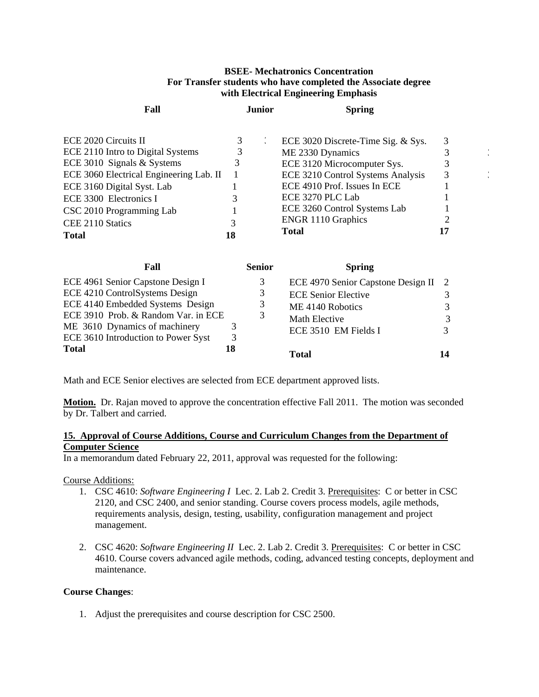#### **BSEE- Mechatronics Concentration For Transfer students who have completed the Associate degree with Electrical Engineering Emphasis**

| Fall                                    |    | .Iunior | <b>Spring</b>                      |    |            |
|-----------------------------------------|----|---------|------------------------------------|----|------------|
| ECE 2020 Circuits II                    |    |         | ECE 3020 Discrete-Time Sig. & Sys. | 3  |            |
| ECE 2110 Intro to Digital Systems       |    |         | ME 2330 Dynamics                   |    | $\epsilon$ |
| ECE 3010 Signals & Systems              | 3  |         | ECE 3120 Microcomputer Sys.        |    |            |
| ECE 3060 Electrical Engineering Lab. II |    |         | ECE 3210 Control Systems Analysis  |    |            |
| ECE 3160 Digital Syst. Lab              |    |         | ECE 4910 Prof. Issues In ECE       |    |            |
| ECE 3300 Electronics I                  |    |         | ECE 3270 PLC Lab                   |    |            |
| CSC 2010 Programming Lab                |    |         | ECE 3260 Control Systems Lab       |    |            |
| CEE 2110 Statics                        | 3  |         | <b>ENGR 1110 Graphics</b>          |    |            |
| <b>Total</b>                            | 18 |         | <b>Total</b>                       | 17 |            |

| Fall                                | <b>Senior</b> | <b>Spring</b>                        |   |
|-------------------------------------|---------------|--------------------------------------|---|
| ECE 4961 Senior Capstone Design I   | 3             | ECE 4970 Senior Capstone Design II 2 |   |
| ECE 4210 ControlSystems Design      | 3             | <b>ECE Senior Elective</b>           |   |
| ECE 4140 Embedded Systems Design    | 3             | ME 4140 Robotics                     |   |
| ECE 3910 Prob. & Random Var. in ECE | 3             | Math Elective                        | 3 |
| ME 3610 Dynamics of machinery       |               | ECE 3510 EM Fields I                 |   |
| ECE 3610 Introduction to Power Syst |               |                                      |   |
| <b>Total</b>                        | 18            | <b>Total</b>                         |   |

Math and ECE Senior electives are selected from ECE department approved lists.

**Motion.** Dr. Rajan moved to approve the concentration effective Fall 2011. The motion was seconded by Dr. Talbert and carried.

## **15. Approval of Course Additions, Course and Curriculum Changes from the Department of Computer Science**

In a memorandum dated February 22, 2011, approval was requested for the following:

## Course Additions:

- 1. CSC 4610: *Software Engineering I* Lec. 2. Lab 2. Credit 3. Prerequisites: C or better in CSC 2120, and CSC 2400, and senior standing. Course covers process models, agile methods, requirements analysis, design, testing, usability, configuration management and project management.
- 2. CSC 4620: *Software Engineering II* Lec. 2. Lab 2. Credit 3. Prerequisites: C or better in CSC 4610. Course covers advanced agile methods, coding, advanced testing concepts, deployment and maintenance.

## **Course Changes**:

1. Adjust the prerequisites and course description for CSC 2500.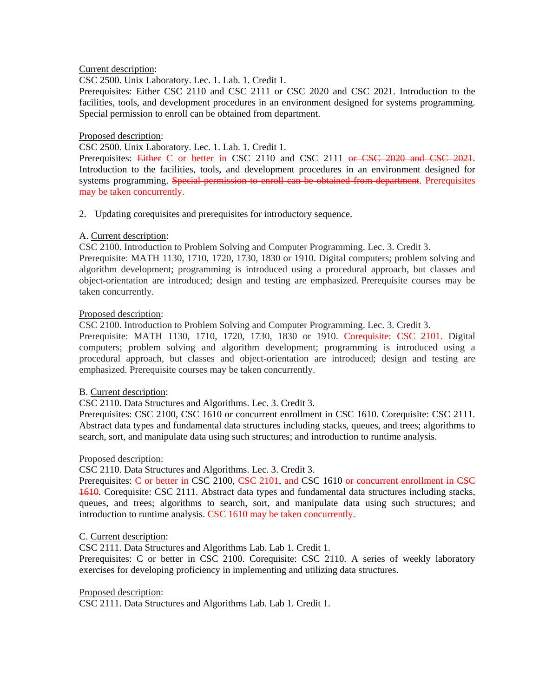#### Current description:

CSC 2500. Unix Laboratory. Lec. 1. Lab. 1. Credit 1.

Prerequisites: Either CSC 2110 and CSC 2111 or CSC 2020 and CSC 2021. Introduction to the facilities, tools, and development procedures in an environment designed for systems programming. Special permission to enroll can be obtained from department.

#### Proposed description:

CSC 2500. Unix Laboratory. Lec. 1. Lab. 1. Credit 1.

Prerequisites: Either C or better in CSC 2110 and CSC 2111 or CSC 2020 and CSC 2021. Introduction to the facilities, tools, and development procedures in an environment designed for systems programming. Special permission to enroll can be obtained from department. Prerequisites may be taken concurrently.

2. Updating corequisites and prerequisites for introductory sequence.

## A. Current description:

CSC 2100. Introduction to Problem Solving and Computer Programming. Lec. 3. Credit 3.

Prerequisite: MATH 1130, 1710, 1720, 1730, 1830 or 1910. Digital computers; problem solving and algorithm development; programming is introduced using a procedural approach, but classes and object-orientation are introduced; design and testing are emphasized. Prerequisite courses may be taken concurrently.

#### Proposed description:

CSC 2100. Introduction to Problem Solving and Computer Programming. Lec. 3. Credit 3.

Prerequisite: MATH 1130, 1710, 1720, 1730, 1830 or 1910. Corequisite: CSC 2101. Digital computers; problem solving and algorithm development; programming is introduced using a procedural approach, but classes and object-orientation are introduced; design and testing are emphasized. Prerequisite courses may be taken concurrently.

## B. Current description:

CSC 2110. Data Structures and Algorithms. Lec. 3. Credit 3.

Prerequisites: CSC 2100, CSC 1610 or concurrent enrollment in CSC 1610. Corequisite: CSC 2111. Abstract data types and fundamental data structures including stacks, queues, and trees; algorithms to search, sort, and manipulate data using such structures; and introduction to runtime analysis.

#### Proposed description:

CSC 2110. Data Structures and Algorithms. Lec. 3. Credit 3.

Prerequisites: C or better in CSC 2100, CSC 2101, and CSC 1610 or concurrent enrollment in CSC 1610. Corequisite: CSC 2111. Abstract data types and fundamental data structures including stacks, queues, and trees; algorithms to search, sort, and manipulate data using such structures; and introduction to runtime analysis. CSC 1610 may be taken concurrently.

## C. Current description:

CSC 2111. Data Structures and Algorithms Lab. Lab 1. Credit 1.

Prerequisites: C or better in CSC 2100. Corequisite: CSC 2110. A series of weekly laboratory exercises for developing proficiency in implementing and utilizing data structures.

Proposed description:

CSC 2111. Data Structures and Algorithms Lab. Lab 1. Credit 1.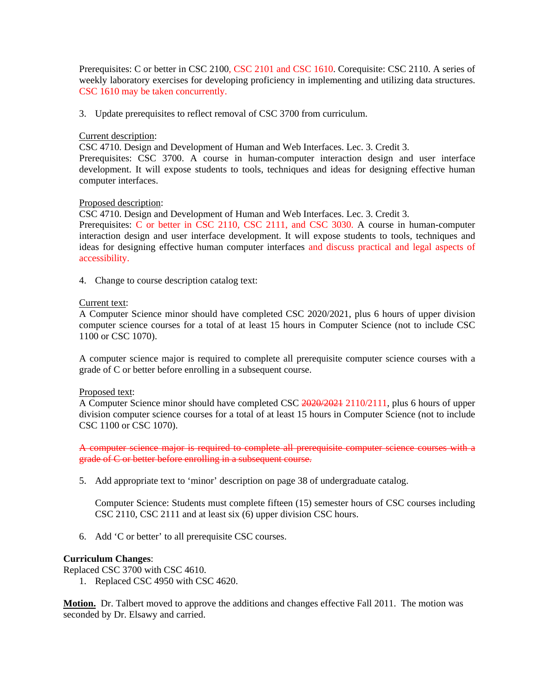Prerequisites: C or better in CSC 2100, CSC 2101 and CSC 1610. Corequisite: CSC 2110. A series of weekly laboratory exercises for developing proficiency in implementing and utilizing data structures. CSC 1610 may be taken concurrently.

3. Update prerequisites to reflect removal of CSC 3700 from curriculum.

#### Current description:

CSC 4710. Design and Development of Human and Web Interfaces. Lec. 3. Credit 3.

Prerequisites: CSC 3700. A course in human-computer interaction design and user interface development. It will expose students to tools, techniques and ideas for designing effective human computer interfaces.

#### Proposed description:

CSC 4710. Design and Development of Human and Web Interfaces. Lec. 3. Credit 3.

Prerequisites: C or better in CSC 2110, CSC 2111, and CSC 3030. A course in human-computer interaction design and user interface development. It will expose students to tools, techniques and ideas for designing effective human computer interfaces and discuss practical and legal aspects of accessibility.

4. Change to course description catalog text:

#### Current text:

A Computer Science minor should have completed CSC 2020/2021, plus 6 hours of upper division computer science courses for a total of at least 15 hours in Computer Science (not to include CSC 1100 or CSC 1070).

A computer science major is required to complete all prerequisite computer science courses with a grade of C or better before enrolling in a subsequent course.

## Proposed text:

A Computer Science minor should have completed CSC 2020/2021 2110/2111, plus 6 hours of upper division computer science courses for a total of at least 15 hours in Computer Science (not to include CSC 1100 or CSC 1070).

A computer science major is required to complete all prerequisite computer science courses with a grade of C or better before enrolling in a subsequent course.

5. Add appropriate text to 'minor' description on page 38 of undergraduate catalog.

Computer Science: Students must complete fifteen (15) semester hours of CSC courses including CSC 2110, CSC 2111 and at least six (6) upper division CSC hours.

6. Add 'C or better' to all prerequisite CSC courses.

## **Curriculum Changes**:

Replaced CSC 3700 with CSC 4610.

1. Replaced CSC 4950 with CSC 4620.

**Motion.** Dr. Talbert moved to approve the additions and changes effective Fall 2011. The motion was seconded by Dr. Elsawy and carried.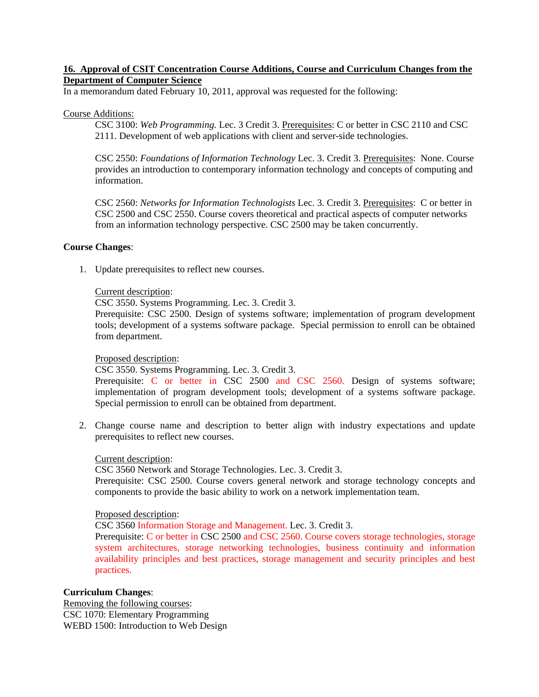#### **16. Approval of CSIT Concentration Course Additions, Course and Curriculum Changes from the Department of Computer Science**

In a memorandum dated February 10, 2011, approval was requested for the following:

#### Course Additions:

CSC 3100: *Web Programming.* Lec. 3 Credit 3. Prerequisites: C or better in CSC 2110 and CSC 2111. Development of web applications with client and server-side technologies.

CSC 2550: *Foundations of Information Technology* Lec. 3. Credit 3. Prerequisites: None. Course provides an introduction to contemporary information technology and concepts of computing and information.

CSC 2560: *Networks for Information Technologists* Lec. 3. Credit 3. Prerequisites: C or better in CSC 2500 and CSC 2550. Course covers theoretical and practical aspects of computer networks from an information technology perspective. CSC 2500 may be taken concurrently.

## **Course Changes**:

1. Update prerequisites to reflect new courses.

#### Current description:

CSC 3550. Systems Programming. Lec. 3. Credit 3.

Prerequisite: CSC 2500. Design of systems software; implementation of program development tools; development of a systems software package. Special permission to enroll can be obtained from department.

## Proposed description:

CSC 3550. Systems Programming. Lec. 3. Credit 3.

Prerequisite: C or better in CSC 2500 and CSC 2560. Design of systems software; implementation of program development tools; development of a systems software package. Special permission to enroll can be obtained from department.

2. Change course name and description to better align with industry expectations and update prerequisites to reflect new courses.

#### Current description:

CSC 3560 Network and Storage Technologies. Lec. 3. Credit 3. Prerequisite: CSC 2500. Course covers general network and storage technology concepts and components to provide the basic ability to work on a network implementation team.

#### Proposed description:

CSC 3560 Information Storage and Management. Lec. 3. Credit 3.

Prerequisite: C or better in CSC 2500 and CSC 2560. Course covers storage technologies, storage system architectures, storage networking technologies, business continuity and information availability principles and best practices, storage management and security principles and best practices.

#### **Curriculum Changes**:

Removing the following courses: CSC 1070: Elementary Programming WEBD 1500: Introduction to Web Design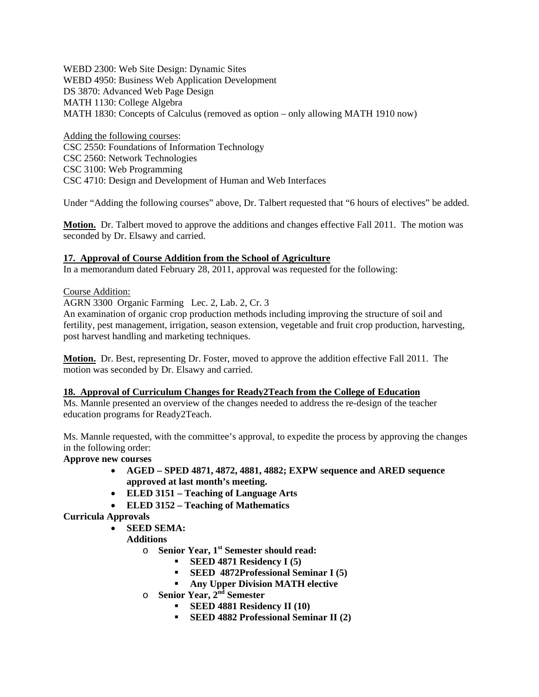WEBD 2300: Web Site Design: Dynamic Sites WEBD 4950: Business Web Application Development DS 3870: Advanced Web Page Design MATH 1130: College Algebra MATH 1830: Concepts of Calculus (removed as option – only allowing MATH 1910 now)

Adding the following courses: CSC 2550: Foundations of Information Technology CSC 2560: Network Technologies CSC 3100: Web Programming CSC 4710: Design and Development of Human and Web Interfaces

Under "Adding the following courses" above, Dr. Talbert requested that "6 hours of electives" be added.

**Motion.** Dr. Talbert moved to approve the additions and changes effective Fall 2011. The motion was seconded by Dr. Elsawy and carried.

## **17. Approval of Course Addition from the School of Agriculture**

In a memorandum dated February 28, 2011, approval was requested for the following:

## Course Addition:

AGRN 3300 Organic Farming Lec. 2, Lab. 2, Cr. 3

An examination of organic crop production methods including improving the structure of soil and fertility, pest management, irrigation, season extension, vegetable and fruit crop production, harvesting, post harvest handling and marketing techniques.

**Motion.** Dr. Best, representing Dr. Foster, moved to approve the addition effective Fall 2011. The motion was seconded by Dr. Elsawy and carried.

## **18. Approval of Curriculum Changes for Ready2Teach from the College of Education**

Ms. Mannle presented an overview of the changes needed to address the re-design of the teacher education programs for Ready2Teach.

Ms. Mannle requested, with the committee's approval, to expedite the process by approving the changes in the following order:

## **Approve new courses**

- **AGED SPED 4871, 4872, 4881, 4882; EXPW sequence and ARED sequence approved at last month's meeting.**
- **ELED 3151 Teaching of Language Arts**
- **ELED 3152 Teaching of Mathematics**

## **Curricula Approvals**

• **SEED SEMA:** 

**Additions** 

- o **Senior Year, 1st Semester should read:** 
	- **SEED 4871 Residency I (5)**
	- **SEED 4872Professional Seminar I (5)**
	- **Any Upper Division MATH elective**
- o **Senior Year, 2nd Semester** 
	- **SEED 4881 Residency II (10)** 
		- **SEED 4882 Professional Seminar II (2)**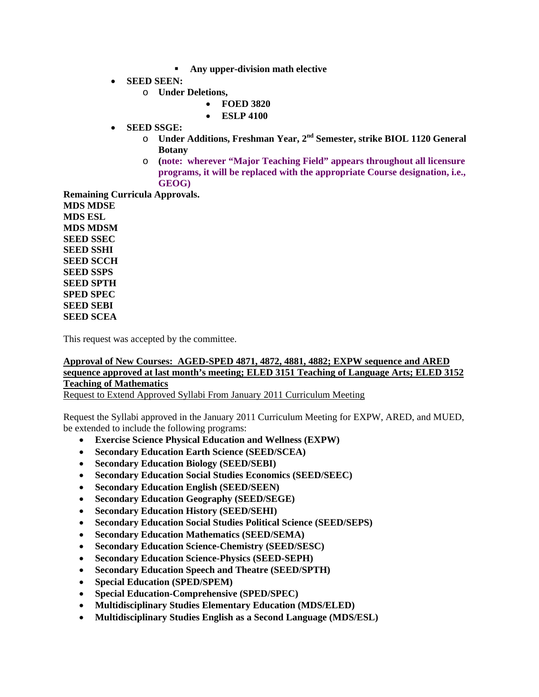- **Any upper-division math elective**
- **SEED SEEN:** 
	- o **Under Deletions,** 
		- **FOED 3820**
		- **ESLP 4100**
- **SEED SSGE:** 
	- o **Under Additions, Freshman Year, 2nd Semester, strike BIOL 1120 General Botany**
	- o **(note: wherever "Major Teaching Field" appears throughout all licensure programs, it will be replaced with the appropriate Course designation, i.e., GEOG)**

**Remaining Curricula Approvals.** 

**MDS MDSE MDS ESL MDS MDSM SEED SSEC SEED SSHI SEED SCCH SEED SSPS SEED SPTH SPED SPEC SEED SEBI SEED SCEA** 

This request was accepted by the committee.

## **Approval of New Courses: AGED-SPED 4871, 4872, 4881, 4882; EXPW sequence and ARED sequence approved at last month's meeting; ELED 3151 Teaching of Language Arts; ELED 3152 Teaching of Mathematics**

Request to Extend Approved Syllabi From January 2011 Curriculum Meeting

Request the Syllabi approved in the January 2011 Curriculum Meeting for EXPW, ARED, and MUED, be extended to include the following programs:

- **Exercise Science Physical Education and Wellness (EXPW)**
- **Secondary Education Earth Science (SEED/SCEA)**
- **Secondary Education Biology (SEED/SEBI)**
- **Secondary Education Social Studies Economics (SEED/SEEC)**
- **Secondary Education English (SEED/SEEN)**
- **Secondary Education Geography (SEED/SEGE)**
- **Secondary Education History (SEED/SEHI)**
- **Secondary Education Social Studies Political Science (SEED/SEPS)**
- **Secondary Education Mathematics (SEED/SEMA)**
- **Secondary Education Science-Chemistry (SEED/SESC)**
- **Secondary Education Science-Physics (SEED-SEPH)**
- **Secondary Education Speech and Theatre (SEED/SPTH)**
- **Special Education (SPED/SPEM)**
- **Special Education-Comprehensive (SPED/SPEC)**
- **Multidisciplinary Studies Elementary Education (MDS/ELED)**
- **Multidisciplinary Studies English as a Second Language (MDS/ESL)**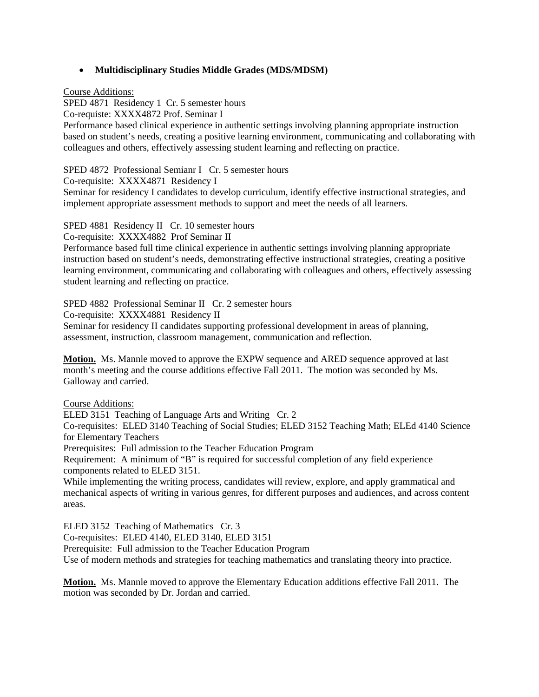## • **Multidisciplinary Studies Middle Grades (MDS/MDSM)**

#### Course Additions:

SPED 4871 Residency 1 Cr. 5 semester hours

Co-requiste: XXXX4872 Prof. Seminar I

Performance based clinical experience in authentic settings involving planning appropriate instruction based on student's needs, creating a positive learning environment, communicating and collaborating with colleagues and others, effectively assessing student learning and reflecting on practice.

SPED 4872 Professional Semianr I Cr. 5 semester hours

Co-requisite: XXXX4871 Residency I

Seminar for residency I candidates to develop curriculum, identify effective instructional strategies, and implement appropriate assessment methods to support and meet the needs of all learners.

SPED 4881 Residency II Cr. 10 semester hours

Co-requisite: XXXX4882 Prof Seminar II

Performance based full time clinical experience in authentic settings involving planning appropriate instruction based on student's needs, demonstrating effective instructional strategies, creating a positive learning environment, communicating and collaborating with colleagues and others, effectively assessing student learning and reflecting on practice.

SPED 4882 Professional Seminar II Cr. 2 semester hours

Co-requisite: XXXX4881 Residency II

Seminar for residency II candidates supporting professional development in areas of planning, assessment, instruction, classroom management, communication and reflection.

**Motion.** Ms. Mannle moved to approve the EXPW sequence and ARED sequence approved at last month's meeting and the course additions effective Fall 2011. The motion was seconded by Ms. Galloway and carried.

Course Additions:

ELED 3151 Teaching of Language Arts and Writing Cr. 2

Co-requisites: ELED 3140 Teaching of Social Studies; ELED 3152 Teaching Math; ELEd 4140 Science for Elementary Teachers

Prerequisites: Full admission to the Teacher Education Program

Requirement: A minimum of "B" is required for successful completion of any field experience components related to ELED 3151.

While implementing the writing process, candidates will review, explore, and apply grammatical and mechanical aspects of writing in various genres, for different purposes and audiences, and across content areas.

ELED 3152 Teaching of Mathematics Cr. 3 Co-requisites: ELED 4140, ELED 3140, ELED 3151 Prerequisite: Full admission to the Teacher Education Program Use of modern methods and strategies for teaching mathematics and translating theory into practice.

**Motion.** Ms. Mannle moved to approve the Elementary Education additions effective Fall 2011. The motion was seconded by Dr. Jordan and carried.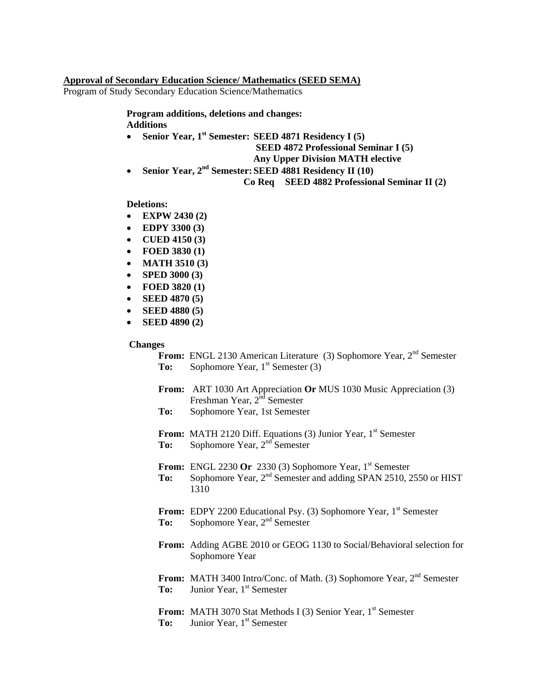#### **Approval of Secondary Education Science/ Mathematics (SEED SEMA)**

Program of Study Secondary Education Science/Mathematics

 **Program additions, deletions and changes: Additions** 

• **Senior Year, 1st Semester: SEED 4871 Residency I (5)** 

 **SEED 4872 Professional Seminar I (5)** 

 **Any Upper Division MATH elective** 

• **Senior Year, 2nd Semester: SEED 4881 Residency II (10) Co Req SEED 4882 Professional Seminar II (2)** 

#### **Deletions:**

- **EXPW 2430 (2)**
- **EDPY 3300 (3)**
- **CUED 4150 (3)**
- **FOED 3830 (1)**
- **MATH 3510 (3)**
- **SPED 3000 (3)**
- **FOED 3820 (1)**
- **SEED 4870 (5)**
- **SEED 4880 (5)**
- **SEED 4890 (2)**

#### **Changes**

**From:** ENGL 2130 American Literature (3) Sophomore Year, 2<sup>nd</sup> Semester **To:** Sophomore Year, 1<sup>st</sup> Semester (3)

- **From:** ART 1030 Art Appreciation **Or** MUS 1030 Music Appreciation (3) Freshman Year,  $2<sup>nd</sup>$  Semester
- **To:** Sophomore Year, 1st Semester

**From:** MATH 2120 Diff. Equations (3) Junior Year, 1<sup>st</sup> Semester To: Sophomore Year, 2<sup>nd</sup> Semester

**From:** ENGL 2230 Or 2330 (3) Sophomore Year, 1<sup>st</sup> Semester

To: Sophomore Year, 2<sup>nd</sup> Semester and adding SPAN 2510, 2550 or HIST 1310

- **From:** EDPY 2200 Educational Psy. (3) Sophomore Year, 1<sup>st</sup> Semester
- To: Sophomore Year, 2<sup>nd</sup> Semester
- **From:** Adding AGBE 2010 or GEOG 1130 to Social/Behavioral selection for Sophomore Year

From: MATH 3400 Intro/Conc. of Math. (3) Sophomore Year, 2<sup>nd</sup> Semester **To:** Junior Year, 1<sup>st</sup> Semester

**From:** MATH 3070 Stat Methods I (3) Senior Year, 1<sup>st</sup> Semester **To:** Junior Year, 1<sup>st</sup> Semester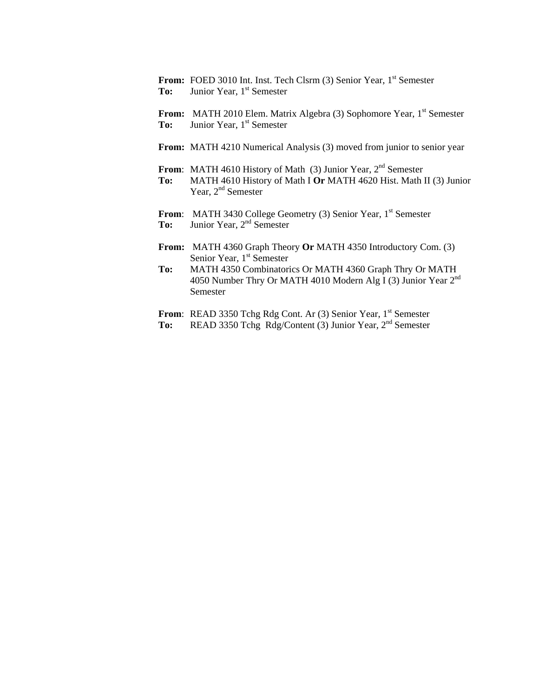**From:** FOED 3010 Int. Inst. Tech Clsrm (3) Senior Year, 1<sup>st</sup> Semester **To:** Junior Year, 1<sup>st</sup> Semester

- **From:** MATH 2010 Elem. Matrix Algebra (3) Sophomore Year, 1<sup>st</sup> Semester **To:** Junior Year, 1<sup>st</sup> Semester
- **From:** MATH 4210 Numerical Analysis (3) moved from junior to senior year
- **From**: MATH 4610 History of Math (3) Junior Year, 2<sup>nd</sup> Semester
- **To:** MATH 4610 History of Math I **Or** MATH 4620 Hist. Math II (3) Junior Year, 2<sup>nd</sup> Semester
- From: MATH 3430 College Geometry (3) Senior Year, 1<sup>st</sup> Semester To: Junior Year, 2<sup>nd</sup> Semester
- **From:** MATH 4360 Graph Theory **Or** MATH 4350 Introductory Com. (3) Senior Year, 1<sup>st</sup> Semester
- **To:** MATH 4350 Combinatorics Or MATH 4360 Graph Thry Or MATH 4050 Number Thry Or MATH 4010 Modern Alg I (3) Junior Year 2nd Semester
- From: READ 3350 Tchg Rdg Cont. Ar (3) Senior Year, 1<sup>st</sup> Semester **To:** READ 3350 Tchg Rdg/Content (3) Junior Year, 2nd Semester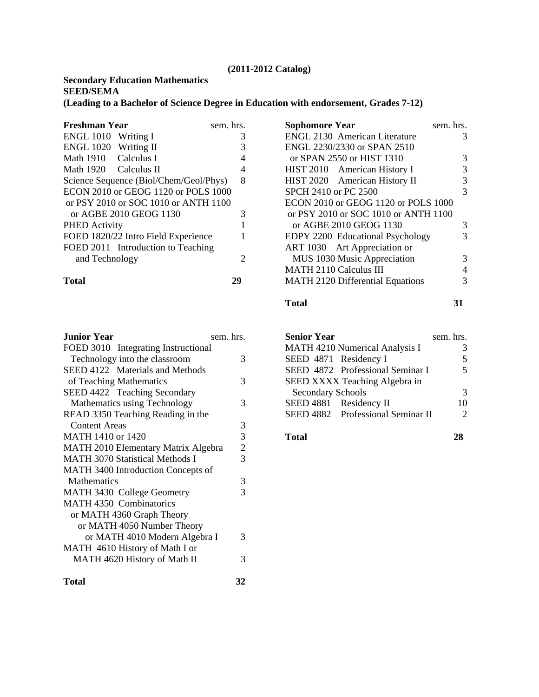## **Secondary Education Mathematics SEED/SEMA**

## **(Leading to a Bachelor of Science Degree in Education with endorsement, Grades 7-12)**

| <b>Freshman Year</b>                   | sem. hrs. |
|----------------------------------------|-----------|
| ENGL 1010<br>Writing I                 | 3         |
| ENGL 1020 Writing II                   | 3         |
| Math 1910 Calculus I                   | 4         |
| Math 1920 Calculus II                  |           |
| Science Sequence (Biol/Chem/Geol/Phys) | 8         |
| ECON 2010 or GEOG 1120 or POLS 1000    |           |
| or PSY 2010 or SOC 1010 or ANTH 1100   |           |
| or AGBE 2010 GEOG 1130                 | 3         |
| <b>PHED Activity</b>                   |           |
| FOED 1820/22 Intro Field Experience    |           |
| FOED 2011 Introduction to Teaching     |           |
| and Technology                         |           |
|                                        |           |

**Total 29** 

| Junior Year                            | sem. hrs.      |
|----------------------------------------|----------------|
| FOED 3010 Integrating Instructional    |                |
| Technology into the classroom          | 3              |
| SEED 4122 Materials and Methods        |                |
| of Teaching Mathematics                | 3              |
| SEED 4422 Teaching Secondary           |                |
| Mathematics using Technology           | 3              |
| READ 3350 Teaching Reading in the      |                |
| <b>Content Areas</b>                   | 3              |
| MATH 1410 or 1420                      | $\overline{3}$ |
| MATH 2010 Elementary Matrix Algebra    | $\mathbf{2}$   |
| <b>MATH 3070 Statistical Methods I</b> | 3              |
| MATH 3400 Introduction Concepts of     |                |
| Mathematics                            | 3              |
| MATH 3430 College Geometry             | 3              |
| <b>MATH 4350 Combinatorics</b>         |                |
| or MATH 4360 Graph Theory              |                |
| or MATH 4050 Number Theory             |                |
| or MATH 4010 Modern Algebra I          | 3              |
| MATH 4610 History of Math I or         |                |
| MATH 4620 History of Math II           | 3              |
|                                        |                |

| <b>Sophomore Year</b>                   | sem. hrs. |
|-----------------------------------------|-----------|
| <b>ENGL 2130 American Literature</b>    | 3         |
| ENGL 2230/2330 or SPAN 2510             |           |
| or SPAN 2550 or HIST 1310               | 3         |
| HIST 2010 American History I            | 3         |
| HIST 2020 American History II           | 3         |
| SPCH 2410 or PC 2500                    | 3         |
| ECON 2010 or GEOG 1120 or POLS 1000     |           |
| or PSY 2010 or SOC 1010 or ANTH 1100    |           |
| or AGBE 2010 GEOG 1130                  | 3         |
| EDPY 2200 Educational Psychology        | 3         |
| ART 1030 Art Appreciation or            |           |
| MUS 1030 Music Appreciation             |           |
| <b>MATH 2110 Calculus III</b>           |           |
| <b>MATH 2120 Differential Equations</b> |           |

## **Total 31**

| <b>Senior Year</b>                | sem. hrs. |
|-----------------------------------|-----------|
| MATH 4210 Numerical Analysis I    |           |
| SEED 4871 Residency I             | 5         |
| SEED 4872 Professional Seminar I  | 5         |
| SEED XXXX Teaching Algebra in     |           |
| Secondary Schools                 | 3         |
| SEED 4881 Residency II            | 10        |
| SEED 4882 Professional Seminar II |           |
|                                   |           |

**Total 28**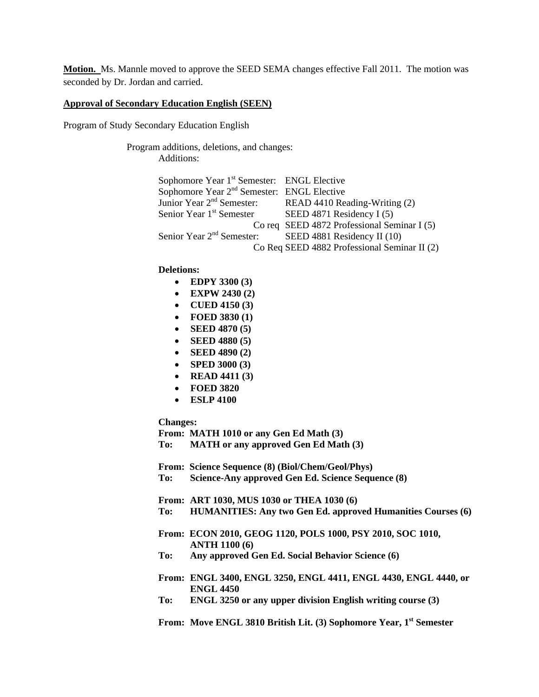**Motion.** Ms. Mannle moved to approve the SEED SEMA changes effective Fall 2011. The motion was seconded by Dr. Jordan and carried.

#### **Approval of Secondary Education English (SEEN)**

Program of Study Secondary Education English

Program additions, deletions, and changes: Additions:

> Sophomore Year 1<sup>st</sup> Semester: ENGL Elective Sophomore Year 2<sup>nd</sup> Semester: ENGL Elective<br>Junior Year 2<sup>nd</sup> Semester: READ 4410 Re. Junior Year 2<sup>nd</sup> Semester: READ 4410 Reading-Writing (2)<br>Senior Year 1<sup>st</sup> Semester SEED 4871 Residency I (5) SEED 4871 Residency I  $(5)$  Co req SEED 4872 Professional Seminar I (5) Senior Year 2<sup>nd</sup> Semester: SEED 4881 Residency II (10) Co Req SEED 4882 Professional Seminar II (2)

#### **Deletions:**

- **EDPY 3300 (3)**
- **EXPW 2430 (2)**
- **CUED 4150 (3)**
- **FOED 3830 (1)**
- **SEED 4870 (5)**
- **SEED 4880 (5)**
- **SEED 4890 (2)**
- **SPED 3000 (3)**
- **READ 4411 (3)**
- **FOED 3820**
- **ESLP 4100**

#### **Changes:**

**From: MATH 1010 or any Gen Ed Math (3)** 

**From: Science Sequence (8) (Biol/Chem/Geol/Phys) To: Science-Any approved Gen Ed. Science Sequence (8)** 

**From: ART 1030, MUS 1030 or THEA 1030 (6)** 

- **To: HUMANITIES: Any two Gen Ed. approved Humanities Courses (6)**
- **From: ECON 2010, GEOG 1120, POLS 1000, PSY 2010, SOC 1010, ANTH 1100 (6)**
- **To: Any approved Gen Ed. Social Behavior Science (6)**
- **From: ENGL 3400, ENGL 3250, ENGL 4411, ENGL 4430, ENGL 4440, or ENGL 4450**
- **To: ENGL 3250 or any upper division English writing course (3)**

From: Move ENGL 3810 British Lit. (3) Sophomore Year, 1<sup>st</sup> Semester

**To: MATH or any approved Gen Ed Math (3)**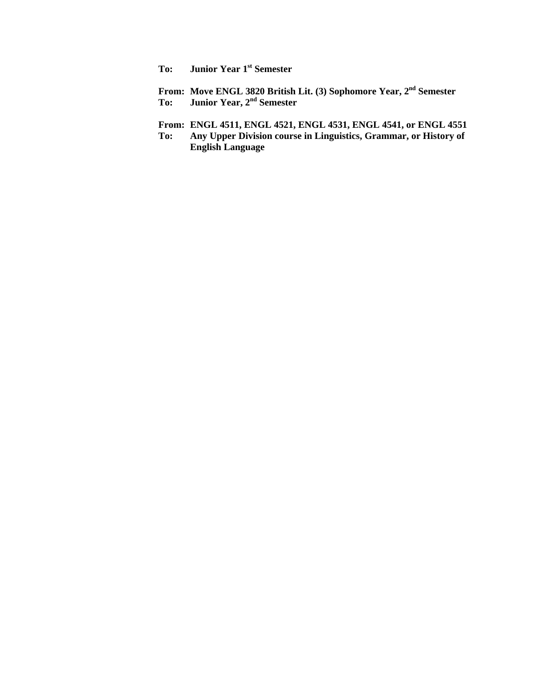**To: Junior Year 1st Semester** 

**From: Move ENGL 3820 British Lit. (3) Sophomore Year, 2nd Semester To: Junior Year, 2nd Semester** 

**From: ENGL 4511, ENGL 4521, ENGL 4531, ENGL 4541, or ENGL 4551 To: Any Upper Division course in Linguistics, Grammar, or History of English Language**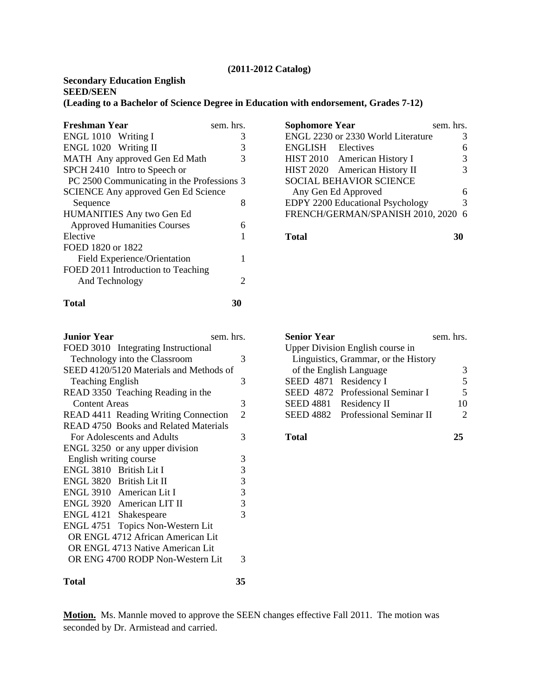## **Secondary Education English SEED/SEEN**

## **(Leading to a Bachelor of Science Degree in Education with endorsement, Grades 7-12)**

| <b>Freshman Year</b>                       | sem. hrs. |
|--------------------------------------------|-----------|
| ENGL 1010 Writing I                        | 3         |
| ENGL 1020 Writing II                       | 3         |
| MATH Any approved Gen Ed Math              | 3         |
| SPCH 2410 Intro to Speech or               |           |
| PC 2500 Communicating in the Professions 3 |           |
| <b>SCIENCE Any approved Gen Ed Science</b> |           |
| Sequence                                   | 8         |
| <b>HUMANITIES</b> Any two Gen Ed           |           |
| <b>Approved Humanities Courses</b>         |           |
| Elective                                   |           |
| FOED 1820 or 1822                          |           |
| Field Experience/Orientation               | 1         |
| FOED 2011 Introduction to Teaching         |           |
| And Technology                             |           |
|                                            |           |

**Total 30** 

| Junior Year<br>sem. hrs.                     |                |
|----------------------------------------------|----------------|
| FOED 3010 Integrating Instructional          |                |
| Technology into the Classroom                | 3              |
| SEED 4120/5120 Materials and Methods of      |                |
| <b>Teaching English</b>                      | 3              |
| READ 3350 Teaching Reading in the            |                |
| Content Areas                                | 3              |
| READ 4411 Reading Writing Connection         | $\overline{2}$ |
| <b>READ 4750 Books and Related Materials</b> |                |
| For Adolescents and Adults                   | 3              |
| ENGL 3250 or any upper division              |                |
| English writing course                       | 3              |
| ENGL 3810 British Lit I                      | 3              |
| ENGL 3820 British Lit II                     | 3              |
| ENGL 3910 American Lit I                     | 3              |
| ENGL 3920 American LIT II                    | 3              |
| ENGL 4121 Shakespeare                        | 3              |
| ENGL 4751 Topics Non-Western Lit             |                |
| OR ENGL 4712 African American Lit            |                |
| OR ENGL 4713 Native American Lit             |                |
| OR ENG 4700 RODP Non-Western Lit             | 3              |
|                                              |                |
| Total                                        | 35             |

| <b>Sophomore Year</b>              | sem. hrs. |
|------------------------------------|-----------|
| ENGL 2230 or 2330 World Literature |           |
| <b>ENGLISH</b> Electives           |           |
| HIST 2010 American History I       | 3         |
| HIST 2020 American History II      | 3         |
| <b>SOCIAL BEHAVIOR SCIENCE</b>     |           |
| Any Gen Ed Approved                |           |
| EDPY 2200 Educational Psychology   | 3         |
| FRENCH/GERMAN/SPANISH 2010, 2020   | 6         |
|                                    |           |

**Total 30** 

**Senior Year** sem. hrs. Upper Division English course in Linguistics, Grammar, or the History of the English Language 3<br>EED 4871 Residency I 5 SEED 4871 Residency I 5<br>SEED 4872 Professional Seminar I 5 SEED 4872 Professional Seminar I SEED 4881 Residency II 10 SEED 4882 Professional Seminar II 2

**Total 25** 

**Motion.** Ms. Mannle moved to approve the SEEN changes effective Fall 2011. The motion was seconded by Dr. Armistead and carried.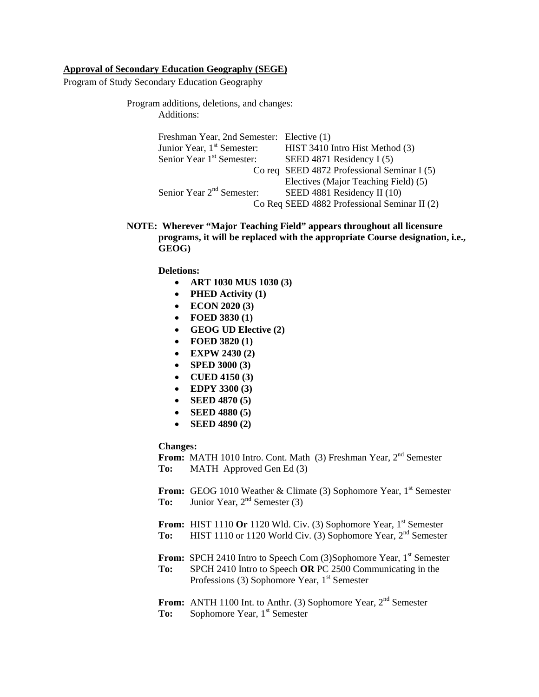#### **Approval of Secondary Education Geography (SEGE)**

Program of Study Secondary Education Geography

Program additions, deletions, and changes: Additions:

| Freshman Year, 2nd Semester: Elective (1) |                                              |
|-------------------------------------------|----------------------------------------------|
| Junior Year, 1 <sup>st</sup> Semester:    | HIST 3410 Intro Hist Method (3)              |
| Senior Year 1 <sup>st</sup> Semester:     | SEED 4871 Residency $I(5)$                   |
|                                           | Co req SEED 4872 Professional Seminar I (5)  |
|                                           | Electives (Major Teaching Field) (5)         |
| Senior Year 2 <sup>nd</sup> Semester:     | SEED 4881 Residency II (10)                  |
|                                           | Co Req SEED 4882 Professional Seminar II (2) |
|                                           |                                              |

#### **NOTE: Wherever "Major Teaching Field" appears throughout all licensure programs, it will be replaced with the appropriate Course designation, i.e., GEOG)**

 **Deletions:** 

- **ART 1030 MUS 1030 (3)**
- **PHED Activity (1)**
- **ECON 2020 (3)**
- **FOED 3830 (1)**
- **GEOG UD Elective (2)**
- **FOED 3820 (1)**
- **EXPW 2430 (2)**
- **SPED 3000 (3)**
- **CUED 4150 (3)**
- **EDPY 3300 (3)**
- **SEED 4870 (5)**
- **SEED 4880 (5)**
- **SEED 4890 (2)**

 **Changes:** 

From: MATH 1010 Intro. Cont. Math (3) Freshman Year, 2<sup>nd</sup> Semester **To:** MATH Approved Gen Ed (3)

From: GEOG 1010 Weather & Climate (3) Sophomore Year, 1<sup>st</sup> Semester To: Junior Year, 2<sup>nd</sup> Semester (3)

**From:** HIST 1110 Or 1120 Wld. Civ. (3) Sophomore Year, 1<sup>st</sup> Semester **To:** HIST 1110 or 1120 World Civ. (3) Sophomore Year, 2<sup>nd</sup> Semester

**From:** SPCH 2410 Intro to Speech Com (3)Sophomore Year, 1<sup>st</sup> Semester **To:** SPCH 2410 Intro to Speech **OR** PC 2500 Communicating in the Professions (3) Sophomore Year, 1<sup>st</sup> Semester

**From:** ANTH 1100 Int. to Anthr. (3) Sophomore Year, 2<sup>nd</sup> Semester To: Sophomore Year, 1<sup>st</sup> Semester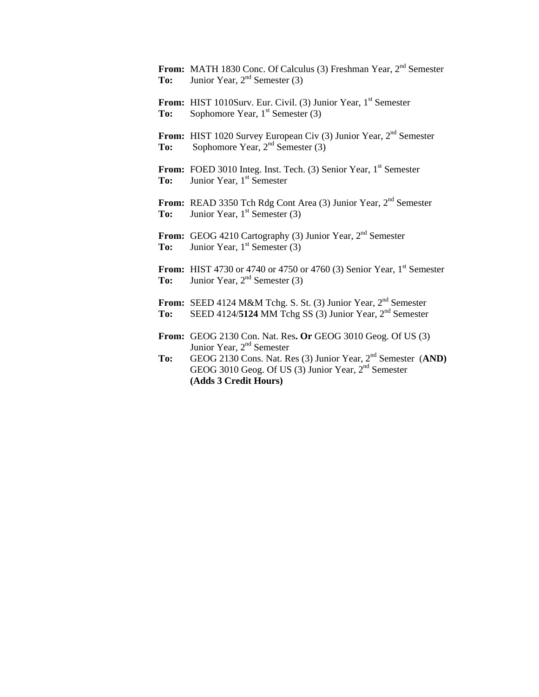From: MATH 1830 Conc. Of Calculus (3) Freshman Year, 2<sup>nd</sup> Semester **To:** Junior Year, 2<sup>nd</sup> Semester (3) From: HIST 1010Surv. Eur. Civil. (3) Junior Year, 1<sup>st</sup> Semester **To:** Sophomore Year, 1<sup>st</sup> Semester (3) **From:** HIST 1020 Survey European Civ (3) Junior Year, 2<sup>nd</sup> Semester To: Sophomore Year, 2<sup>nd</sup> Semester (3) **From:** FOED 3010 Integ. Inst. Tech. (3) Senior Year, 1<sup>st</sup> Semester **To:** Junior Year, 1<sup>st</sup> Semester From: READ 3350 Tch Rdg Cont Area (3) Junior Year, 2<sup>nd</sup> Semester **To:** Junior Year, 1<sup>st</sup> Semester (3) **From:** GEOG 4210 Cartography (3) Junior Year, 2<sup>nd</sup> Semester **To:** Junior Year, 1<sup>st</sup> Semester (3) **From:** HIST 4730 or 4740 or 4750 or 4760 (3) Senior Year, 1<sup>st</sup> Semester To: Junior Year, 2<sup>nd</sup> Semester (3) **From:** SEED 4124 M&M Tchg. S. St. (3) Junior Year, 2<sup>nd</sup> Semester **To:** SEED 4124/**5124** MM Tchg SS (3) Junior Year, 2nd Semester **From:** GEOG 2130 Con. Nat. Res**. Or** GEOG 3010 Geog. Of US (3) Junior Year, 2<sup>nd</sup> Semester **To:** GEOG 2130 Cons. Nat. Res (3) Junior Year, 2nd Semester (**AND)**  GEOG 3010 Geog. Of US (3) Junior Year, 2nd Semester **(Adds 3 Credit Hours)**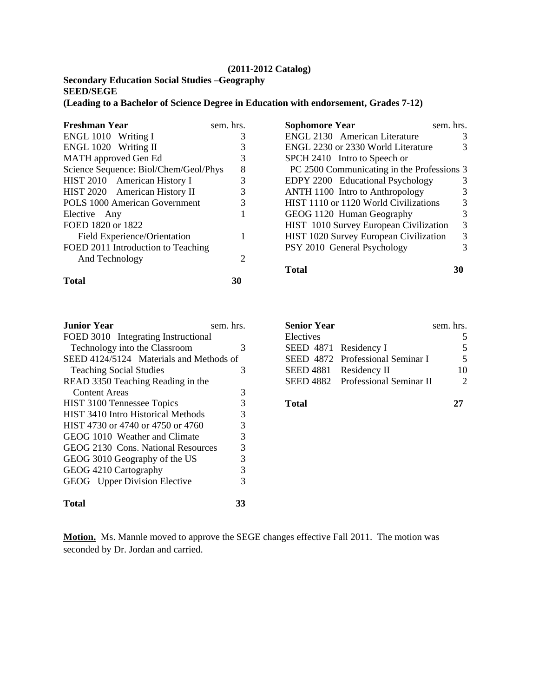#### **(2011-2012 Catalog)**

## **Secondary Education Social Studies –Geography SEED/SEGE**

**(Leading to a Bachelor of Science Degree in Education with endorsement, Grades 7-12)** 

| <b>Freshman Year</b>                  | sem. hrs. |
|---------------------------------------|-----------|
| ENGL 1010 Writing I                   | 3         |
| ENGL 1020 Writing II                  | 3         |
| <b>MATH</b> approved Gen Ed           | 3         |
| Science Sequence: Biol/Chem/Geol/Phys | 8         |
| HIST 2010 American History I          | 3         |
| HIST 2020 American History II         | 3         |
| POLS 1000 American Government         | 3         |
| Elective Any                          |           |
| FOED 1820 or 1822                     |           |
| Field Experience/Orientation          |           |
| FOED 2011 Introduction to Teaching    |           |
| And Technology                        |           |
| Total                                 | 30        |

| <b>Sophomore Year</b>                      | sem. hrs. |
|--------------------------------------------|-----------|
| <b>ENGL 2130</b> American Literature       |           |
| ENGL 2230 or 2330 World Literature         |           |
| SPCH 2410 Intro to Speech or               |           |
| PC 2500 Communicating in the Professions 3 |           |
| EDPY 2200 Educational Psychology           |           |
| ANTH 1100 Intro to Anthropology            |           |
| HIST 1110 or 1120 World Civilizations      | 3         |
| GEOG 1120 Human Geography                  | 3         |
| HIST 1010 Survey European Civilization     | 3         |
| HIST 1020 Survey European Civilization     | 3         |
| PSY 2010 General Psychology                |           |
|                                            |           |

**Total 30**

| <b>Junior Year</b>                        | sem. hrs. |
|-------------------------------------------|-----------|
| FOED 3010 Integrating Instructional       |           |
| Technology into the Classroom             | 3         |
| SEED 4124/5124 Materials and Methods of   |           |
| <b>Teaching Social Studies</b>            | 3         |
| READ 3350 Teaching Reading in the         |           |
| Content Areas                             | 3         |
| HIST 3100 Tennessee Topics                | 3         |
| <b>HIST 3410 Intro Historical Methods</b> | 3         |
| HIST 4730 or 4740 or 4750 or 4760         | 3         |
| GEOG 1010 Weather and Climate             | 3         |
| GEOG 2130 Cons. National Resources        | 3         |
| GEOG 3010 Geography of the US             | 3         |
| GEOG 4210 Cartography                     | 3         |
| GEOG Upper Division Elective              | 3         |
| <b>Total</b>                              | 33        |

| <b>Senior Year</b>    |                                   | sem. hrs.      |
|-----------------------|-----------------------------------|----------------|
| Electives             |                                   |                |
| SEED 4871 Residency I |                                   | 5              |
|                       | SEED 4872 Professional Seminar I  | $\overline{5}$ |
|                       | SEED 4881 Residency II            | 10             |
|                       | SEED 4882 Professional Seminar II |                |
| <b>Total</b>          |                                   |                |

**Motion.** Ms. Mannle moved to approve the SEGE changes effective Fall 2011. The motion was seconded by Dr. Jordan and carried.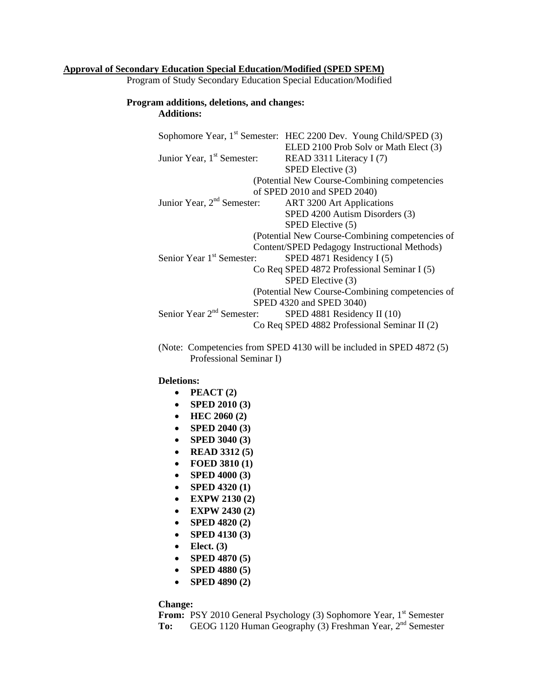#### **Approval of Secondary Education Special Education/Modified (SPED SPEM)**

Program of Study Secondary Education Special Education/Modified

#### **Program additions, deletions, and changes: Additions:**

|                                        | Sophomore Year, 1 <sup>st</sup> Semester: HEC 2200 Dev. Young Child/SPED (3) |
|----------------------------------------|------------------------------------------------------------------------------|
|                                        | ELED 2100 Prob Solv or Math Elect (3)                                        |
| Junior Year, 1 <sup>st</sup> Semester: | READ 3311 Literacy I (7)                                                     |
|                                        | SPED Elective (3)                                                            |
|                                        | (Potential New Course-Combining competencies                                 |
|                                        | of SPED 2010 and SPED 2040)                                                  |
| Junior Year, $2nd$ Semester:           | <b>ART 3200 Art Applications</b>                                             |
|                                        | SPED 4200 Autism Disorders (3)                                               |
|                                        | SPED Elective (5)                                                            |
|                                        | (Potential New Course-Combining competencies of                              |
|                                        | Content/SPED Pedagogy Instructional Methods)                                 |
| Senior Year 1 <sup>st</sup> Semester:  | SPED 4871 Residency $I(5)$                                                   |
|                                        | Co Req SPED 4872 Professional Seminar I (5)                                  |
|                                        | SPED Elective (3)                                                            |
|                                        | (Potential New Course-Combining competencies of                              |
|                                        | SPED 4320 and SPED 3040)                                                     |
| Senior Year 2 <sup>nd</sup> Semester:  | SPED 4881 Residency II (10)                                                  |
|                                        | Co Req SPED 4882 Professional Seminar II (2)                                 |
|                                        |                                                                              |

(Note: Competencies from SPED 4130 will be included in SPED 4872 (5) Professional Seminar I)

#### **Deletions:**

- **PEACT (2)**
- **SPED 2010 (3)**
- **HEC 2060 (2)**
- **SPED 2040 (3)**
- **SPED 3040 (3)**
- **READ 3312 (5)**
- **FOED 3810 (1)**
- **SPED 4000 (3)**
- **SPED 4320 (1)**
- **EXPW 2130 (2)**
- **EXPW 2430 (2)**
- **SPED 4820 (2)**
- **SPED 4130 (3)**
- **Elect. (3)**
- **SPED 4870 (5)**
- **SPED 4880 (5)**
- **SPED 4890 (2)**

#### **Change:**

**From:** PSY 2010 General Psychology (3) Sophomore Year, 1<sup>st</sup> Semester To: GEOG 1120 Human Geography (3) Freshman Year, 2<sup>nd</sup> Semester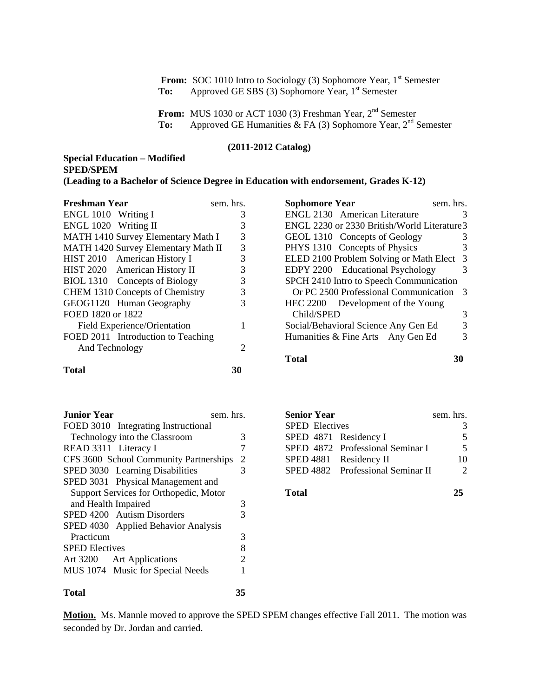**From:** SOC 1010 Intro to Sociology (3) Sophomore Year, 1<sup>st</sup> Semester **To:** Approved GE SBS (3) Sophomore Year, 1<sup>st</sup> Semester

From: MUS 1030 or ACT 1030 (3) Freshman Year, 2<sup>nd</sup> Semester **To:** Approved GE Humanities & FA (3) Sophomore Year,  $2^{nd}$  Semester

## **(2011-2012 Catalog)**

#### **Special Education – Modified SPED/SPEM (Leading to a Bachelor of Science Degree in Education with endorsement, Grades K-12)**

| <b>Freshman Year</b>                | sem. hrs. |
|-------------------------------------|-----------|
| ENGL 1010 Writing I                 |           |
| ENGL 1020 Writing II                | 3         |
| MATH 1410 Survey Elementary Math I  | 3         |
| MATH 1420 Survey Elementary Math II | 3         |
| HIST 2010 American History I        | 3         |
| HIST 2020 American History II       | 3         |
| BIOL 1310 Concepts of Biology       | 3         |
| CHEM 1310 Concepts of Chemistry     | 3         |
| GEOG1120 Human Geography            | 3         |
| FOED 1820 or 1822                   |           |
| Field Experience/Orientation        |           |
| FOED 2011 Introduction to Teaching  |           |
| And Technology                      |           |
|                                     |           |

**Total 30** 

| <b>Junior Year</b><br>sem. hrs.        |                |
|----------------------------------------|----------------|
| FOED 3010 Integrating Instructional    |                |
| Technology into the Classroom          | 3              |
| READ 3311 Literacy I                   |                |
| CFS 3600 School Community Partnerships | $\overline{2}$ |
| SPED 3030 Learning Disabilities        | 3              |
| SPED 3031 Physical Management and      |                |
| Support Services for Orthopedic, Motor |                |
| and Health Impaired                    | 3              |
| SPED 4200 Autism Disorders             | 3              |
| SPED 4030 Applied Behavior Analysis    |                |
| Practicum                              | 3              |
| <b>SPED Electives</b>                  | 8              |
| Art 3200 Art Applications              | 2              |
| MUS 1074 Music for Special Needs       | 1              |
| Total                                  | 35             |

| <b>Sophomore Year</b>                        | sem. hrs. |
|----------------------------------------------|-----------|
| <b>ENGL 2130 American Literature</b>         | 3         |
| ENGL 2230 or 2330 British/World Literature 3 |           |
| GEOL 1310 Concepts of Geology                | 3         |
| PHYS 1310 Concepts of Physics                | 3         |
| ELED 2100 Problem Solving or Math Elect      | 3         |
| <b>EDPY 2200</b> Educational Psychology      | 3         |
| SPCH 2410 Intro to Speech Communication      |           |
| Or PC 2500 Professional Communication        | 3         |
| HEC 2200 Development of the Young            |           |
| Child/SPED                                   | 3         |
| Social/Behavioral Science Any Gen Ed         | 3         |
| Humanities & Fine Arts Any Gen Ed            | 3         |
|                                              |           |

**Total 30**

| <b>Senior Year</b>    |                                   | sem. hrs. |
|-----------------------|-----------------------------------|-----------|
| <b>SPED Electives</b> |                                   |           |
|                       | SPED 4871 Residency I             | $\sim$    |
|                       | SPED 4872 Professional Seminar I  | $\sim$    |
|                       | SPED 4881 Residency II            | 10        |
|                       | SPED 4882 Professional Seminar II |           |
|                       |                                   |           |

**Total 25** 

**Motion.** Ms. Mannle moved to approve the SPED SPEM changes effective Fall 2011. The motion was seconded by Dr. Jordan and carried.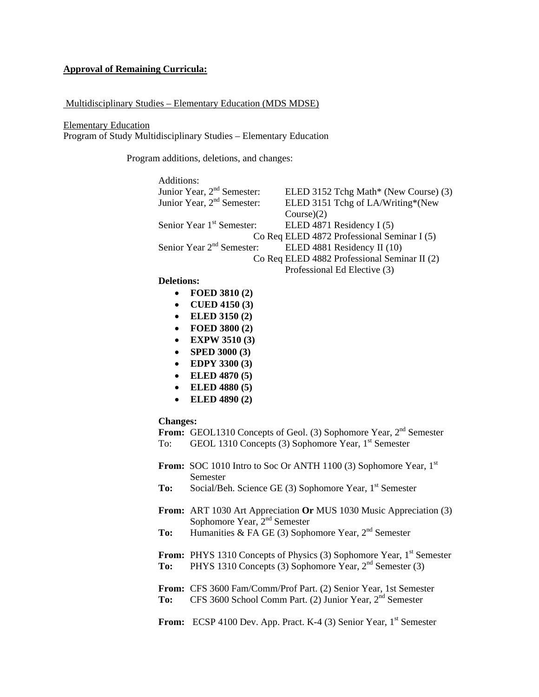## **Approval of Remaining Curricula:**

Multidisciplinary Studies – Elementary Education (MDS MDSE)

## Elementary Education

Program of Study Multidisciplinary Studies – Elementary Education

Program additions, deletions, and changes:

| Additions:        |                                          |                                                                                         |
|-------------------|------------------------------------------|-----------------------------------------------------------------------------------------|
|                   | Junior Year, 2 <sup>nd</sup> Semester:   | ELED 3152 Tchg Math* (New Course) (3)                                                   |
|                   | Junior Year, 2 <sup>nd</sup> Semester:   | ELED 3151 Tchg of LA/Writing*(New                                                       |
|                   |                                          | Course)(2)                                                                              |
|                   | Senior Year 1 <sup>st</sup> Semester:    | ELED 4871 Residency I (5)                                                               |
|                   |                                          | Co Req ELED 4872 Professional Seminar I (5)                                             |
|                   | Senior Year 2 <sup>nd</sup> Semester:    | ELED 4881 Residency II (10)                                                             |
|                   |                                          | Co Req ELED 4882 Professional Seminar II (2)                                            |
| <b>Deletions:</b> |                                          | Professional Ed Elective (3)                                                            |
| $\bullet$         | <b>FOED 3810 (2)</b>                     |                                                                                         |
| $\bullet$         | <b>CUED 4150 (3)</b>                     |                                                                                         |
| $\bullet$         | <b>ELED 3150 (2)</b>                     |                                                                                         |
| $\bullet$         | <b>FOED 3800 (2)</b>                     |                                                                                         |
| $\bullet$         | <b>EXPW 3510(3)</b>                      |                                                                                         |
| $\bullet$         | <b>SPED 3000 (3)</b>                     |                                                                                         |
| $\bullet$         | <b>EDPY 3300 (3)</b>                     |                                                                                         |
| $\bullet$         | <b>ELED 4870 (5)</b>                     |                                                                                         |
| $\bullet$         | <b>ELED 4880 (5)</b>                     |                                                                                         |
| $\bullet$         | <b>ELED 4890 (2)</b>                     |                                                                                         |
|                   |                                          |                                                                                         |
| <b>Changes:</b>   |                                          |                                                                                         |
|                   |                                          | From: GEOL1310 Concepts of Geol. (3) Sophomore Year, 2 <sup>nd</sup> Semester           |
| To:               |                                          | GEOL 1310 Concepts (3) Sophomore Year, 1 <sup>st</sup> Semester                         |
|                   |                                          | From: SOC 1010 Intro to Soc Or ANTH 1100 (3) Sophomore Year, 1st                        |
|                   | Semester                                 |                                                                                         |
| To:               |                                          | Social/Beh. Science GE (3) Sophomore Year, 1 <sup>st</sup> Semester                     |
|                   |                                          |                                                                                         |
|                   |                                          | From: ART 1030 Art Appreciation Or MUS 1030 Music Appreciation (3)                      |
|                   | Sophomore Year, 2 <sup>nd</sup> Semester |                                                                                         |
| To:               |                                          | Humanities & FA GE (3) Sophomore Year, 2 <sup>nd</sup> Semester                         |
|                   |                                          |                                                                                         |
|                   |                                          | <b>From:</b> PHYS 1310 Concepts of Physics (3) Sophomore Year, 1 <sup>st</sup> Semester |
| To:               |                                          | PHYS 1310 Concepts (3) Sophomore Year, 2 <sup>nd</sup> Semester (3)                     |
|                   |                                          | From: CFS 3600 Fam/Comm/Prof Part. (2) Senior Year, 1st Semester                        |
| To:               |                                          | CFS 3600 School Comm Part. (2) Junior Year, 2 <sup>nd</sup> Semester                    |
|                   |                                          |                                                                                         |
|                   |                                          | From: ECSP 4100 Dev. App. Pract. K-4 (3) Senior Year, 1 <sup>st</sup> Semester          |
|                   |                                          |                                                                                         |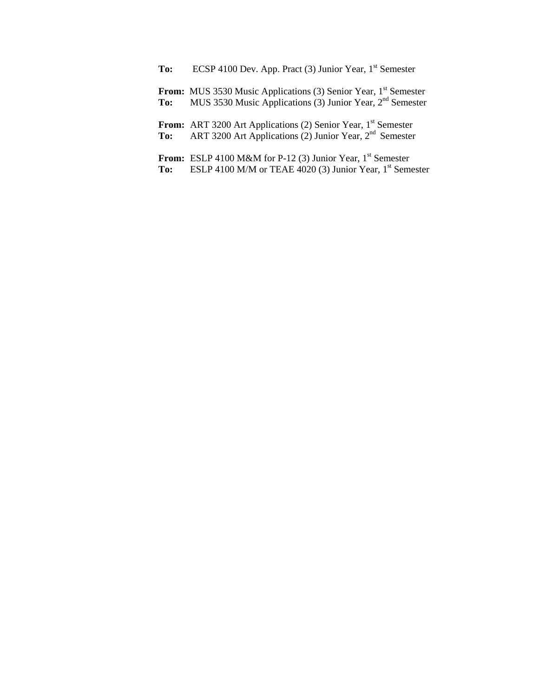To: ECSP 4100 Dev. App. Pract (3) Junior Year, 1<sup>st</sup> Semester

From: MUS 3530 Music Applications (3) Senior Year, 1<sup>st</sup> Semester To: MUS 3530 Music Applications (3) Junior Year, 2<sup>nd</sup> Semester

From: ART 3200 Art Applications (2) Senior Year, 1<sup>st</sup> Semester To: ART 3200 Art Applications (2) Junior Year, 2<sup>nd</sup> Semester

**From:** ESLP 4100 M&M for P-12 (3) Junior Year, 1<sup>st</sup> Semester To: ESLP 4100 M/M or TEAE 4020 (3) Junior Year, 1<sup>st</sup> Semester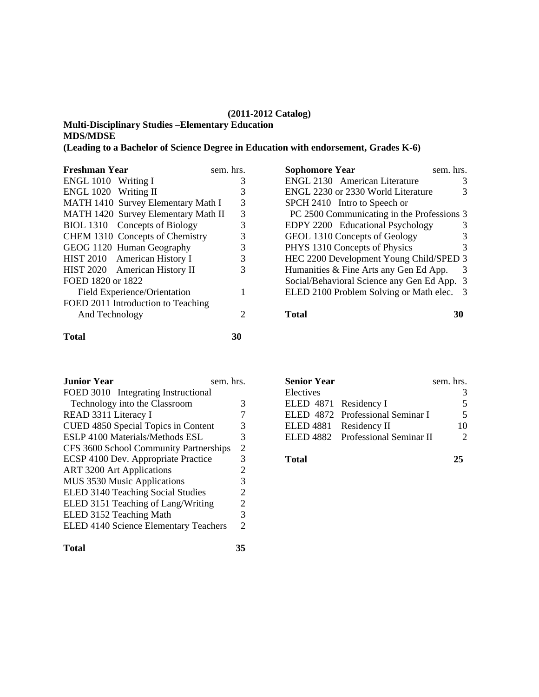## **(2011-2012 Catalog)**

## **Multi-Disciplinary Studies –Elementary Education MDS/MDSE**

**(Leading to a Bachelor of Science Degree in Education with endorsement, Grades K-6)** 

| <b>Freshman Year</b>                | sem. hrs. |
|-------------------------------------|-----------|
| ENGL 1010 Writing I                 |           |
| ENGL 1020 Writing II                | 3         |
| MATH 1410 Survey Elementary Math I  | 3         |
| MATH 1420 Survey Elementary Math II | 3         |
| BIOL 1310 Concepts of Biology       | 3         |
| CHEM 1310 Concepts of Chemistry     | 3         |
| GEOG 1120 Human Geography           | 3         |
| HIST 2010 American History I        | 3         |
| HIST 2020 American History II       | 3         |
| FOED 1820 or 1822                   |           |
| Field Experience/Orientation        |           |
| FOED 2011 Introduction to Teaching  |           |
| And Technology                      |           |
|                                     |           |

| <b>Sophomore Year</b>                      | sem. hrs. |
|--------------------------------------------|-----------|
| <b>ENGL 2130</b> American Literature       |           |
| ENGL 2230 or 2330 World Literature         |           |
| SPCH 2410 Intro to Speech or               |           |
| PC 2500 Communicating in the Professions 3 |           |
| EDPY 2200 Educational Psychology           |           |
| GEOL 1310 Concepts of Geology              | 3         |
| PHYS 1310 Concepts of Physics              | 3         |
| HEC 2200 Development Young Child/SPED 3    |           |
| Humanities & Fine Arts any Gen Ed App.     | 3         |
| Social/Behavioral Science any Gen Ed App.  | 3         |
| ELED 2100 Problem Solving or Math elec.    | 3         |
|                                            |           |

**Total 30**

## **Total 30**

| <b>Junior Year</b>                           | sem. hrs.             |
|----------------------------------------------|-----------------------|
| FOED 3010 Integrating Instructional          |                       |
| Technology into the Classroom                | 3                     |
| READ 3311 Literacy I                         |                       |
| CUED 4850 Special Topics in Content          | 3                     |
| <b>ESLP 4100 Materials/Methods ESL</b>       | 3                     |
| CFS 3600 School Community Partnerships       | 2                     |
| ECSP 4100 Dev. Appropriate Practice          | 3                     |
| <b>ART 3200 Art Applications</b>             | $\mathcal{D}_{\cdot}$ |
| MUS 3530 Music Applications                  | 3                     |
| ELED 3140 Teaching Social Studies            | $\mathcal{L}$         |
| ELED 3151 Teaching of Lang/Writing           | 2                     |
| ELED 3152 Teaching Math                      | 3                     |
| <b>ELED 4140 Science Elementary Teachers</b> | 2                     |
|                                              |                       |

Electives 3<br>ELED 4871 Residency I 5 ELED 4871 Residency I 5<br>ELED 4872 Professional Seminar I 5 ELED 4872 Professional Seminar I ELED 4881 Residency II 10 ELED 4882 Professional Seminar II 2 **Total 25** 

**Senior Year** sem. hrs.

## **Total 35**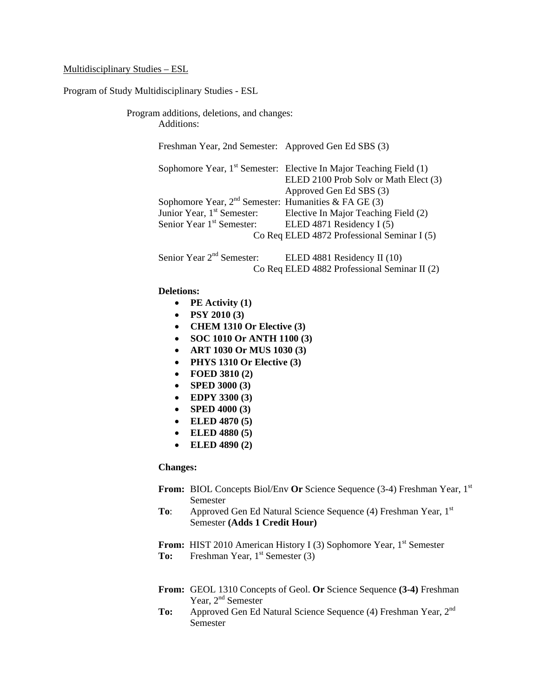#### Multidisciplinary Studies – ESL

Program of Study Multidisciplinary Studies - ESL

| Program additions, deletions, and changes:<br>Additions: |                                        |                                                                                                                                                    |
|----------------------------------------------------------|----------------------------------------|----------------------------------------------------------------------------------------------------------------------------------------------------|
|                                                          |                                        | Freshman Year, 2nd Semester: Approved Gen Ed SBS (3)                                                                                               |
|                                                          |                                        | Sophomore Year, 1 <sup>st</sup> Semester: Elective In Major Teaching Field (1)<br>ELED 2100 Prob Solv or Math Elect (3)<br>Approved Gen Ed SBS (3) |
|                                                          |                                        | Sophomore Year, $2^{nd}$ Semester: Humanities & FA GE (3)                                                                                          |
|                                                          | Junior Year, 1 <sup>st</sup> Semester: | Elective In Major Teaching Field (2)                                                                                                               |
|                                                          | Senior Year 1 <sup>st</sup> Semester:  | ELED 4871 Residency I (5)                                                                                                                          |
|                                                          |                                        | Co Req ELED 4872 Professional Seminar I (5)                                                                                                        |
|                                                          |                                        |                                                                                                                                                    |

Senior Year 2<sup>nd</sup> Semester: ELED 4881 Residency II (10) Co Req ELED 4882 Professional Seminar II (2)

## **Deletions:**

- **PE Activity (1)**
- **PSY 2010 (3)**
- **CHEM 1310 Or Elective (3)**
- **SOC 1010 Or ANTH 1100 (3)**
- **ART 1030 Or MUS 1030 (3)**
- **PHYS 1310 Or Elective (3)**
- **FOED 3810 (2)**
- **SPED 3000 (3)**
- **EDPY 3300 (3)**
- **SPED 4000 (3)**
- **ELED 4870 (5)**
- **ELED 4880 (5)**
- **ELED 4890 (2)**

#### **Changes:**

- **From:** BIOL Concepts Biol/Env Or Science Sequence (3-4) Freshman Year, 1<sup>st</sup> Semester
- **To:** Approved Gen Ed Natural Science Sequence (4) Freshman Year, 1<sup>st</sup> Semester **(Adds 1 Credit Hour)**

**From:** HIST 2010 American History I (3) Sophomore Year, 1<sup>st</sup> Semester **To:** Freshman Year, 1<sup>st</sup> Semester (3)

- **From:** GEOL 1310 Concepts of Geol. **Or** Science Sequence **(3-4)** Freshman Year, 2<sup>nd</sup> Semester
- **To:** Approved Gen Ed Natural Science Sequence (4) Freshman Year, 2nd Semester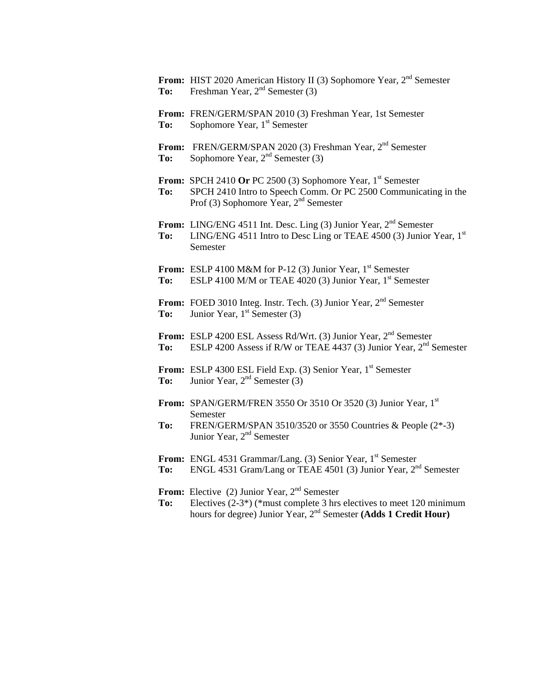**From:** HIST 2020 American History II (3) Sophomore Year, 2<sup>nd</sup> Semester To: Freshman Year, 2<sup>nd</sup> Semester (3) **From:** FREN/GERM/SPAN 2010 (3) Freshman Year, 1st Semester **To:** Sophomore Year, 1<sup>st</sup> Semester From: FREN/GERM/SPAN 2020 (3) Freshman Year, 2<sup>nd</sup> Semester To: Sophomore Year, 2<sup>nd</sup> Semester (3) **From:** SPCH 2410 Or PC 2500 (3) Sophomore Year, 1<sup>st</sup> Semester **To:** SPCH 2410 Intro to Speech Comm. Or PC 2500 Communicating in the Prof (3) Sophomore Year, 2<sup>nd</sup> Semester From: LING/ENG 4511 Int. Desc. Ling (3) Junior Year, 2<sup>nd</sup> Semester To: LING/ENG 4511 Intro to Desc Ling or TEAE 4500 (3) Junior Year, 1<sup>st</sup> Semester **From:** ESLP 4100 M&M for P-12 (3) Junior Year, 1<sup>st</sup> Semester To: ESLP 4100 M/M or TEAE 4020 (3) Junior Year, 1<sup>st</sup> Semester **From:** FOED 3010 Integ. Instr. Tech. (3) Junior Year, 2<sup>nd</sup> Semester **To:** Junior Year, 1<sup>st</sup> Semester (3) **From:** ESLP 4200 ESL Assess Rd/Wrt. (3) Junior Year, 2<sup>nd</sup> Semester **To:** ESLP 4200 Assess if R/W or TEAE 4437 (3) Junior Year, 2<sup>nd</sup> Semester From: ESLP 4300 ESL Field Exp. (3) Senior Year, 1<sup>st</sup> Semester To: Junior Year, 2<sup>nd</sup> Semester (3) **From:** SPAN/GERM/FREN 3550 Or 3510 Or 3520 (3) Junior Year, 1st Semester **To:** FREN/GERM/SPAN 3510/3520 or 3550 Countries & People (2\*-3) Junior Year, 2<sup>nd</sup> Semester **From:** ENGL 4531 Grammar/Lang. (3) Senior Year, 1<sup>st</sup> Semester **To:** ENGL 4531 Gram/Lang or TEAE 4501 (3) Junior Year, 2<sup>nd</sup> Semester **From:** Elective (2) Junior Year, 2<sup>nd</sup> Semester **To:** Electives (2-3\*) (\*must complete 3 hrs electives to meet 120 minimum

hours for degree) Junior Year, 2<sup>nd</sup> Semester **(Adds 1 Credit Hour)**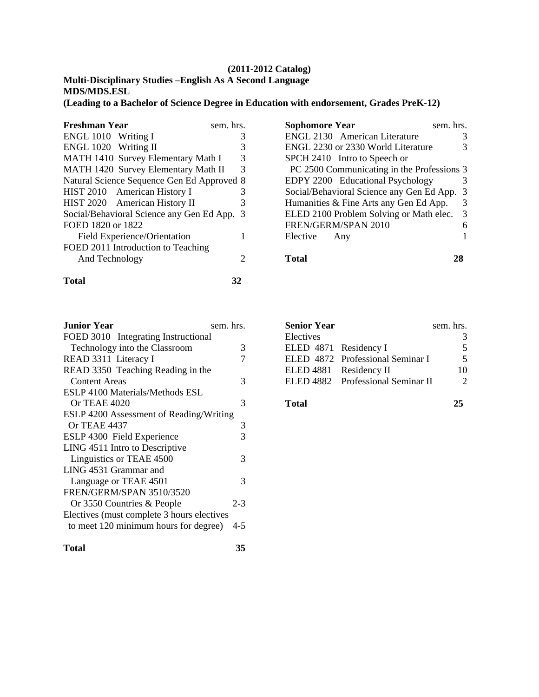## **(2011-2012 Catalog)**

**Multi-Disciplinary Studies –English As A Second Language MDS/MDS.ESL** 

**(Leading to a Bachelor of Science Degree in Education with endorsement, Grades PreK-12)** 

| <b>Freshman Year</b>                      | sem. hrs. |
|-------------------------------------------|-----------|
| ENGL 1010 Writing I                       |           |
| ENGL 1020 Writing II                      | 3         |
| MATH 1410 Survey Elementary Math I        | 3         |
| MATH 1420 Survey Elementary Math II       | 3         |
| Natural Science Sequence Gen Ed Approved  | 8         |
| HIST 2010 American History I              | 3         |
| HIST 2020 American History II             | 3         |
| Social/Behavioral Science any Gen Ed App. | -3        |
| FOED 1820 or 1822                         |           |
| Field Experience/Orientation              |           |
| FOED 2011 Introduction to Teaching        |           |
| And Technology                            |           |
|                                           |           |

**Total 32** 

ENGL 2230 or 2330 World Literature 3 SPCH 2410 Intro to Speech or PC 2500 Communicating in the Professions 3 EDPY 2200 Educational Psychology 3 Social/Behavioral Science any Gen Ed App. 3 Humanities & Fine Arts any Gen Ed App. 3 ELED 2100 Problem Solving or Math elec. 3 FREN/GERM/SPAN 2010 6 Elective Any 1 **Total 28**

**Sophomore Year** sem. hrs. ENGL 2130 American Literature 3

| <b>Junior Year</b><br>sem. hrs.            |         |
|--------------------------------------------|---------|
| FOED 3010 Integrating Instructional        |         |
| Technology into the Classroom              | 3       |
| READ 3311 Literacy I                       |         |
| READ 3350 Teaching Reading in the          |         |
| <b>Content Areas</b>                       | 3       |
| ESLP 4100 Materials/Methods ESL            |         |
| Or TEAE 4020                               | 3       |
| ESLP 4200 Assessment of Reading/Writing    |         |
| Or TEAE 4437                               | 3       |
| ESLP 4300 Field Experience                 | 3       |
| LING 4511 Intro to Descriptive             |         |
| Linguistics or TEAE 4500                   | 3       |
| LING 4531 Grammar and                      |         |
| Language or TEAE 4501                      | 3       |
| FREN/GERM/SPAN 3510/3520                   |         |
| Or 3550 Countries & People                 | $2 - 3$ |
| Electives (must complete 3 hours electives |         |
| to meet 120 minimum hours for degree)      | 4-5     |

| <b>Senior Year</b>     |                                   | sem. hrs.                |
|------------------------|-----------------------------------|--------------------------|
| Electives              |                                   |                          |
| ELED 4871 Residency I  |                                   | 5                        |
|                        | ELED 4872 Professional Seminar I  | $\overline{\phantom{1}}$ |
| ELED 4881 Residency II |                                   | 10                       |
|                        | ELED 4882 Professional Seminar II |                          |
| <b>Total</b>           |                                   | つら                       |

**Total 35**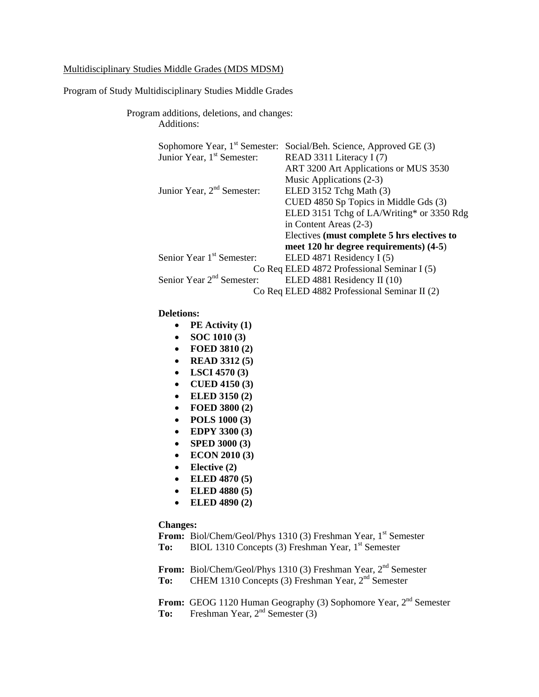#### Multidisciplinary Studies Middle Grades (MDS MDSM)

Program of Study Multidisciplinary Studies Middle Grades

Program additions, deletions, and changes:

| Sophomore Year, 1 <sup>st</sup> Semester:<br>Social/Beh. Science, Approved GE (3) |
|-----------------------------------------------------------------------------------|
| READ 3311 Literacy I (7)                                                          |
| ART 3200 Art Applications or MUS 3530                                             |
| Music Applications (2-3)                                                          |
| ELED 3152 Tchg Math (3)                                                           |
| CUED 4850 Sp Topics in Middle Gds (3)                                             |
| ELED 3151 Tchg of LA/Writing* or 3350 Rdg                                         |
| in Content Areas (2-3)                                                            |
| Electives (must complete 5 hrs electives to                                       |
| meet 120 hr degree requirements) (4-5)                                            |
| ELED 4871 Residency $I(5)$                                                        |
| Co Req ELED 4872 Professional Seminar I (5)                                       |
| ELED 4881 Residency II (10)                                                       |
| Co Req ELED 4882 Professional Seminar II (2)                                      |
|                                                                                   |

#### **Deletions:**

- **PE Activity (1)**
- **SOC 1010 (3)**
- **FOED 3810 (2)**
- **READ 3312 (5)**
- **LSCI 4570 (3)**
- **CUED 4150 (3)**
- **ELED 3150 (2)**
- **FOED 3800 (2)**
- **POLS 1000 (3)**
- **EDPY 3300 (3)**
- **SPED 3000 (3)**
- **ECON 2010 (3)**
- **Elective (2)**
- **ELED 4870 (5)**
- **ELED 4880 (5)**
- **ELED 4890 (2)**

#### **Changes:**

**From:** Biol/Chem/Geol/Phys 1310 (3) Freshman Year, 1<sup>st</sup> Semester

To: BIOL 1310 Concepts (3) Freshman Year, 1<sup>st</sup> Semester

From: Biol/Chem/Geol/Phys 1310 (3) Freshman Year, 2<sup>nd</sup> Semester To: CHEM 1310 Concepts (3) Freshman Year, 2<sup>nd</sup> Semester

From: GEOG 1120 Human Geography (3) Sophomore Year, 2<sup>nd</sup> Semester To: Freshman Year, 2<sup>nd</sup> Semester (3)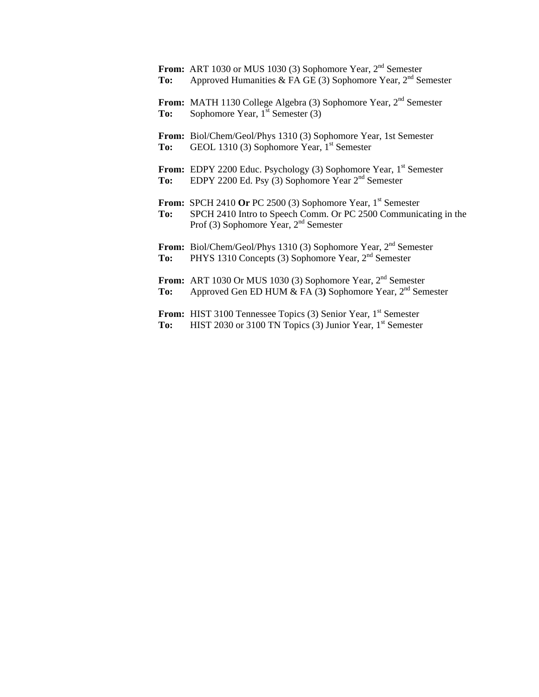From: ART 1030 or MUS 1030 (3) Sophomore Year, 2<sup>nd</sup> Semester **To:** Approved Humanities & FA GE (3) Sophomore Year, 2<sup>nd</sup> Semester **From:** MATH 1130 College Algebra (3) Sophomore Year, 2<sup>nd</sup> Semester **To:** Sophomore Year, 1<sup>st</sup> Semester (3) **From:** Biol/Chem/Geol/Phys 1310 (3) Sophomore Year, 1st Semester To: GEOL 1310 (3) Sophomore Year, 1<sup>st</sup> Semester **From:** EDPY 2200 Educ. Psychology (3) Sophomore Year, 1<sup>st</sup> Semester **To:** EDPY 2200 Ed. Psy (3) Sophomore Year 2nd Semester **From: SPCH 2410 Or PC 2500 (3) Sophomore Year, 1st Semester To:** SPCH 2410 Intro to Speech Comm. Or PC 2500 Communicating in the Prof (3) Sophomore Year,  $2<sup>nd</sup>$  Semester

From: Biol/Chem/Geol/Phys 1310 (3) Sophomore Year, 2<sup>nd</sup> Semester To: PHYS 1310 Concepts (3) Sophomore Year, 2<sup>nd</sup> Semester

From: ART 1030 Or MUS 1030 (3) Sophomore Year, 2<sup>nd</sup> Semester **To:** Approved Gen ED HUM & FA (3) Sophomore Year, 2<sup>nd</sup> Semester

From: HIST 3100 Tennessee Topics (3) Senior Year, 1<sup>st</sup> Semester **To:** HIST 2030 or 3100 TN Topics (3) Junior Year, 1<sup>st</sup> Semester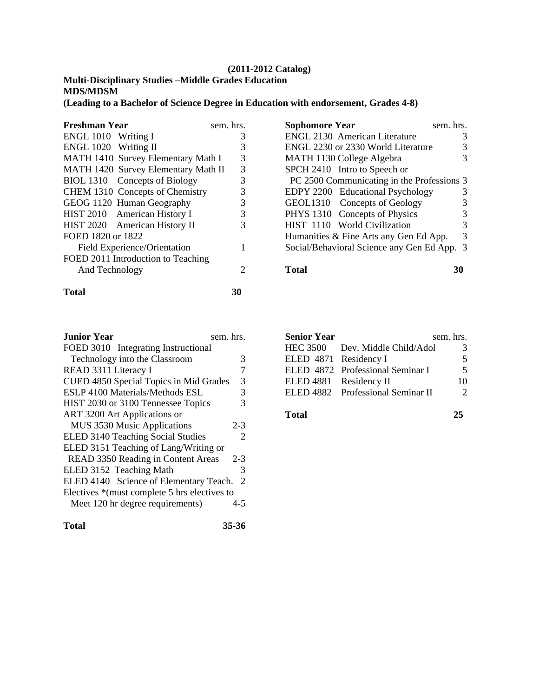## **(2011-2012 Catalog)**

## **Multi-Disciplinary Studies –Middle Grades Education MDS/MDSM**

**(Leading to a Bachelor of Science Degree in Education with endorsement, Grades 4-8)** 

| <b>Freshman Year</b>                | sem. hrs.                   |
|-------------------------------------|-----------------------------|
| ENGL 1010 Writing I                 | 3                           |
| ENGL 1020 Writing II                | 3                           |
| MATH 1410 Survey Elementary Math I  | 3                           |
| MATH 1420 Survey Elementary Math II | 3                           |
| BIOL 1310 Concepts of Biology       | 3                           |
| CHEM 1310 Concepts of Chemistry     | 3                           |
| GEOG 1120 Human Geography           | 3                           |
| HIST 2010 American History I        | 3                           |
| HIST 2020 American History II       | 3                           |
| FOED 1820 or 1822                   |                             |
| Field Experience/Orientation        | 1                           |
| FOED 2011 Introduction to Teaching  |                             |
| And Technology                      | $\mathcal{D}_{\mathcal{L}}$ |
| Total                               |                             |

| <b>Sophomore Year</b>                      | sem. hrs. |
|--------------------------------------------|-----------|
| <b>ENGL 2130 American Literature</b>       | 3         |
| ENGL 2230 or 2330 World Literature         |           |
| MATH 1130 College Algebra                  | 3         |
| SPCH 2410 Intro to Speech or               |           |
| PC 2500 Communicating in the Professions 3 |           |
| EDPY 2200 Educational Psychology           |           |
| GEOL1310 Concepts of Geology               |           |
| PHYS 1310 Concepts of Physics              | 3         |
| HIST 1110 World Civilization               | 3         |
| Humanities & Fine Arts any Gen Ed App.     | 3         |
| Social/Behavioral Science any Gen Ed App.  | 3         |
|                                            |           |

**Total 30**

| <b>Junior Year</b>                           | sem. hrs.                   |
|----------------------------------------------|-----------------------------|
| FOED 3010 Integrating Instructional          |                             |
| Technology into the Classroom                | 3                           |
| READ 3311 Literacy I                         | 7                           |
| CUED 4850 Special Topics in Mid Grades       | 3                           |
| <b>ESLP 4100 Materials/Methods ESL</b>       | 3                           |
| HIST 2030 or 3100 Tennessee Topics           | 3                           |
| ART 3200 Art Applications or                 |                             |
| MUS 3530 Music Applications                  | $2 - 3$                     |
| ELED 3140 Teaching Social Studies            | $\mathcal{D}_{\mathcal{A}}$ |
| ELED 3151 Teaching of Lang/Writing or        |                             |
| READ 3350 Reading in Content Areas           | $2 - 3$                     |
| ELED 3152 Teaching Math                      | 3                           |
| ELED 4140 Science of Elementary Teach.       | 2                           |
| Electives *(must complete 5 hrs electives to |                             |
| Meet 120 hr degree requirements)             | 4-5                         |

|  | ۰,<br>i |
|--|---------|
|--|---------|

**Senior Year** sem. hrs. HEC 3500 Dev. Middle Child/Adol 3 ELED 4871 Residency I 5<br>ELED 4872 Professional Seminar I 5 ELED 4872 Professional Seminar I ELED 4881 Residency II 10<br>ELED 4882 Professional Seminar II 2 ELED 4882 Professional Seminar II

**Total 25** 

**Total 35-36**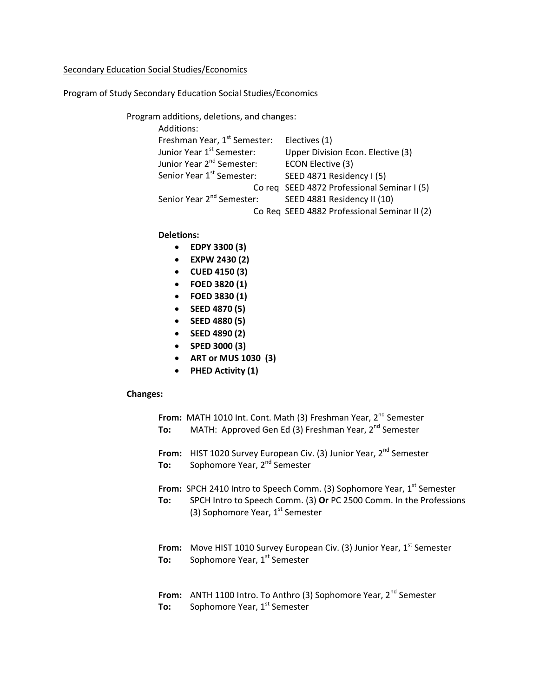Secondary Education Social Studies/Economics

Program of Study Secondary Education Social Studies/Economics

| Program additions, deletions, and changes: |                                              |
|--------------------------------------------|----------------------------------------------|
| Additions:                                 |                                              |
| Freshman Year, 1 <sup>st</sup> Semester:   | Electives (1)                                |
| Junior Year 1 <sup>st</sup> Semester:      | Upper Division Econ. Elective (3)            |
| Junior Year 2 <sup>nd</sup> Semester:      | ECON Elective (3)                            |
| Senior Year 1 <sup>st</sup> Semester:      | SEED 4871 Residency I (5)                    |
|                                            | Co req SEED 4872 Professional Seminar I (5)  |
| Senior Year 2 <sup>nd</sup> Semester:      | SEED 4881 Residency II (10)                  |
|                                            | Co Req SEED 4882 Professional Seminar II (2) |

**Deletions:**

- **EDPY 3300 (3)**
- **EXPW 2430 (2)**
- **CUED 4150 (3)**
- **FOED 3820 (1)**
- **FOED 3830 (1)**
- **SEED 4870 (5)**
- **SEED 4880 (5)**
- **SEED 4890 (2)**
- **SPED 3000 (3)**
- **ART or MUS 1030 (3)**
- **PHED Activity (1)**

#### **Changes:**

| To: | From: MATH 1010 Int. Cont. Math (3) Freshman Year, 2 <sup>nd</sup> Semester<br>MATH: Approved Gen Ed (3) Freshman Year, 2 <sup>nd</sup> Semester                                                         |
|-----|----------------------------------------------------------------------------------------------------------------------------------------------------------------------------------------------------------|
| To: | From: HIST 1020 Survey European Civ. (3) Junior Year, 2 <sup>nd</sup> Semester<br>Sophomore Year, 2 <sup>nd</sup> Semester                                                                               |
| To: | From: SPCH 2410 Intro to Speech Comm. (3) Sophomore Year, 1 <sup>st</sup> Semester<br>SPCH Intro to Speech Comm. (3) Or PC 2500 Comm. In the Professions<br>(3) Sophomore Year, 1 <sup>st</sup> Semester |
| To: | <b>From:</b> Move HIST 1010 Survey European Civ. (3) Junior Year, $1^{st}$ Semester<br>Sophomore Year, 1 <sup>st</sup> Semester                                                                          |
| To: | From: ANTH 1100 Intro. To Anthro (3) Sophomore Year, $2^{nd}$ Semester<br>Sophomore Year, 1 <sup>st</sup> Semester                                                                                       |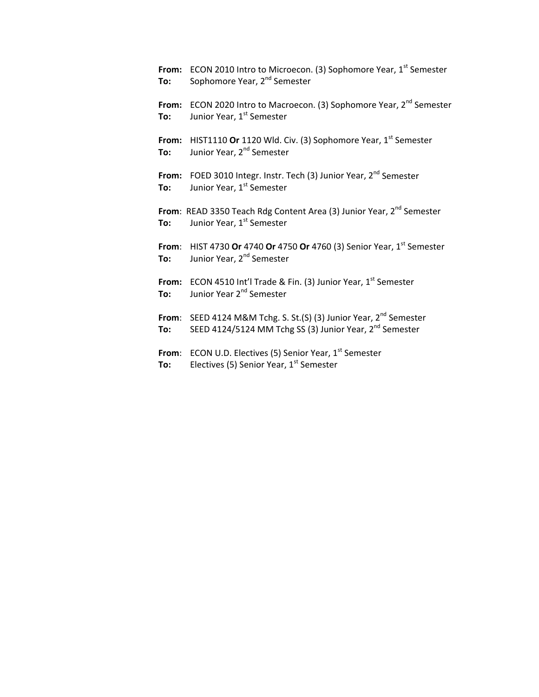**From:** ECON 2010 Intro to Microecon. (3) Sophomore Year, 1<sup>st</sup> Semester **To:** Sophomore Year, 2nd Semester From: ECON 2020 Intro to Macroecon. (3) Sophomore Year, 2<sup>nd</sup> Semester **To:** Junior Year, 1<sup>st</sup> Semester **From:** HIST1110 Or 1120 Wld. Civ. (3) Sophomore Year, 1<sup>st</sup> Semester **To:** Junior Year, 2<sup>nd</sup> Semester **From:** FOED 3010 Integr. Instr. Tech (3) Junior Year, 2<sup>nd</sup> Semester **To:** Junior Year, 1<sup>st</sup> Semester From: READ 3350 Teach Rdg Content Area (3) Junior Year, 2<sup>nd</sup> Semester **To:** Junior Year, 1<sup>st</sup> Semester **From**: HIST 4730 **Or** 4740 **Or** 4750 **Or** 4760 (3) Senior Year, 1st Semester **To:** Junior Year, 2<sup>nd</sup> Semester From: ECON 4510 Int'l Trade & Fin. (3) Junior Year, 1<sup>st</sup> Semester **To:** Junior Year 2nd Semester **From:** SEED 4124 M&M Tchg. S. St.(S) (3) Junior Year, 2<sup>nd</sup> Semester **To:** SEED 4124/5124 MM Tchg SS (3) Junior Year, 2<sup>nd</sup> Semester **From**: ECON U.D. Electives (5) Senior Year, 1<sup>st</sup> Semester **To:** Electives (5) Senior Year, 1<sup>st</sup> Semester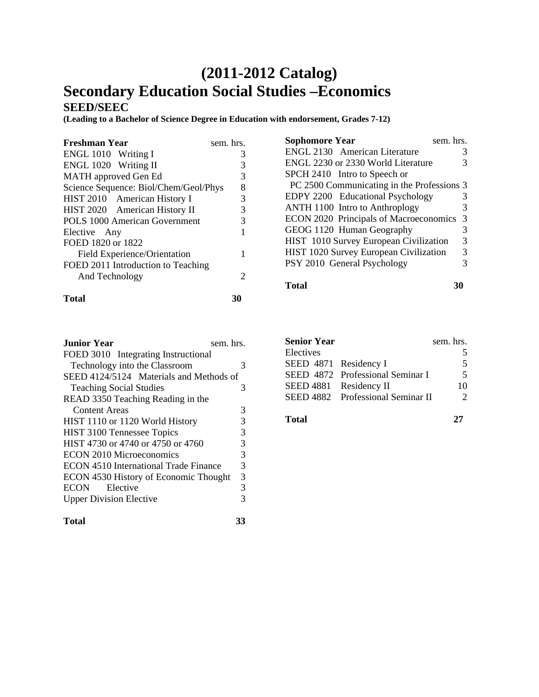# **(2011-2012 Catalog) Secondary Education Social Studies –Economics SEED/SEEC**

**(Leading to a Bachelor of Science Degree in Education with endorsement, Grades 7-12)** 

| <b>Freshman Year</b>                  | sem. hrs. |
|---------------------------------------|-----------|
| ENGL 1010 Writing I                   |           |
| ENGL 1020 Writing II                  |           |
| MATH approved Gen Ed                  | 3         |
| Science Sequence: Biol/Chem/Geol/Phys | 8         |
| HIST 2010 American History I          | 3         |
| HIST 2020 American History II         | 3         |
| <b>POLS 1000 American Government</b>  | 3         |
| Elective Any                          |           |
| FOED 1820 or 1822                     |           |
| Field Experience/Orientation          |           |
| FOED 2011 Introduction to Teaching    |           |
| And Technology                        |           |
|                                       |           |

**Total 30** 

| HIST 1010 Survey European Civilization | $\mathcal{R}$ |
|----------------------------------------|---------------|
| HIST 1020 Survey European Civilization | $\mathcal{R}$ |
| PSY 2010 General Psychology            | $\mathcal{R}$ |
| <b>Total</b>                           | 30            |

SPCH 2410 Intro to Speech or

**Sophomore Year** sem. hrs. ENGL 2130 American Literature 3 ENGL 2230 or 2330 World Literature 3

 PC 2500 Communicating in the Professions 3 EDPY 2200 Educational Psychology 3 ANTH 1100 Intro to Anthroplogy 3 ECON 2020 Principals of Macroeconomics 3 GEOG 1120 Human Geography 3

| <b>Junior Year</b>                      | sem. hrs. |
|-----------------------------------------|-----------|
| FOED 3010 Integrating Instructional     |           |
| Technology into the Classroom           | 3         |
| SEED 4124/5124 Materials and Methods of |           |
| <b>Teaching Social Studies</b>          | 3         |
| READ 3350 Teaching Reading in the       |           |
| <b>Content Areas</b>                    | 3         |
| HIST 1110 or 1120 World History         | 3         |
| HIST 3100 Tennessee Topics              | 3         |
| HIST 4730 or 4740 or 4750 or 4760       | 3         |
| <b>ECON 2010 Microeconomics</b>         | 3         |
| ECON 4510 International Trade Finance   | 3         |
| ECON 4530 History of Economic Thought   | 3         |
| <b>ECON</b><br>Elective                 | 3         |
| <b>Upper Division Elective</b>          |           |
|                                         |           |

| <b>Senior Year</b>    |                                   | sem. hrs. |
|-----------------------|-----------------------------------|-----------|
| Electives             |                                   |           |
| SEED 4871 Residency I |                                   | 5         |
|                       | SEED 4872 Professional Seminar I  | 5         |
|                       | SEED 4881 Residency II            | 10        |
|                       | SEED 4882 Professional Seminar II |           |
| <b>Total</b>          |                                   | 27        |

**Total 33**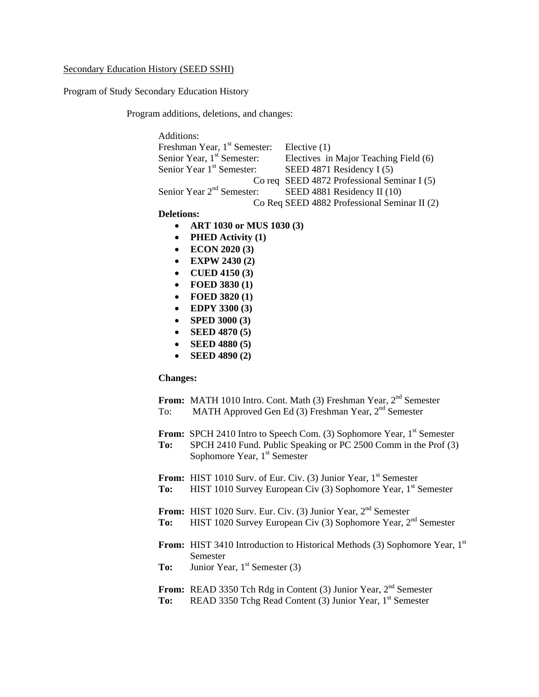#### Secondary Education History (SEED SSHI)

Program of Study Secondary Education History

Program additions, deletions, and changes:

| Additions:                               |                                              |
|------------------------------------------|----------------------------------------------|
| Freshman Year, 1 <sup>st</sup> Semester: | Elective $(1)$                               |
| Senior Year, 1 <sup>st</sup> Semester:   | Electives in Major Teaching Field (6)        |
| Senior Year 1 <sup>st</sup> Semester:    | SEED 4871 Residency I (5)                    |
|                                          | Co req SEED 4872 Professional Seminar I (5)  |
| Senior Year $2nd$ Semester:              | SEED 4881 Residency II (10)                  |
|                                          | Co Req SEED 4882 Professional Seminar II (2) |
|                                          |                                              |

#### **Deletions:**

- **ART 1030 or MUS 1030 (3)**
- **PHED Activity (1)**
- **ECON 2020 (3)**
- **EXPW 2430 (2)**
- **CUED 4150 (3)**
- **FOED 3830 (1)**
- **FOED 3820 (1)**
- **EDPY 3300 (3)**
- **SPED 3000 (3)**
- **SEED 4870 (5)**
- **SEED 4880 (5)**
- **SEED 4890 (2)**

#### **Changes:**

|     | <b>From:</b> MATH 1010 Intro. Cont. Math (3) Freshman Year, $2nd$ Semester |
|-----|----------------------------------------------------------------------------|
| To: | MATH Approved Gen Ed $(3)$ Freshman Year, $2nd$ Semester                   |

- **From:** SPCH 2410 Intro to Speech Com. (3) Sophomore Year, 1<sup>st</sup> Semester
- **To:** SPCH 2410 Fund. Public Speaking or PC 2500 Comm in the Prof (3) Sophomore Year, 1<sup>st</sup> Semester

**From:** HIST 1010 Surv. of Eur. Civ. (3) Junior Year, 1<sup>st</sup> Semester **To:** HIST 1010 Survey European Civ (3) Sophomore Year, 1<sup>st</sup> Semester

- **From:** HIST 1020 Surv. Eur. Civ. (3) Junior Year, 2<sup>nd</sup> Semester
- **To:** HIST 1020 Survey European Civ (3) Sophomore Year, 2<sup>nd</sup> Semester
- **From:** HIST 3410 Introduction to Historical Methods (3) Sophomore Year, 1<sup>st</sup> Semester
- **To:** Junior Year, 1<sup>st</sup> Semester (3)
- **From:** READ 3350 Tch Rdg in Content (3) Junior Year, 2<sup>nd</sup> Semester **To:** READ 3350 Tchg Read Content (3) Junior Year, 1<sup>st</sup> Semester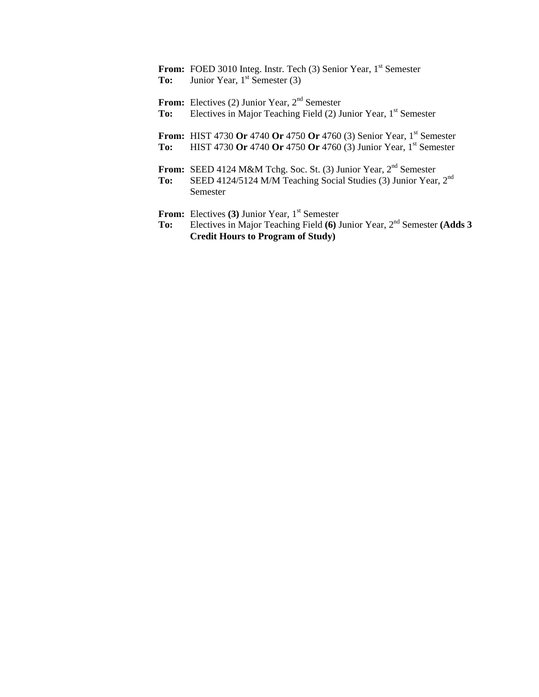From: FOED 3010 Integ. Instr. Tech (3) Senior Year, 1<sup>st</sup> Semester **To:** Junior Year, 1<sup>st</sup> Semester (3)

From: Electives (2) Junior Year, 2<sup>nd</sup> Semester

To: Electives in Major Teaching Field (2) Junior Year, 1<sup>st</sup> Semester

**From:** HIST 4730 **Or** 4740 **Or** 4750 **Or** 4760 (3) Senior Year, 1<sup>st</sup> Semester **To:** HIST 4730 **Or** 4740 **Or** 4750 **Or** 4760 (3) Junior Year, 1<sup>st</sup> Semester

**From:** SEED 4124 M&M Tchg. Soc. St. (3) Junior Year, 2<sup>nd</sup> Semester

**To:** SEED 4124/5124 M/M Teaching Social Studies (3) Junior Year, 2nd Semester

**From:** Electives (3) Junior Year, 1<sup>st</sup> Semester

**To:** Electives in Major Teaching Field **(6)** Junior Year, 2nd Semester **(Adds 3 Credit Hours to Program of Study)**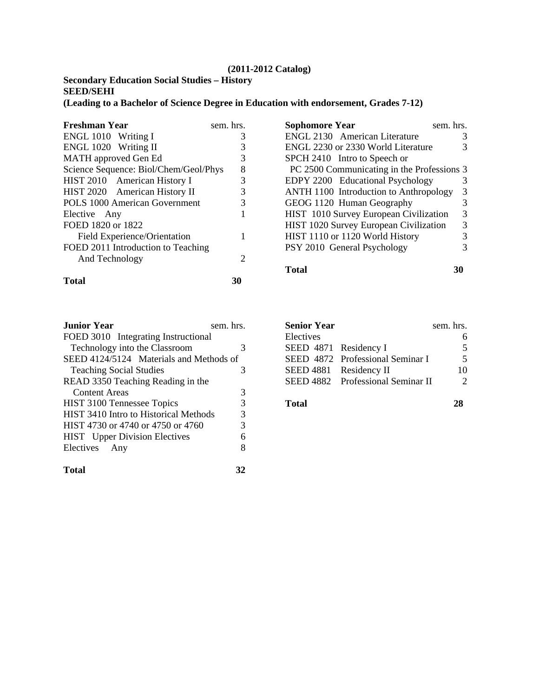#### **(2011-2012 Catalog)**

## **Secondary Education Social Studies – History SEED/SEHI**

**(Leading to a Bachelor of Science Degree in Education with endorsement, Grades 7-12)** 

| <b>Freshman Year</b>                  | sem. hrs.             |
|---------------------------------------|-----------------------|
| ENGL 1010 Writing I                   | 3                     |
| ENGL 1020 Writing II                  | 3                     |
| MATH approved Gen Ed                  | 3                     |
| Science Sequence: Biol/Chem/Geol/Phys | 8                     |
| HIST 2010 American History I          | 3                     |
| HIST 2020 American History II         | 3                     |
| POLS 1000 American Government         | 3                     |
| Elective Any                          |                       |
| FOED 1820 or 1822                     |                       |
| Field Experience/Orientation          |                       |
| FOED 2011 Introduction to Teaching    |                       |
| And Technology                        | $\mathcal{D}_{\cdot}$ |
| <b>Total</b>                          |                       |

ENGL 2130 American Literature 3 ENGL 2230 or 2330 World Literature 3 SPCH 2410 Intro to Speech or PC 2500 Communicating in the Professions 3 EDPY 2200 Educational Psychology 3 ANTH 1100 Introduction to Anthropology 3 GEOG 1120 Human Geography 3<br>HIST 1010 Survey European Civilization 3 HIST 1010 Survey European Civilization 3<br>HIST 1020 Survey European Civilization 3 HIST 1020 Survey European Civilization 3 HIST 1110 or 1120 World History 3 PSY 2010 General Psychology 3

**Sophomore Year** sem. hrs.

**Total 30**

| <b>Junior Year</b>                           | sem. hrs. |
|----------------------------------------------|-----------|
| FOED 3010 Integrating Instructional          |           |
| Technology into the Classroom                | 3         |
| SEED 4124/5124 Materials and Methods of      |           |
| <b>Teaching Social Studies</b>               | 3         |
| READ 3350 Teaching Reading in the            |           |
| Content Areas                                | 3         |
| HIST 3100 Tennessee Topics                   | 3         |
| <b>HIST 3410 Intro to Historical Methods</b> | 3         |
| HIST 4730 or 4740 or 4750 or 4760            | 3         |
| <b>HIST</b> Upper Division Electives         |           |
| Electives Any                                |           |
|                                              |           |

**Senior Year** sem. hrs. Electives 6 SEED 4871 Residency I 5 SEED 4872 Professional Seminar I 5 SEED 4881 Residency II 10 SEED 4882 Professional Seminar II 2

**Total 28**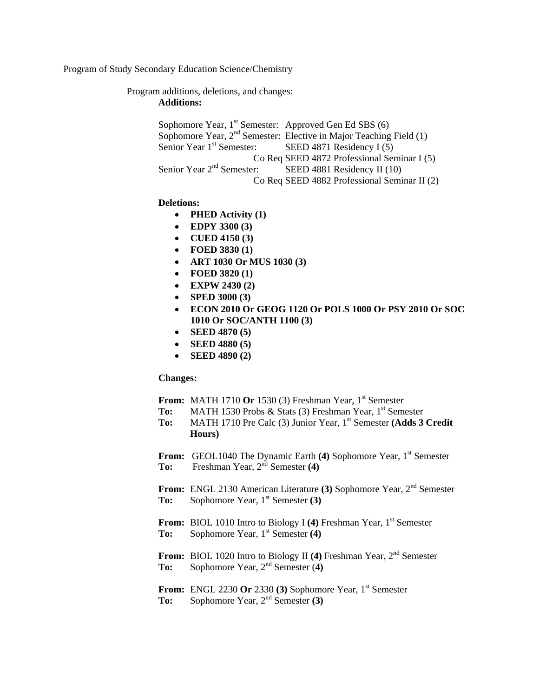Program of Study Secondary Education Science/Chemistry

Program additions, deletions, and changes:  **Additions:** 

> Sophomore Year,  $1<sup>st</sup>$  Semester: Approved Gen Ed SBS (6) Sophomore Year,  $2<sup>nd</sup>$  Semester: Elective in Major Teaching Field (1)<br>Senior Year 1<sup>st</sup> Semester: SEED 4871 Residency I (5) SEED 4871 Residency I  $(5)$ Co Req SEED 4872 Professional Seminar I (5)<br>Senior Year 2<sup>nd</sup> Semester: SEED 4881 Residency II (10) SEED 4881 Residency II (10) Co Req SEED 4882 Professional Seminar II (2)

#### **Deletions:**

- **PHED Activity (1)**
- **EDPY 3300 (3)**
- **CUED 4150 (3)**
- **FOED 3830 (1)**
- **ART 1030 Or MUS 1030 (3)**
- **FOED 3820 (1)**
- **EXPW 2430 (2)**
- **SPED 3000 (3)**
- **ECON 2010 Or GEOG 1120 Or POLS 1000 Or PSY 2010 Or SOC 1010 Or SOC/ANTH 1100 (3)**
- **SEED 4870 (5)**
- **SEED 4880 (5)**
- **SEED 4890 (2)**

#### **Changes:**

**From:** MATH 1710 Or 1530 (3) Freshman Year, 1<sup>st</sup> Semester

- **To:** MATH 1530 Probs & Stats (3) Freshman Year, 1<sup>st</sup> Semester
- To: MATH 1710 Pre Calc (3) Junior Year, 1<sup>st</sup> Semester **(Adds 3 Credit Hours)**
- **From:** GEOL1040 The Dynamic Earth (4) Sophomore Year, 1<sup>st</sup> Semester **To:** Freshman Year, 2nd Semester **(4)**

**From:** ENGL 2130 American Literature (3) Sophomore Year, 2<sup>nd</sup> Semester **To:** Sophomore Year, 1<sup>st</sup> Semester **(3)** 

**From:** BIOL 1010 Intro to Biology I (4) Freshman Year, 1<sup>st</sup> Semester **To:** Sophomore Year, 1<sup>st</sup> Semester **(4)** 

**From:** BIOL 1020 Intro to Biology II **(4)** Freshman Year, 2<sup>nd</sup> Semester **To:** Sophomore Year, 2nd Semester (**4)**

From: ENGL 2230 Or 2330 (3) Sophomore Year, 1<sup>st</sup> Semester **To:** Sophomore Year, 2nd Semester **(3)**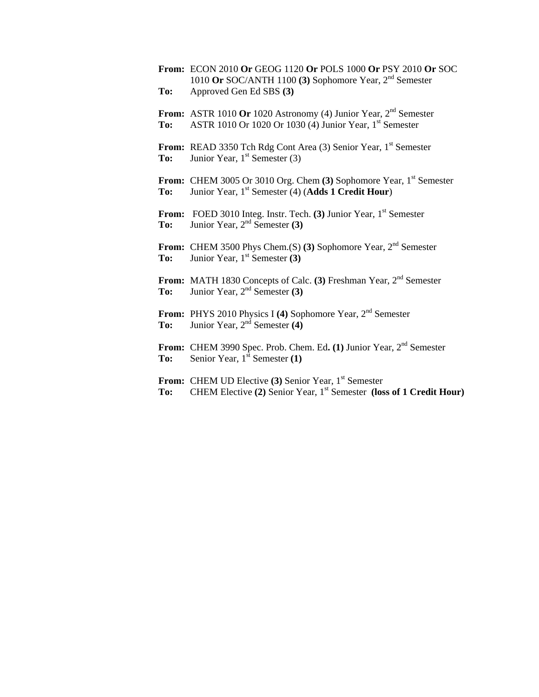**From:** ECON 2010 **Or** GEOG 1120 **Or** POLS 1000 **Or** PSY 2010 **Or** SOC 1010 **Or** SOC/ANTH 1100 **(3)** Sophomore Year, 2nd Semester **To:** Approved Gen Ed SBS **(3)**

**From:** ASTR 1010 Or 1020 Astronomy (4) Junior Year, 2<sup>nd</sup> Semester **To:** ASTR 1010 Or 1020 Or 1030 (4) Junior Year, 1<sup>st</sup> Semester

**From:** READ 3350 Tch Rdg Cont Area (3) Senior Year, 1<sup>st</sup> Semester **To:** Junior Year, 1<sup>st</sup> Semester (3)

**From:** CHEM 3005 Or 3010 Org. Chem (3) Sophomore Year, 1<sup>st</sup> Semester **To:** Junior Year, 1<sup>st</sup> Semester (4) (**Adds 1 Credit Hour**)

**From:** FOED 3010 Integ. Instr. Tech. **(3)** Junior Year, 1<sup>st</sup> Semester **To:** Junior Year, 2nd Semester **(3)** 

**From:** CHEM 3500 Phys Chem.(S) (3) Sophomore Year, 2<sup>nd</sup> Semester **To:** Junior Year, 1<sup>st</sup> Semester **(3)** 

**From:** MATH 1830 Concepts of Calc. **(3)** Freshman Year, 2nd Semester **To:** Junior Year,  $2^{nd}$  Semester **(3)** 

**From:** PHYS 2010 Physics I **(4)** Sophomore Year, 2nd Semester To: Junior Year, 2<sup>nd</sup> Semester **(4)** 

From: CHEM 3990 Spec. Prob. Chem. Ed. (1) Junior Year, 2<sup>nd</sup> Semester **To:** Senior Year,  $1^{st}$  Semester (1)

**From:** CHEM UD Elective (3) Senior Year, 1<sup>st</sup> Semester **To:** CHEM Elective (2) Senior Year, 1<sup>st</sup> Semester **(loss of 1 Credit Hour)**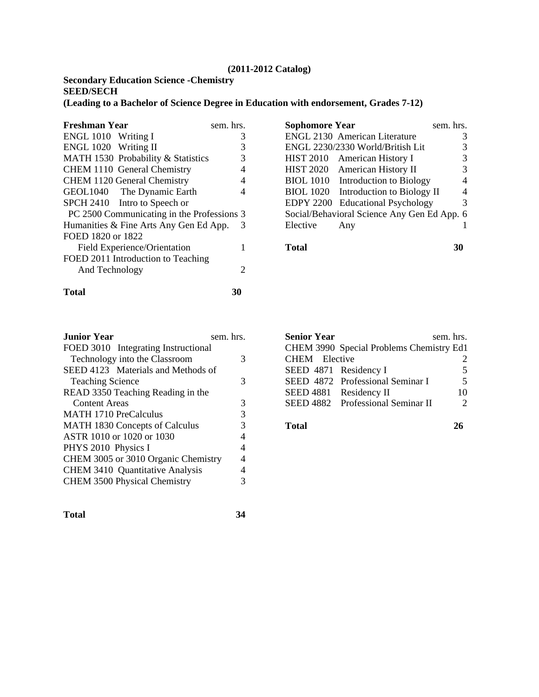#### **(2011-2012 Catalog)**

## **Secondary Education Science -Chemistry SEED/SECH**

## **(Leading to a Bachelor of Science Degree in Education with endorsement, Grades 7-12)**

| <b>Freshman Year</b>                       | sem. hrs. |
|--------------------------------------------|-----------|
| ENGL 1010 Writing I                        | 3         |
| ENGL 1020 Writing II                       | 3         |
| MATH 1530 Probability & Statistics         | 3         |
| CHEM 1110 General Chemistry                | 4         |
| CHEM 1120 General Chemistry                | 4         |
| GEOL1040 The Dynamic Earth                 | 4         |
| SPCH 2410 Intro to Speech or               |           |
| PC 2500 Communicating in the Professions 3 |           |
| Humanities & Fine Arts Any Gen Ed App.     | -3        |
| FOED 1820 or 1822                          |           |
| Field Experience/Orientation               |           |
| FOED 2011 Introduction to Teaching         |           |
| And Technology                             | 2         |
| <b>Total</b>                               |           |

| <b>Sophomore Year</b>                             | sem. hrs. |
|---------------------------------------------------|-----------|
| <b>ENGL 2130 American Literature</b>              |           |
| ENGL 2230/2330 World/British Lit                  | 3         |
| HIST 2010 American History I                      | 3         |
| HIST 2020 American History II                     | 3         |
| BIOL 1010 Introduction to Biology                 |           |
| Introduction to Biology II<br><b>BIOL</b> 1020    |           |
| <b>EDPY 2200</b><br><b>Educational Psychology</b> | 3         |
| Social/Behavioral Science Any Gen Ed App. 6       |           |
| Elective<br>Any                                   |           |
|                                                   |           |

**Total 30** 

| <b>Junior Year</b>                  | sem. hrs. |
|-------------------------------------|-----------|
| FOED 3010 Integrating Instructional |           |
| Technology into the Classroom       | 3         |
| SEED 4123 Materials and Methods of  |           |
| <b>Teaching Science</b>             | 3         |
| READ 3350 Teaching Reading in the   |           |
| <b>Content Areas</b>                |           |
| <b>MATH 1710 PreCalculus</b>        | 3         |
| MATH 1830 Concepts of Calculus      | 3         |
| ASTR 1010 or 1020 or 1030           | 4         |
| PHYS 2010 Physics I                 | 4         |
| CHEM 3005 or 3010 Organic Chemistry |           |
| CHEM 3410 Quantitative Analysis     |           |
| CHEM 3500 Physical Chemistry        |           |
|                                     |           |

**Senior Year** sem. hrs. CHEM 3990 Special Problems Chemistry Ed1 CHEM Elective 2<br>SEED 4871 Residency I 5 SEED 4871 Residency I 5<br>SEED 4872 Professional Seminar I 5 SEED 4872 Professional Seminar I 5<br>SEED 4881 Residency II 10 SEED 4881 Residency II SEED 4882 Professional Seminar II 2

**Total 26** 

**Total 34**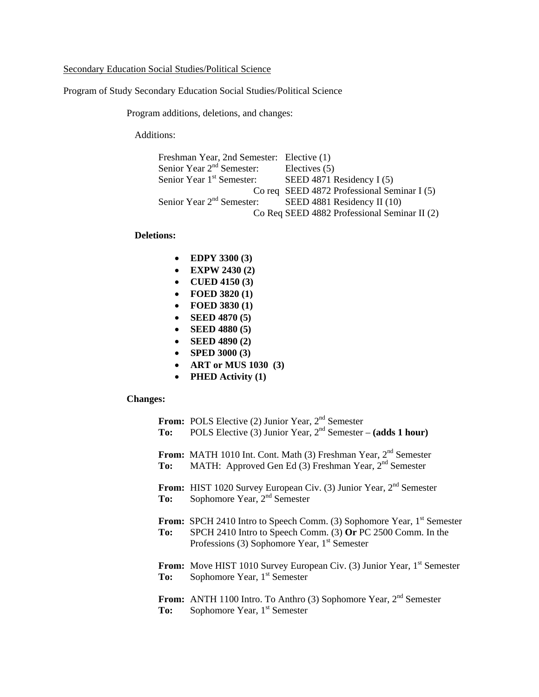Secondary Education Social Studies/Political Science

Program of Study Secondary Education Social Studies/Political Science

Program additions, deletions, and changes:

Additions:

 Freshman Year, 2nd Semester: Elective (1) Senior Year 2<sup>nd</sup> Semester: Electives (5)<br>Senior Year 1<sup>st</sup> Semester: SEED 4871 I SEED 4871 Residency I (5) Co req SEED 4872 Professional Seminar I (5)<br>Senior Year 2<sup>nd</sup> Semester: SEED 4881 Residency II (10) SEED 4881 Residency II (10) Co Req SEED 4882 Professional Seminar II (2)

**Deletions:** 

- **EDPY 3300 (3)**
- **EXPW 2430 (2)**
- **CUED 4150 (3)**
- **FOED 3820 (1)**
- **FOED 3830 (1)**
- **SEED 4870 (5)**
- **SEED 4880 (5)**
- **SEED 4890 (2)**
- **SPED 3000 (3)**
- **ART or MUS 1030 (3)**
- **PHED Activity (1)**

#### **Changes:**

| To: | <b>From:</b> POLS Elective (2) Junior Year, $2nd$ Semester<br>POLS Elective (3) Junior Year, $2^{nd}$ Semester – (adds 1 hour)                                                                                       |
|-----|----------------------------------------------------------------------------------------------------------------------------------------------------------------------------------------------------------------------|
| To: | From: MATH 1010 Int. Cont. Math (3) Freshman Year, 2 <sup>nd</sup> Semester<br>MATH: Approved Gen Ed (3) Freshman Year, 2 <sup>nd</sup> Semester                                                                     |
| To: | From: HIST 1020 Survey European Civ. (3) Junior Year, 2 <sup>nd</sup> Semester<br>Sophomore Year, $2nd$ Semester                                                                                                     |
| To: | <b>From:</b> SPCH 2410 Intro to Speech Comm. (3) Sophomore Year, 1 <sup>st</sup> Semester<br>SPCH 2410 Intro to Speech Comm. (3) Or PC 2500 Comm. In the<br>Professions (3) Sophomore Year, 1 <sup>st</sup> Semester |
| To: | From: Move HIST 1010 Survey European Civ. (3) Junior Year, 1 <sup>st</sup> Semester<br>Sophomore Year, 1 <sup>st</sup> Semester                                                                                      |
| To: | From: ANTH 1100 Intro. To Anthro (3) Sophomore Year, 2 <sup>nd</sup> Semester<br>Sophomore Year, 1 <sup>st</sup> Semester                                                                                            |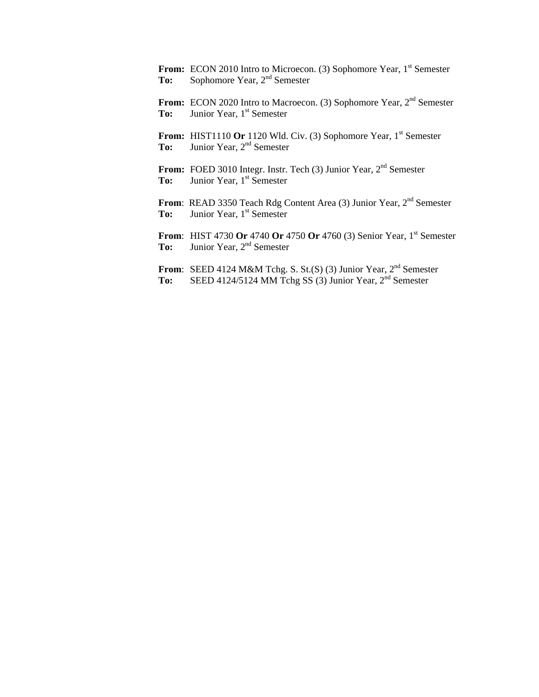From: ECON 2010 Intro to Microecon. (3) Sophomore Year, 1<sup>st</sup> Semester To: Sophomore Year, 2<sup>nd</sup> Semester

From: ECON 2020 Intro to Macroecon. (3) Sophomore Year, 2<sup>nd</sup> Semester To: Junior Year, 1<sup>st</sup> Semester

From: HIST1110 Or 1120 Wld. Civ. (3) Sophomore Year, 1<sup>st</sup> Semester To: Junior Year, 2<sup>nd</sup> Semester

**From:** FOED 3010 Integr. Instr. Tech (3) Junior Year, 2<sup>nd</sup> Semester To: Junior Year, 1<sup>st</sup> Semester

From: READ 3350 Teach Rdg Content Area (3) Junior Year, 2<sup>nd</sup> Semester **To:** Junior Year, 1<sup>st</sup> Semester

**From:** HIST 4730 **Or** 4740 **Or** 4750 **Or** 4760 (3) Senior Year, 1<sup>st</sup> Semester To: Junior Year, 2<sup>nd</sup> Semester

From: SEED 4124 M&M Tchg. S. St.(S) (3) Junior Year, 2<sup>nd</sup> Semester To: SEED 4124/5124 MM Tchg SS (3) Junior Year, 2<sup>nd</sup> Semester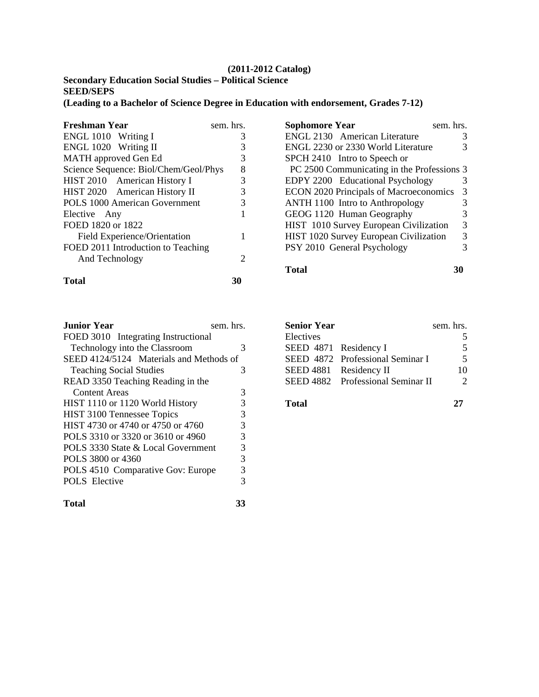## **(2011-2012 Catalog) Secondary Education Social Studies – Political Science SEED/SEPS**

**(Leading to a Bachelor of Science Degree in Education with endorsement, Grades 7-12)** 

| <b>Freshman Year</b>                  | sem. hrs.             |
|---------------------------------------|-----------------------|
| ENGL 1010 Writing I                   | 3                     |
| ENGL 1020 Writing II                  | 3                     |
| MATH approved Gen Ed                  | 3                     |
| Science Sequence: Biol/Chem/Geol/Phys | 8                     |
| HIST 2010 American History I          | 3                     |
| HIST 2020 American History II         | 3                     |
| POLS 1000 American Government         | 3                     |
| Elective Any                          |                       |
| FOED 1820 or 1822                     |                       |
| Field Experience/Orientation          |                       |
| FOED 2011 Introduction to Teaching    |                       |
| And Technology                        | $\mathcal{D}_{\cdot}$ |
| Total                                 |                       |

ENGL 2130 American Literature 3 ENGL 2230 or 2330 World Literature 3 SPCH 2410 Intro to Speech or PC 2500 Communicating in the Professions 3 EDPY 2200 Educational Psychology 3 ECON 2020 Principals of Macroeconomics 3 ANTH 1100 Intro to Anthropology 3<br>GEOG 1120 Human Geography 3 GEOG 1120 Human Geography 3<br>HIST 1010 Survey European Civilization 3 HIST 1010 Survey European Civilization 3 HIST 1020 Survey European Civilization 3 PSY 2010 General Psychology 3

**Sophomore Year** sem. hrs.

**Total 30**

| <b>Junior Year</b><br>sem. hrs.         |   |
|-----------------------------------------|---|
| FOED 3010 Integrating Instructional     |   |
| Technology into the Classroom           | 3 |
| SEED 4124/5124 Materials and Methods of |   |
| <b>Teaching Social Studies</b>          | 3 |
| READ 3350 Teaching Reading in the       |   |
| <b>Content Areas</b>                    | 3 |
| HIST 1110 or 1120 World History         | 3 |
| HIST 3100 Tennessee Topics              | 3 |
| HIST 4730 or 4740 or 4750 or 4760       | 3 |
| POLS 3310 or 3320 or 3610 or 4960       | 3 |
| POLS 3330 State & Local Government      | 3 |
| POLS 3800 or 4360                       | 3 |
| POLS 4510 Comparative Gov: Europe       | 3 |
| <b>POLS</b> Elective                    | 3 |
|                                         |   |

| <b>Senior Year</b>    |                                   | sem. hrs. |
|-----------------------|-----------------------------------|-----------|
| Electives             |                                   |           |
| SEED 4871 Residency I |                                   | 5.        |
|                       | SEED 4872 Professional Seminar I  | 5         |
|                       | SEED 4881 Residency II            | 10        |
|                       | SEED 4882 Professional Seminar II |           |
|                       |                                   |           |

**Total 27** 

**Total 33**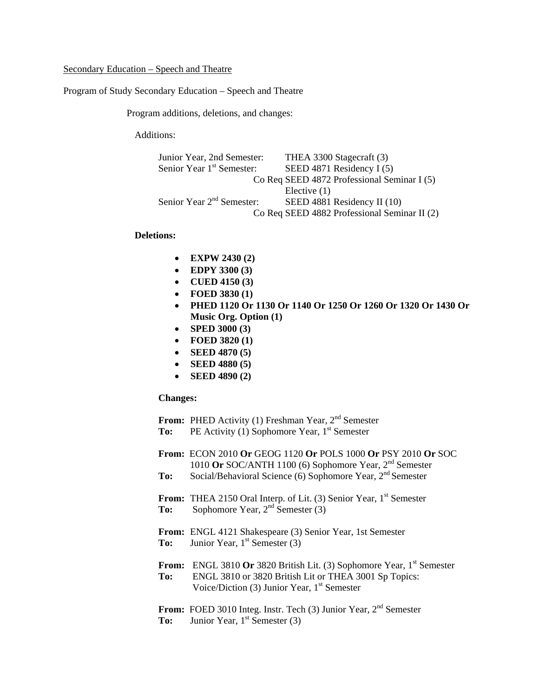Secondary Education – Speech and Theatre

Program of Study Secondary Education – Speech and Theatre

Program additions, deletions, and changes:

Additions:

 Junior Year, 2nd Semester: THEA 3300 Stagecraft (3) Senior Year  $1<sup>st</sup>$  Semester: SEED 4871 Residency I (5) Co Req SEED 4872 Professional Seminar I (5) Elective (1)<br>Senior Year 2<sup>nd</sup> Semester: SEED 4881 SEED 4881 Residency II (10) Co Req SEED 4882 Professional Seminar II (2)

**Deletions:** 

- **EXPW 2430 (2)**
- **EDPY 3300 (3)**
- **CUED 4150 (3)**
- **FOED 3830 (1)**
- **PHED 1120 Or 1130 Or 1140 Or 1250 Or 1260 Or 1320 Or 1430 Or Music Org. Option (1)**
- **SPED 3000 (3)**
- **FOED 3820 (1)**
- **SEED 4870 (5)**
- **SEED 4880 (5)**
- **SEED 4890 (2)**

 **Changes:** 

| To:          | <b>From:</b> PHED Activity (1) Freshman Year, $2nd$ Semester<br>PE Activity (1) Sophomore Year, $1st$ Semester                                                                                     |
|--------------|----------------------------------------------------------------------------------------------------------------------------------------------------------------------------------------------------|
| To:          | From: ECON 2010 Or GEOG 1120 Or POLS 1000 Or PSY 2010 Or SOC<br>1010 Or SOC/ANTH 1100 (6) Sophomore Year, $2nd$ Semester<br>Social/Behavioral Science (6) Sophomore Year, 2 <sup>nd</sup> Semester |
| To:          | <b>From:</b> THEA 2150 Oral Interp. of Lit. (3) Senior Year, $1st$ Semester<br>Sophomore Year, $2nd$ Semester (3)                                                                                  |
| To:          | From: ENGL 4121 Shakespeare (3) Senior Year, 1st Semester<br>Junior Year, $1st$ Semester (3)                                                                                                       |
| From:<br>To: | ENGL 3810 Or 3820 British Lit. (3) Sophomore Year, $1st$ Semester<br>ENGL 3810 or 3820 British Lit or THEA 3001 Sp Topics:<br>Voice/Diction (3) Junior Year, $1st$ Semester                        |
|              | From: FOED 3010 Integ. Instr. Tech (3) Junior Year, $2nd$ Semester                                                                                                                                 |

**To:** Junior Year, 1<sup>st</sup> Semester (3)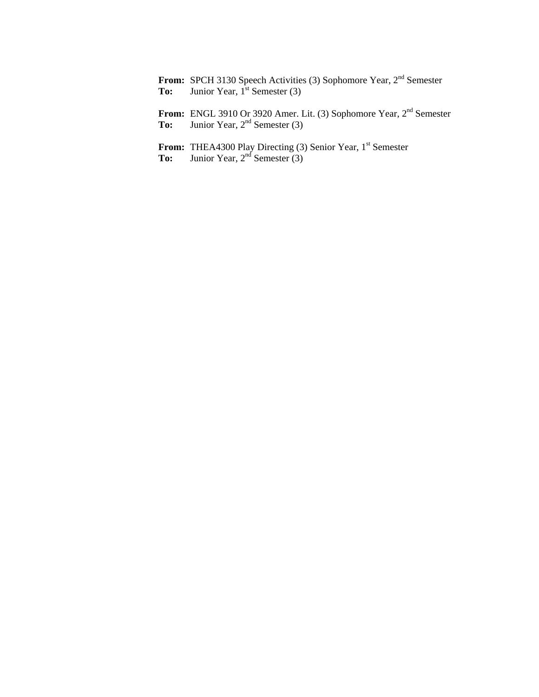From: SPCH 3130 Speech Activities (3) Sophomore Year, 2<sup>nd</sup> Semester **To:** Junior Year,  $1^{st}$  Semester (3)

From: ENGL 3910 Or 3920 Amer. Lit. (3) Sophomore Year, 2<sup>nd</sup> Semester To: Junior Year, 2<sup>nd</sup> Semester (3)

From: THEA4300 Play Directing (3) Senior Year, 1<sup>st</sup> Semester To: Junior Year, 2<sup>nd</sup> Semester (3)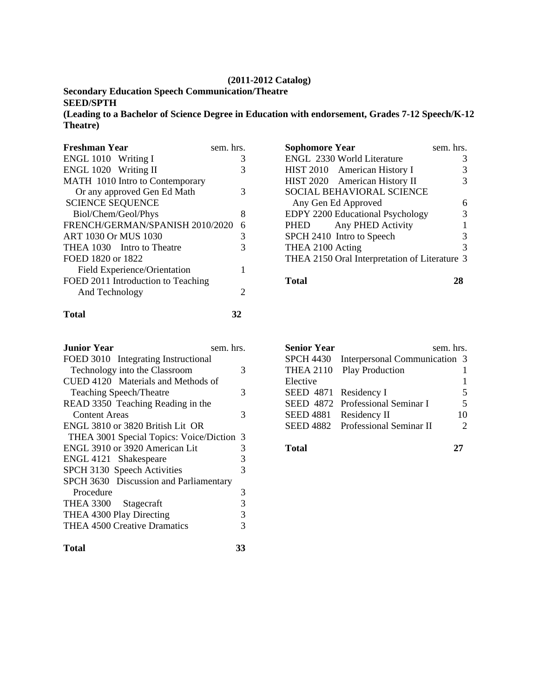## **(2011-2012 Catalog)**

## **Secondary Education Speech Communication/Theatre SEED/SPTH**

**(Leading to a Bachelor of Science Degree in Education with endorsement, Grades 7-12 Speech/K-12 Theatre)** 

| <b>Freshman Year</b>               | sem. hrs. |
|------------------------------------|-----------|
| ENGL 1010 Writing I                |           |
| ENGL 1020 Writing II               |           |
| MATH 1010 Intro to Contemporary    |           |
| Or any approved Gen Ed Math        | 3         |
| <b>SCIENCE SEQUENCE</b>            |           |
| Biol/Chem/Geol/Phys                | 8         |
| FRENCH/GERMAN/SPANISH 2010/2020    | 6         |
| ART 1030 Or MUS 1030               | 3         |
| THEA 1030 Intro to Theatre         |           |
| FOED 1820 or 1822                  |           |
| Field Experience/Orientation       |           |
| FOED 2011 Introduction to Teaching |           |
| And Technology                     |           |
|                                    |           |

## **Total 32**

| <b>Junior Year</b>                        | sem. hrs. |
|-------------------------------------------|-----------|
| FOED 3010 Integrating Instructional       |           |
| Technology into the Classroom             | 3         |
| CUED 4120 Materials and Methods of        |           |
| Teaching Speech/Theatre                   | 3         |
| READ 3350 Teaching Reading in the         |           |
| <b>Content Areas</b>                      | 3         |
| ENGL 3810 or 3820 British Lit OR          |           |
| THEA 3001 Special Topics: Voice/Diction 3 |           |
| ENGL 3910 or 3920 American Lit            | 3         |
| ENGL 4121 Shakespeare                     | 3         |
| SPCH 3130 Speech Activities               | 3         |
| SPCH 3630 Discussion and Parliamentary    |           |
| Procedure                                 | 3         |
| THEA 3300 Stagecraft                      | 3         |
| THEA 4300 Play Directing                  | 3         |
| THEA 4500 Creative Dramatics              | 3         |
|                                           |           |

| <b>Sophomore Year</b>                         | sem. hrs. |
|-----------------------------------------------|-----------|
| ENGL 2330 World Literature                    |           |
| HIST 2010 American History I                  | 3         |
| HIST 2020 American History II                 | 3         |
| <b>SOCIAL BEHAVIORAL SCIENCE</b>              |           |
| Any Gen Ed Approved                           |           |
| <b>EDPY 2200 Educational Psychology</b>       | 3         |
| PHED Any PHED Activity                        |           |
| SPCH 2410 Intro to Speech                     | 3         |
| THEA 2100 Acting                              | 3         |
| THEA 2150 Oral Interpretation of Literature 3 |           |
|                                               |           |

**Total 28** 

| <b>Senior Year</b>     | sem. hrs.                         |                       |
|------------------------|-----------------------------------|-----------------------|
| <b>SPCH 4430</b>       | Interpersonal Communication 3     |                       |
| <b>THEA 2110</b>       | <b>Play Production</b>            |                       |
| Elective               |                                   |                       |
| SEED 4871 Residency I  |                                   | 5                     |
|                        | SEED 4872 Professional Seminar I  | 5                     |
| SEED 4881 Residency II |                                   | 10                    |
|                        | SEED 4882 Professional Seminar II | $\mathcal{D}_{\cdot}$ |
| Total                  |                                   |                       |
|                        |                                   |                       |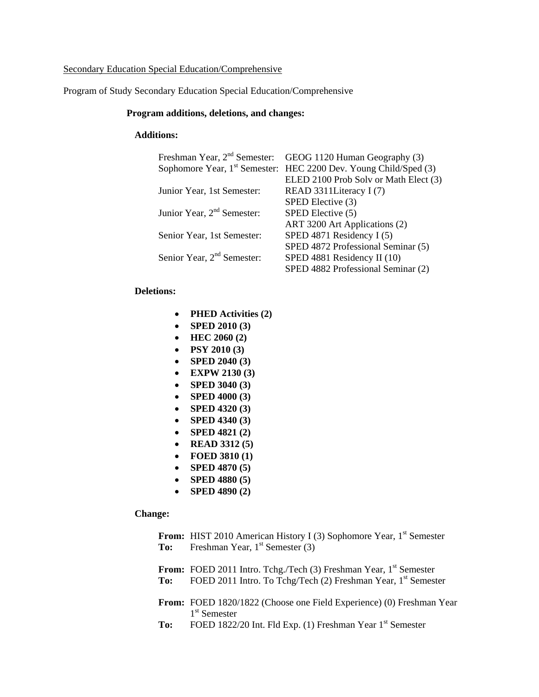## Secondary Education Special Education/Comprehensive

Program of Study Secondary Education Special Education/Comprehensive

#### **Program additions, deletions, and changes:**

#### **Additions:**

| Freshman Year, 2 <sup>nd</sup> Semester: | GEOG 1120 Human Geography (3)                                                |
|------------------------------------------|------------------------------------------------------------------------------|
|                                          | Sophomore Year, 1 <sup>st</sup> Semester: HEC 2200 Dev. Young Child/Sped (3) |
|                                          | ELED 2100 Prob Solv or Math Elect (3)                                        |
| Junior Year, 1st Semester:               | READ 3311Literacy I (7)                                                      |
|                                          | SPED Elective (3)                                                            |
| Junior Year, 2 <sup>nd</sup> Semester:   | SPED Elective (5)                                                            |
|                                          | ART 3200 Art Applications (2)                                                |
| Senior Year, 1st Semester:               | SPED 4871 Residency I (5)                                                    |
|                                          | SPED 4872 Professional Seminar (5)                                           |
| Senior Year, 2 <sup>nd</sup> Semester:   | SPED 4881 Residency II (10)                                                  |
|                                          | SPED 4882 Professional Seminar (2)                                           |

## **Deletions:**

- **PHED Activities (2)**
- **SPED 2010 (3)**
- **HEC 2060 (2)**
- **PSY 2010 (3)**
- **SPED 2040 (3)**
- **EXPW 2130 (3)**
- **SPED 3040 (3)**
- **SPED 4000 (3)**
- **SPED 4320 (3)**
- **SPED 4340 (3)**
- **SPED 4821 (2)**
- **READ 3312 (5)**
- **FOED 3810 (1)**
- **SPED 4870 (5)**
- **SPED 4880 (5)**
- **SPED 4890 (2)**

#### **Change:**

|     | <b>From:</b> HIST 2010 American History I (3) Sophomore Year, $1st$ Semester<br><b>To:</b> Freshman Year, $1^{st}$ Semester (3)                                |
|-----|----------------------------------------------------------------------------------------------------------------------------------------------------------------|
|     | From: FOED 2011 Intro. Tchg./Tech (3) Freshman Year, 1 <sup>st</sup> Semester<br>To: FOED 2011 Intro. To Tchg/Tech (2) Freshman Year, 1 <sup>st</sup> Semester |
|     | <b>From:</b> FOED 1820/1822 (Choose one Field Experience) (0) Freshman Year<br>1 <sup>st</sup> Semester                                                        |
| To: | FOED 1822/20 Int. Fld Exp. (1) Freshman Year 1 <sup>st</sup> Semester                                                                                          |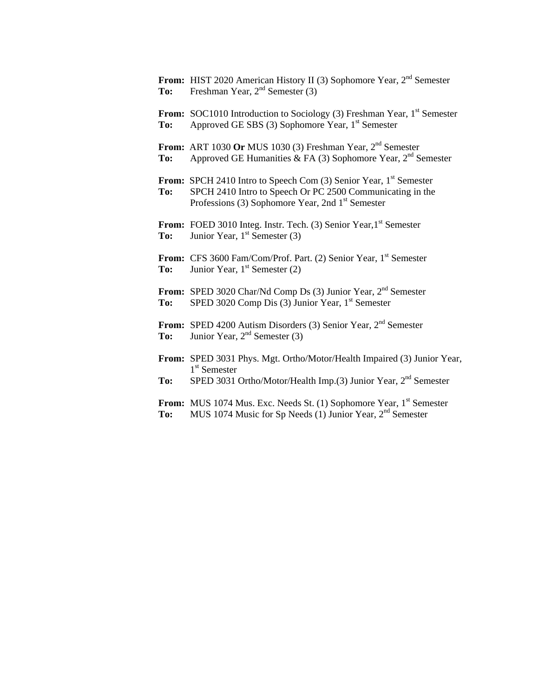**From:** HIST 2020 American History II (3) Sophomore Year, 2<sup>nd</sup> Semester To: Freshman Year, 2<sup>nd</sup> Semester (3)

**From:** SOC1010 Introduction to Sociology (3) Freshman Year, 1<sup>st</sup> Semester **To:** Approved GE SBS (3) Sophomore Year, 1<sup>st</sup> Semester

**From:** ART 1030 **Or** MUS 1030 (3) Freshman Year, 2<sup>nd</sup> Semester **To:** Approved GE Humanities & FA (3) Sophomore Year, 2<sup>nd</sup> Semester

**From:** SPCH 2410 Intro to Speech Com (3) Senior Year, 1<sup>st</sup> Semester **To:** SPCH 2410 Intro to Speech Or PC 2500 Communicating in the Professions (3) Sophomore Year, 2nd  $1<sup>st</sup>$  Semester

**From:** FOED 3010 Integ. Instr. Tech. (3) Senior Year, 1<sup>st</sup> Semester **To:** Junior Year, 1<sup>st</sup> Semester (3)

**From:** CFS 3600 Fam/Com/Prof. Part. (2) Senior Year, 1<sup>st</sup> Semester **To:** Junior Year, 1<sup>st</sup> Semester (2)

**From:** SPED 3020 Char/Nd Comp Ds (3) Junior Year, 2<sup>nd</sup> Semester **To:** SPED 3020 Comp Dis (3) Junior Year, 1<sup>st</sup> Semester

**From:** SPED 4200 Autism Disorders (3) Senior Year, 2<sup>nd</sup> Semester To: Junior Year, 2<sup>nd</sup> Semester (3)

- **From:** SPED 3031 Phys. Mgt. Ortho/Motor/Health Impaired (3) Junior Year, 1<sup>st</sup> Semester
- **To:** SPED 3031 Ortho/Motor/Health Imp.(3) Junior Year, 2<sup>nd</sup> Semester

**From:** MUS 1074 Mus. Exc. Needs St. (1) Sophomore Year, 1<sup>st</sup> Semester **To:** MUS 1074 Music for Sp Needs (1) Junior Year, 2<sup>nd</sup> Semester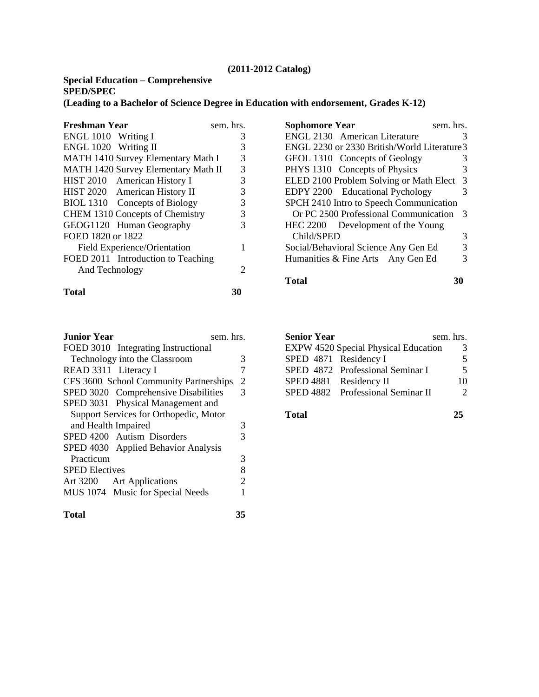## **Special Education – Comprehensive SPED/SPEC**

**(Leading to a Bachelor of Science Degree in Education with endorsement, Grades K-12)** 

| <b>Freshman Year</b>                | sem. hrs. |
|-------------------------------------|-----------|
| ENGL 1010 Writing I                 | 3         |
| ENGL 1020 Writing II                | 3         |
| MATH 1410 Survey Elementary Math I  | 3         |
| MATH 1420 Survey Elementary Math II | 3         |
| HIST 2010 American History I        | 3         |
| HIST 2020 American History II       | 3         |
| BIOL 1310 Concepts of Biology       | 3         |
| CHEM 1310 Concepts of Chemistry     | 3         |
| GEOG1120 Human Geography            | 3         |
| FOED 1820 or 1822                   |           |
| Field Experience/Orientation        |           |
| FOED 2011 Introduction to Teaching  |           |
| And Technology                      | 2         |
| Total                               | 30        |

**Junior Year** sem. hrs.

Technology into the Classroom 3 READ 3311 Literacy I 7 CFS 3600 School Community Partnerships 2 SPED 3020 Comprehensive Disabilities 3 SPED 3031 Physical Management and Support Services for Orthopedic, Motor and Health Impaired 3 SPED 4200 Autism Disorders 3 SPED 4030 Applied Behavior Analysis

Practicum 3 SPED Electives 8 Art 3200 Art Applications 2 MUS 1074 Music for Special Needs 1

FOED 3010 Integrating Instructional

| <b>Sophomore Year</b><br>sem. hrs.           |   |
|----------------------------------------------|---|
| ENGL 2130 American Literature                | 3 |
| ENGL 2230 or 2330 British/World Literature 3 |   |
| GEOL 1310 Concepts of Geology                | 3 |
| PHYS 1310 Concepts of Physics                | 3 |
| ELED 2100 Problem Solving or Math Elect      | 3 |
| EDPY 2200 Educational Pychology              | 3 |
| SPCH 2410 Intro to Speech Communication      |   |
| Or PC 2500 Professional Communication        | 3 |
| HEC 2200 Development of the Young            |   |
| Child/SPED                                   | 3 |
| Social/Behavioral Science Any Gen Ed         | 3 |
| Humanities & Fine Arts Any Gen Ed            | 3 |
| Total                                        |   |

| <b>Senior Year</b>    |                                             | sem. hrs. |
|-----------------------|---------------------------------------------|-----------|
|                       | <b>EXPW 4520 Special Physical Education</b> |           |
| SPED 4871 Residency I |                                             |           |
|                       | SPED 4872 Professional Seminar I            | 5         |
|                       | SPED 4881 Residency II                      | 10        |
|                       | SPED 4882 Professional Seminar II           |           |

**Total 25** 

# **Total 35**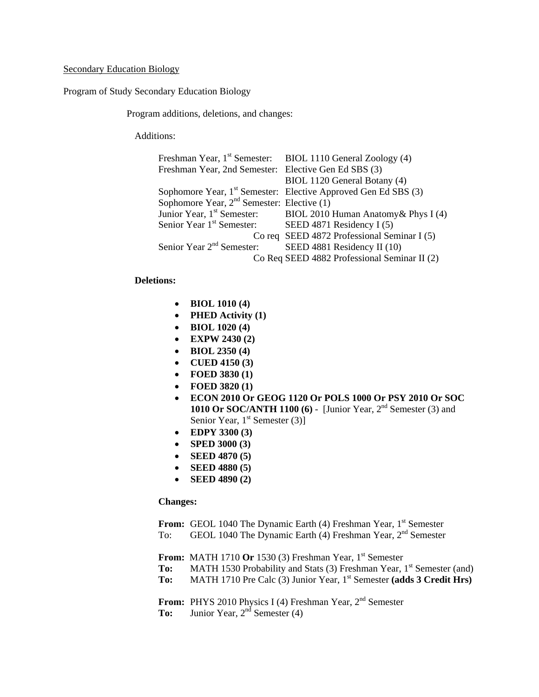## Secondary Education Biology

Program of Study Secondary Education Biology

Program additions, deletions, and changes:

Additions:

| Freshman Year, 1 <sup>st</sup> Semester:             | BIOL 1110 General Zoology (4)                                              |
|------------------------------------------------------|----------------------------------------------------------------------------|
| Freshman Year, 2nd Semester: Elective Gen Ed SBS (3) |                                                                            |
|                                                      | BIOL 1120 General Botany (4)                                               |
|                                                      | Sophomore Year, 1 <sup>st</sup> Semester: Elective Approved Gen Ed SBS (3) |
| Sophomore Year, $2nd$ Semester: Elective (1)         |                                                                            |
| Junior Year, 1 <sup>st</sup> Semester:               | BIOL 2010 Human Anatomy & Phys I (4)                                       |
| Senior Year 1 <sup>st</sup> Semester:                | SEED 4871 Residency I (5)                                                  |
|                                                      | Co req SEED 4872 Professional Seminar I (5)                                |
| Senior Year 2 <sup>nd</sup> Semester:                | SEED 4881 Residency II (10)                                                |
|                                                      | Co Req SEED 4882 Professional Seminar II (2)                               |

## **Deletions:**

- **BIOL 1010 (4)**
- **PHED Activity (1)**
- **BIOL 1020 (4)**
- **EXPW 2430 (2)**
- **BIOL 2350 (4)**
- **CUED 4150 (3)**
- **FOED 3830 (1)**
- **FOED 3820 (1)**
- **ECON 2010 Or GEOG 1120 Or POLS 1000 Or PSY 2010 Or SOC 1010 Or SOC/ANTH 1100 (6)** - [Junior Year, 2nd Semester (3) and Senior Year,  $1<sup>st</sup>$  Semester (3)]
- **EDPY 3300 (3)**
- **SPED 3000 (3)**
- **SEED 4870 (5)**
- **SEED 4880 (5)**
- **SEED 4890 (2)**

#### **Changes:**

**From:** GEOL 1040 The Dynamic Earth (4) Freshman Year, 1<sup>st</sup> Semester To: GEOL 1040 The Dynamic Earth (4) Freshman Year, 2<sup>nd</sup> Semester

**From:** MATH 1710 Or 1530 (3) Freshman Year, 1<sup>st</sup> Semester

- **To:** MATH 1530 Probability and Stats (3) Freshman Year, 1<sup>st</sup> Semester (and)
- **To:** MATH 1710 Pre Calc (3) Junior Year, 1<sup>st</sup> Semester (adds 3 Credit Hrs)

From: PHYS 2010 Physics I (4) Freshman Year, 2<sup>nd</sup> Semester To: Junior Year, 2<sup>nd</sup> Semester (4)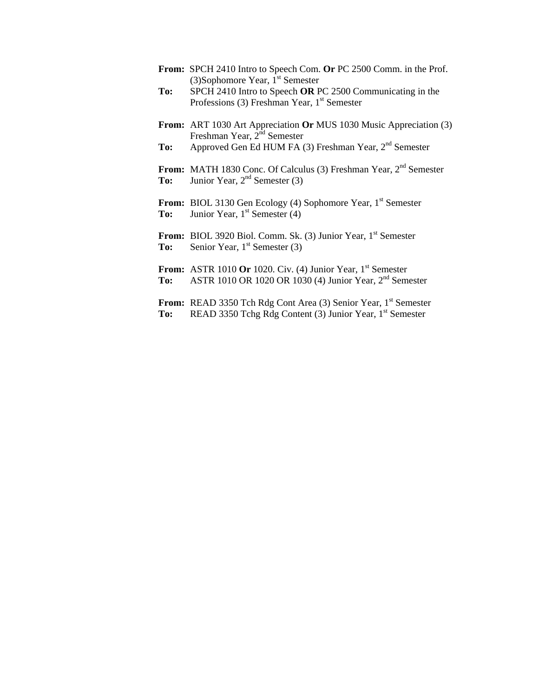| To: | From: SPCH 2410 Intro to Speech Com. Or PC 2500 Comm. in the Prof.<br>(3) Sophomore Year, $1st$ Semester<br>SPCH 2410 Intro to Speech OR PC 2500 Communicating in the<br>Professions (3) Freshman Year, 1 <sup>st</sup> Semester                                                                                                   |
|-----|------------------------------------------------------------------------------------------------------------------------------------------------------------------------------------------------------------------------------------------------------------------------------------------------------------------------------------|
| To: | From: ART 1030 Art Appreciation Or MUS 1030 Music Appreciation (3)<br>Freshman Year, $2nd$ Semester<br>Approved Gen Ed HUM FA (3) Freshman Year, 2 <sup>nd</sup> Semester                                                                                                                                                          |
| To: | <b>From:</b> MATH 1830 Conc. Of Calculus (3) Freshman Year, $2^{nd}$ Semester<br>Junior Year, $2nd$ Semester (3)                                                                                                                                                                                                                   |
| To: | From: BIOL 3130 Gen Ecology (4) Sophomore Year, 1 <sup>st</sup> Semester<br>Junior Year, $1st$ Semester (4)                                                                                                                                                                                                                        |
| To: | From: BIOL 3920 Biol. Comm. Sk. (3) Junior Year, 1 <sup>st</sup> Semester<br>Senior Year, $1st$ Semester (3)                                                                                                                                                                                                                       |
| To: | From: ASTR 1010 Or 1020. Civ. (4) Junior Year, 1 <sup>st</sup> Semester<br>ASTR 1010 OR 1020 OR 1030 (4) Junior Year, 2 <sup>nd</sup> Semester                                                                                                                                                                                     |
|     | $\mathbf{B}$ $\mathbf{A}$ $\mathbf{C}$ $\mathbf{A}$ $\mathbf{A}$ $\mathbf{A}$ $\mathbf{A}$ $\mathbf{A}$ $\mathbf{A}$ $\mathbf{A}$ $\mathbf{A}$ $\mathbf{A}$ $\mathbf{A}$ $\mathbf{A}$ $\mathbf{A}$ $\mathbf{A}$ $\mathbf{A}$ $\mathbf{A}$ $\mathbf{A}$ $\mathbf{A}$ $\mathbf{A}$ $\mathbf{A}$ $\mathbf{A}$ $\mathbf{A}$ $\mathbf{$ |

From: READ 3350 Tch Rdg Cont Area (3) Senior Year, 1<sup>st</sup> Semester To: READ 3350 Tchg Rdg Content (3) Junior Year, 1<sup>st</sup> Semester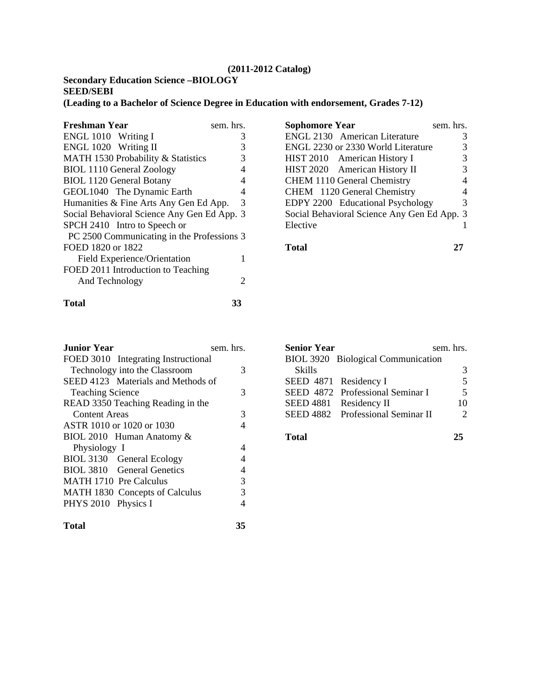## **(2011-2012 Catalog)**

## **Secondary Education Science –BIOLOGY SEED/SEBI**

**(Leading to a Bachelor of Science Degree in Education with endorsement, Grades 7-12)** 

**Total 33** 

| <b>Sophomore Year</b>                       | sem. hrs. |
|---------------------------------------------|-----------|
| <b>ENGL 2130 American Literature</b>        |           |
| ENGL 2230 or 2330 World Literature          | 3         |
| HIST 2010 American History I                | 3         |
| HIST 2020 American History II               | 3         |
| CHEM 1110 General Chemistry                 | 4         |
| CHEM 1120 General Chemistry                 | 4         |
| EDPY 2200 Educational Psychology            | 3         |
| Social Behavioral Science Any Gen Ed App. 3 |           |
| Elective                                    |           |
|                                             |           |

**Total 27**

| <b>Junior Year</b>                  | sem. hrs. |
|-------------------------------------|-----------|
| FOED 3010 Integrating Instructional |           |
| Technology into the Classroom       | 3         |
| SEED 4123 Materials and Methods of  |           |
| <b>Teaching Science</b>             | 3         |
| READ 3350 Teaching Reading in the   |           |
| Content Areas                       | 3         |
| ASTR 1010 or 1020 or 1030           |           |
| BIOL 2010 Human Anatomy &           |           |
| Physiology I                        | 4         |
| BIOL 3130 General Ecology           |           |
| BIOL 3810 General Genetics          | 4         |
| <b>MATH 1710 Pre Calculus</b>       | 3         |
| MATH 1830 Concepts of Calculus      | 3         |
| PHYS 2010 Physics I                 |           |
|                                     |           |

| <b>Total</b> | 35 |
|--------------|----|
|--------------|----|

| <b>Senior Year</b>    |                                    | sem. hrs. |
|-----------------------|------------------------------------|-----------|
|                       | BIOL 3920 Biological Communication |           |
| <b>Skills</b>         |                                    | 3         |
| SEED 4871 Residency I |                                    |           |
|                       | SEED 4872 Professional Seminar I   |           |
|                       | SEED 4881 Residency II             | 10        |
|                       | SEED 4882 Professional Seminar II  |           |
|                       |                                    |           |

**Total 25**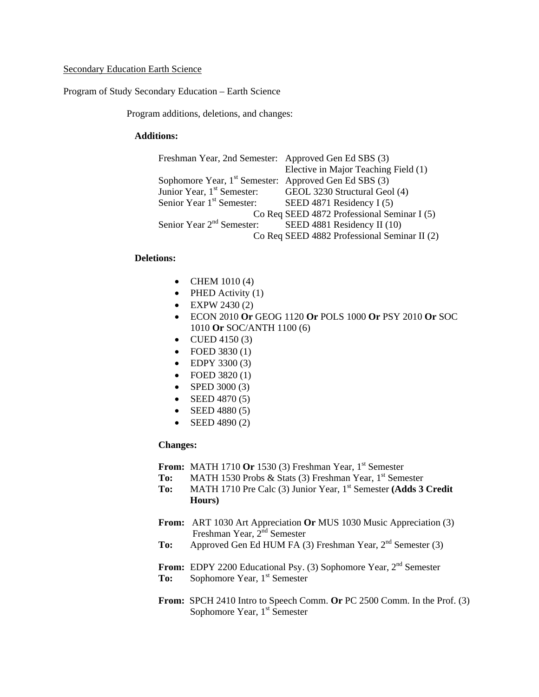#### Secondary Education Earth Science

#### Program of Study Secondary Education – Earth Science

Program additions, deletions, and changes:

#### **Additions:**

|                                        | Freshman Year, 2nd Semester: Approved Gen Ed SBS (3)              |
|----------------------------------------|-------------------------------------------------------------------|
|                                        | Elective in Major Teaching Field (1)                              |
|                                        | Sophomore Year, 1 <sup>st</sup> Semester: Approved Gen Ed SBS (3) |
| Junior Year, 1 <sup>st</sup> Semester: | GEOL 3230 Structural Geol (4)                                     |
| Senior Year 1 <sup>st</sup> Semester:  | SEED 4871 Residency $I(5)$                                        |
|                                        | Co Req SEED 4872 Professional Seminar I (5)                       |
|                                        | Senior Year 2 <sup>nd</sup> Semester: SEED 4881 Residency II (10) |
|                                        | Co Req SEED 4882 Professional Seminar II (2)                      |

#### **Deletions:**

- CHEM  $1010(4)$
- PHED Activity (1)
- EXPW 2430 (2)
- ECON 2010 **Or** GEOG 1120 **Or** POLS 1000 **Or** PSY 2010 **Or** SOC 1010 **Or** SOC/ANTH 1100 (6)
- CUED 4150 $(3)$
- FOED 3830 (1)
- EDPY 3300 $(3)$
- FOED 3820 (1)
- SPED 3000 (3)
- SEED 4870 $(5)$
- SEED  $4880(5)$
- SEED 4890 $(2)$

#### **Changes:**

**From:** MATH 1710 Or 1530 (3) Freshman Year, 1<sup>st</sup> Semester

- **To:** MATH 1530 Probs & Stats (3) Freshman Year, 1<sup>st</sup> Semester
- To: MATH 1710 Pre Calc (3) Junior Year, 1<sup>st</sup> Semester **(Adds 3 Credit Hours)**
- **From:** ART 1030 Art Appreciation **Or** MUS 1030 Music Appreciation (3) Freshman Year, 2<sup>nd</sup> Semester
- **To:** Approved Gen Ed HUM FA (3) Freshman Year, 2<sup>nd</sup> Semester (3)
- **From:** EDPY 2200 Educational Psy. (3) Sophomore Year, 2<sup>nd</sup> Semester To: Sophomore Year, 1<sup>st</sup> Semester
- **From:** SPCH 2410 Intro to Speech Comm. **Or** PC 2500 Comm. In the Prof. (3) Sophomore Year,  $1<sup>st</sup>$  Semester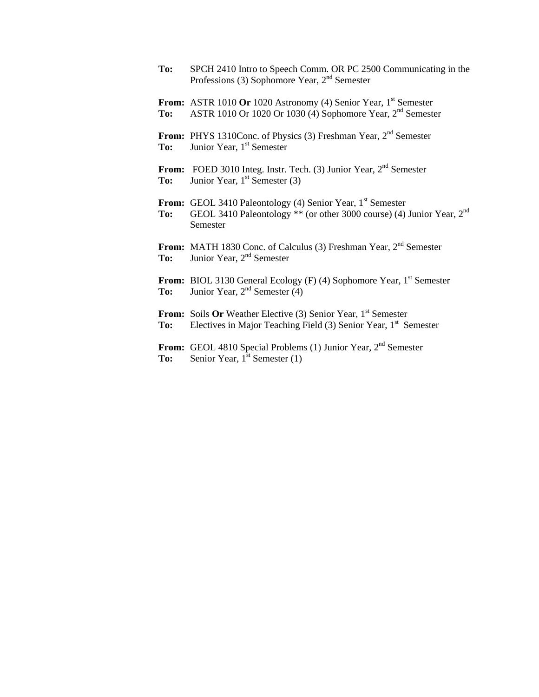- **To:** SPCH 2410 Intro to Speech Comm. OR PC 2500 Communicating in the Professions (3) Sophomore Year, 2nd Semester From: ASTR 1010 Or 1020 Astronomy (4) Senior Year, 1<sup>st</sup> Semester
- **To:** ASTR 1010 Or 1020 Or 1030 (4) Sophomore Year, 2nd Semester
- From: PHYS 1310Conc. of Physics (3) Freshman Year, 2<sup>nd</sup> Semester **To:** Junior Year, 1<sup>st</sup> Semester
- **From:** FOED 3010 Integ. Instr. Tech. (3) Junior Year, 2<sup>nd</sup> Semester **To:** Junior Year, 1<sup>st</sup> Semester (3)
- **From:** GEOL 3410 Paleontology (4) Senior Year, 1<sup>st</sup> Semester **To:** GEOL 3410 Paleontology \*\* (or other 3000 course) (4) Junior Year, 2<sup>nd</sup> Semester
- From: MATH 1830 Conc. of Calculus (3) Freshman Year, 2<sup>nd</sup> Semester To: Junior Year, 2<sup>nd</sup> Semester
- **From:** BIOL 3130 General Ecology (F) (4) Sophomore Year, 1<sup>st</sup> Semester **To:** Junior Year,  $2^{nd}$  Semester (4)
- **From:** Soils Or Weather Elective (3) Senior Year, 1<sup>st</sup> Semester **To:** Electives in Major Teaching Field (3) Senior Year, 1<sup>st</sup> Semester
- **From:** GEOL 4810 Special Problems (1) Junior Year, 2<sup>nd</sup> Semester **To:** Senior Year, 1<sup>st</sup> Semester (1)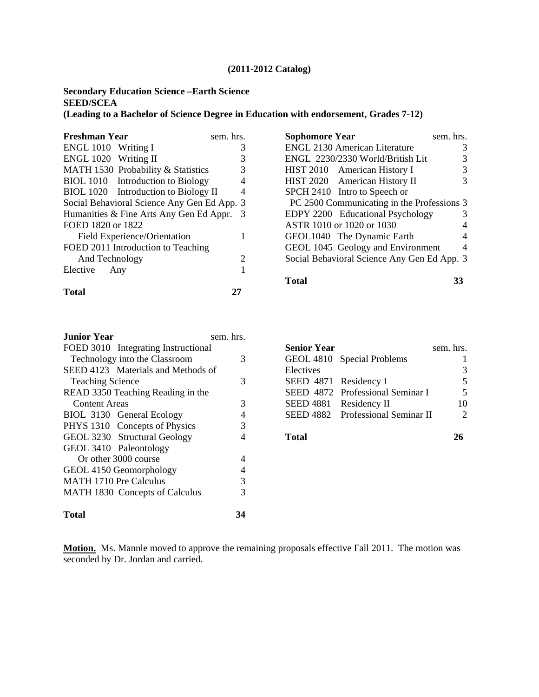#### **(2011-2012 Catalog)**

## **Secondary Education Science –Earth Science SEED/SCEA**

## **(Leading to a Bachelor of Science Degree in Education with endorsement, Grades 7-12)**

| <b>Freshman Year</b>                        | sem. hrs. |
|---------------------------------------------|-----------|
| ENGL 1010 Writing I                         | 3         |
| ENGL 1020 Writing II                        | 3         |
| MATH 1530 Probability & Statistics          | 3         |
| BIOL 1010 Introduction to Biology           | 4         |
| BIOL 1020 Introduction to Biology II        | 4         |
| Social Behavioral Science Any Gen Ed App. 3 |           |
| Humanities & Fine Arts Any Gen Ed Appr.     | 3         |
| FOED 1820 or 1822                           |           |
| Field Experience/Orientation                |           |
| FOED 2011 Introduction to Teaching          |           |
| And Technology                              | 2         |
| Elective Any                                |           |
| Total                                       |           |

| <b>Sophomore Year</b>                       | sem. hrs. |
|---------------------------------------------|-----------|
| <b>ENGL 2130 American Literature</b>        |           |
| ENGL 2230/2330 World/British Lit            |           |
| HIST 2010 American History I                | 3         |
| HIST 2020 American History II               | 3         |
| SPCH 2410 Intro to Speech or                |           |
| PC 2500 Communicating in the Professions 3  |           |
| EDPY 2200 Educational Psychology            | 3         |
| ASTR 1010 or 1020 or 1030                   |           |
| GEOL1040 The Dynamic Earth                  |           |
| GEOL 1045 Geology and Environment           |           |
| Social Behavioral Science Any Gen Ed App. 3 |           |
|                                             |           |

**Total 33** 

| <b>Junior Year</b>                  | sem. hrs. |
|-------------------------------------|-----------|
| FOED 3010 Integrating Instructional |           |
| Technology into the Classroom       | 3         |
| SEED 4123 Materials and Methods of  |           |
| <b>Teaching Science</b>             | 3         |
| READ 3350 Teaching Reading in the   |           |
| <b>Content Areas</b>                | 3         |
| BIOL 3130 General Ecology           | 4         |
| PHYS 1310 Concepts of Physics       | 3         |
| GEOL 3230 Structural Geology        | 4         |
| GEOL 3410 Paleontology              |           |
| Or other 3000 course                | 4         |
| GEOL 4150 Geomorphology             | 4         |
| <b>MATH 1710 Pre Calculus</b>       | 3         |
| MATH 1830 Concepts of Calculus      | 3         |
| Total                               | κ⊿        |

| <b>Senior Year</b>    |                                   | sem. hrs. |
|-----------------------|-----------------------------------|-----------|
|                       | GEOL 4810 Special Problems        |           |
| Electives             |                                   | 3         |
| SEED 4871 Residency I |                                   | 5         |
|                       | SEED 4872 Professional Seminar I  | 5         |
|                       | SEED 4881 Residency II            | 10        |
|                       | SEED 4882 Professional Seminar II |           |
|                       |                                   |           |
| Total                 |                                   |           |

**Motion.** Ms. Mannle moved to approve the remaining proposals effective Fall 2011. The motion was seconded by Dr. Jordan and carried.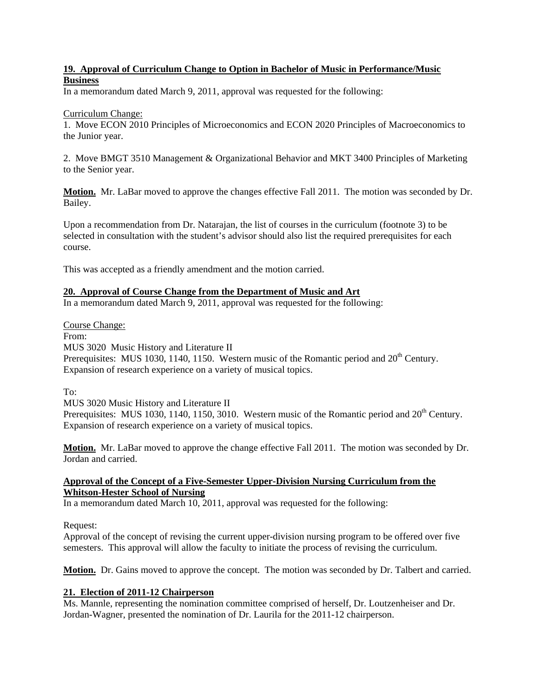## **19. Approval of Curriculum Change to Option in Bachelor of Music in Performance/Music Business**

In a memorandum dated March 9, 2011, approval was requested for the following:

## Curriculum Change:

1. Move ECON 2010 Principles of Microeconomics and ECON 2020 Principles of Macroeconomics to the Junior year.

2. Move BMGT 3510 Management & Organizational Behavior and MKT 3400 Principles of Marketing to the Senior year.

**Motion.** Mr. LaBar moved to approve the changes effective Fall 2011. The motion was seconded by Dr. Bailey.

Upon a recommendation from Dr. Natarajan, the list of courses in the curriculum (footnote 3) to be selected in consultation with the student's advisor should also list the required prerequisites for each course.

This was accepted as a friendly amendment and the motion carried.

## **20. Approval of Course Change from the Department of Music and Art**

In a memorandum dated March 9, 2011, approval was requested for the following:

Course Change: From: MUS 3020 Music History and Literature II Prerequisites: MUS 1030, 1140, 1150. Western music of the Romantic period and 20<sup>th</sup> Century. Expansion of research experience on a variety of musical topics.

To:

MUS 3020 Music History and Literature II

Prerequisites: MUS 1030, 1140, 1150, 3010. Western music of the Romantic period and  $20<sup>th</sup>$  Century. Expansion of research experience on a variety of musical topics.

**Motion.** Mr. LaBar moved to approve the change effective Fall 2011. The motion was seconded by Dr. Jordan and carried.

## **Approval of the Concept of a Five-Semester Upper-Division Nursing Curriculum from the Whitson-Hester School of Nursing**

In a memorandum dated March 10, 2011, approval was requested for the following:

Request:

Approval of the concept of revising the current upper-division nursing program to be offered over five semesters. This approval will allow the faculty to initiate the process of revising the curriculum.

**Motion.** Dr. Gains moved to approve the concept. The motion was seconded by Dr. Talbert and carried.

## **21. Election of 2011-12 Chairperson**

Ms. Mannle, representing the nomination committee comprised of herself, Dr. Loutzenheiser and Dr. Jordan-Wagner, presented the nomination of Dr. Laurila for the 2011-12 chairperson.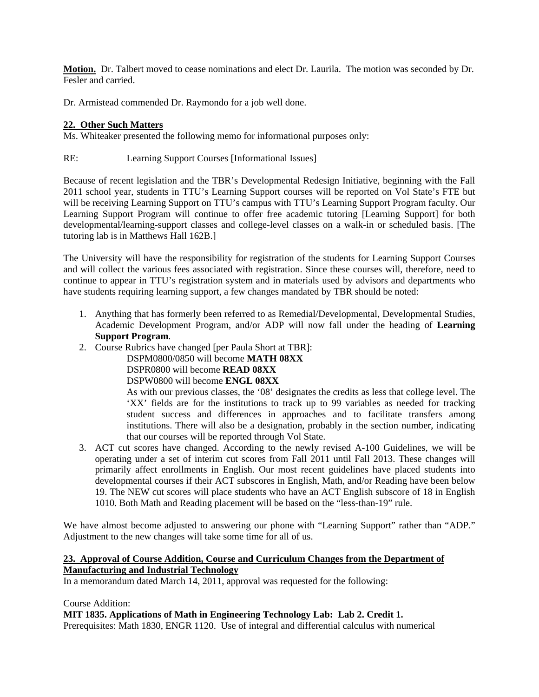**Motion.** Dr. Talbert moved to cease nominations and elect Dr. Laurila. The motion was seconded by Dr. Fesler and carried.

Dr. Armistead commended Dr. Raymondo for a job well done.

## **22. Other Such Matters**

Ms. Whiteaker presented the following memo for informational purposes only:

RE: Learning Support Courses [Informational Issues]

Because of recent legislation and the TBR's Developmental Redesign Initiative, beginning with the Fall 2011 school year, students in TTU's Learning Support courses will be reported on Vol State's FTE but will be receiving Learning Support on TTU's campus with TTU's Learning Support Program faculty. Our Learning Support Program will continue to offer free academic tutoring [Learning Support] for both developmental/learning-support classes and college-level classes on a walk-in or scheduled basis. [The tutoring lab is in Matthews Hall 162B.]

The University will have the responsibility for registration of the students for Learning Support Courses and will collect the various fees associated with registration. Since these courses will, therefore, need to continue to appear in TTU's registration system and in materials used by advisors and departments who have students requiring learning support, a few changes mandated by TBR should be noted:

- 1. Anything that has formerly been referred to as Remedial/Developmental, Developmental Studies, Academic Development Program, and/or ADP will now fall under the heading of **Learning Support Program**.
- 2. Course Rubrics have changed [per Paula Short at TBR]:
	- DSPM0800/0850 will become **MATH 08XX**
	- DSPR0800 will become **READ 08XX**

DSPW0800 will become **ENGL 08XX**

As with our previous classes, the '08' designates the credits as less that college level. The 'XX' fields are for the institutions to track up to 99 variables as needed for tracking student success and differences in approaches and to facilitate transfers among institutions. There will also be a designation, probably in the section number, indicating that our courses will be reported through Vol State.

3. ACT cut scores have changed. According to the newly revised A-100 Guidelines, we will be operating under a set of interim cut scores from Fall 2011 until Fall 2013. These changes will primarily affect enrollments in English. Our most recent guidelines have placed students into developmental courses if their ACT subscores in English, Math, and/or Reading have been below 19. The NEW cut scores will place students who have an ACT English subscore of 18 in English 1010. Both Math and Reading placement will be based on the "less-than-19" rule.

We have almost become adjusted to answering our phone with "Learning Support" rather than "ADP." Adjustment to the new changes will take some time for all of us.

## **23. Approval of Course Addition, Course and Curriculum Changes from the Department of Manufacturing and Industrial Technology**

In a memorandum dated March 14, 2011, approval was requested for the following:

Course Addition:

**MIT 1835. Applications of Math in Engineering Technology Lab: Lab 2. Credit 1.** 

Prerequisites: Math 1830, ENGR 1120. Use of integral and differential calculus with numerical